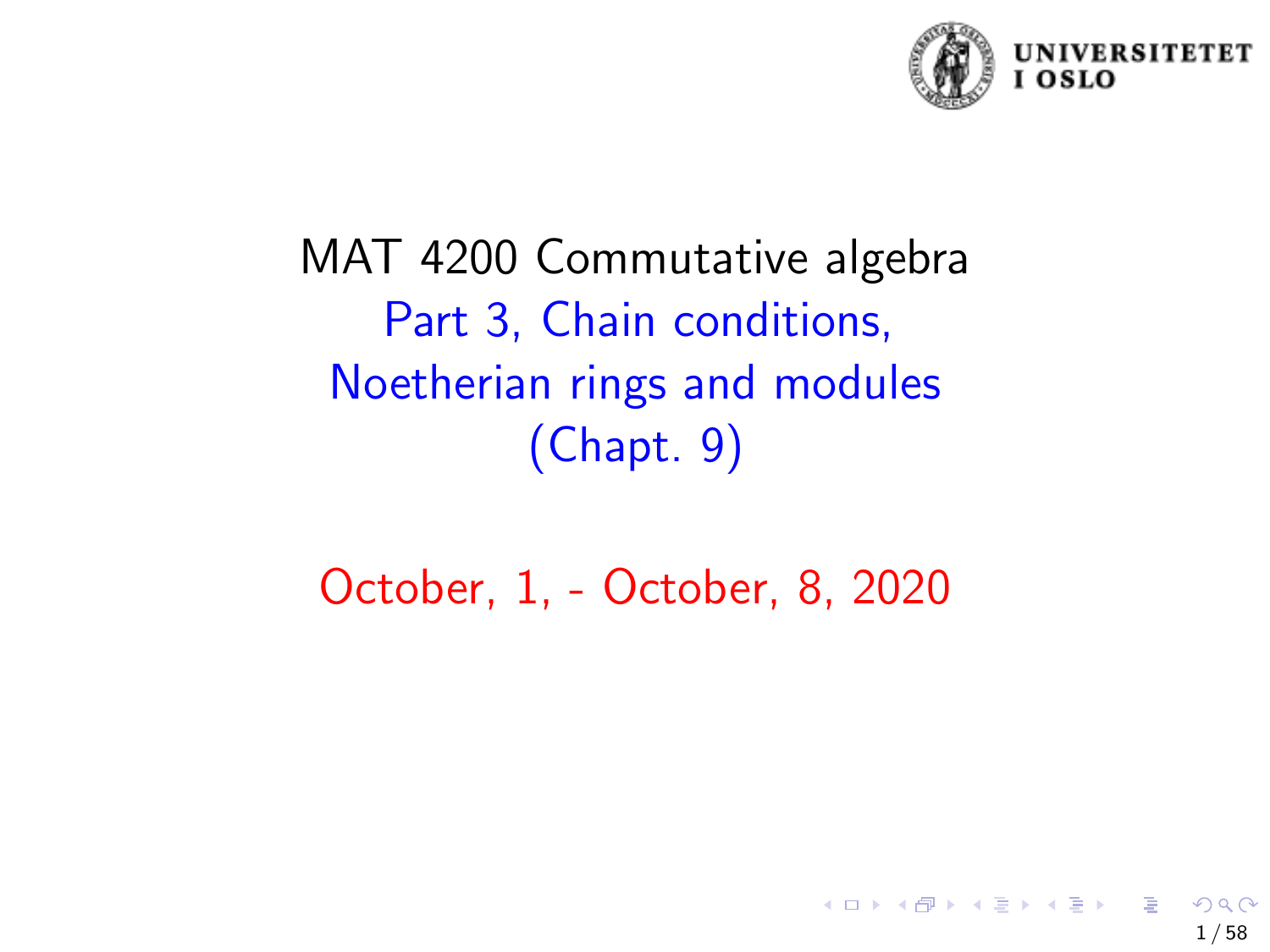

# MAT 4200 Commutative algebra Part 3, Chain conditions, Noetherian rings and modules (Chapt. 9)

# October, 1, - October, 8, 2020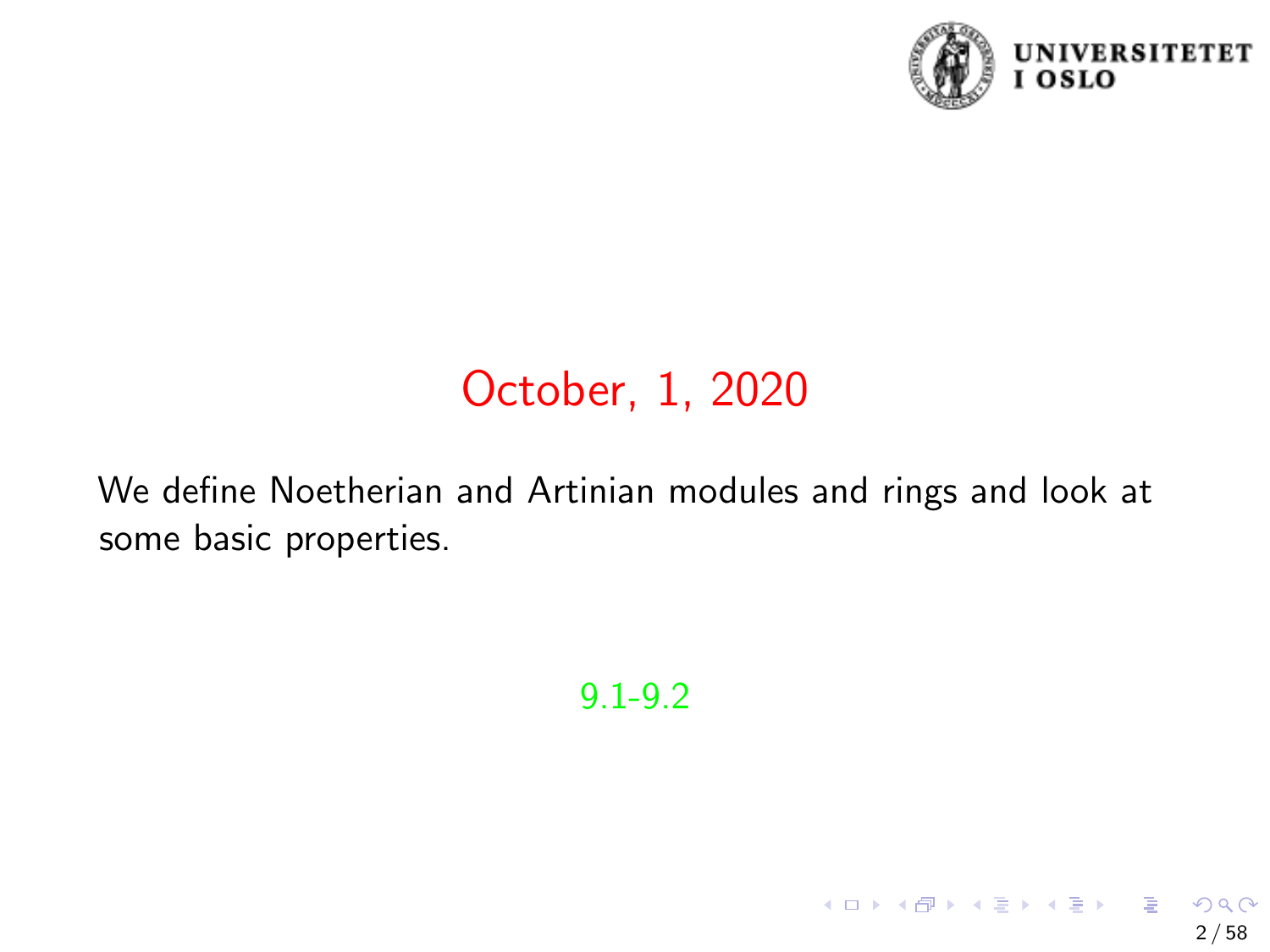

2 / 58

 $209$ 

イロト イ団 トメ ミト メミト 一毛

# October, 1, 2020

We define Noetherian and Artinian modules and rings and look at some basic properties.

9.1-9.2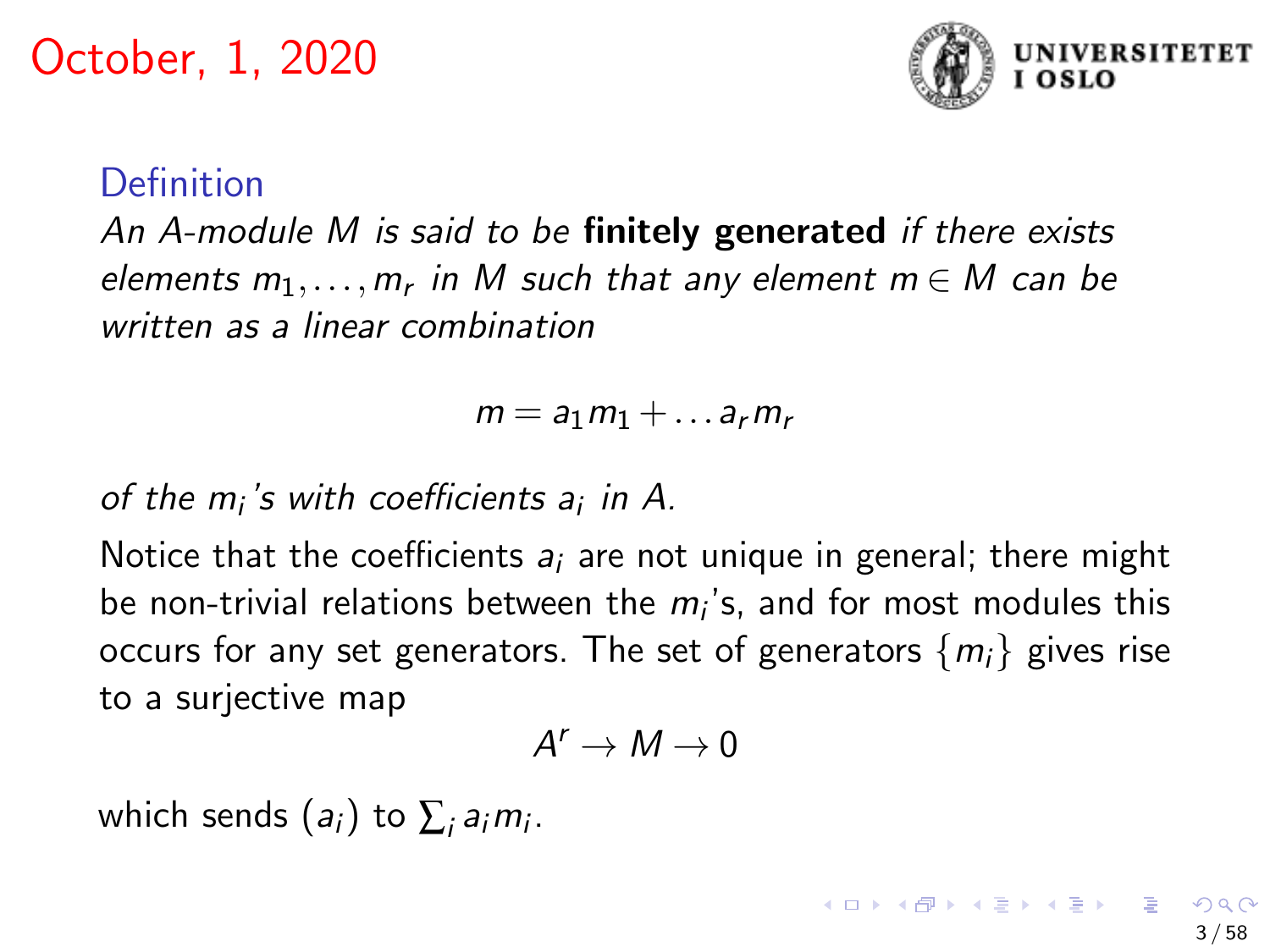

3 / 58

### Definition

An A-module M is said to be finitely generated if there exists elements  $m_1,\ldots,m_r$  in M such that any element  $m\in M$  can be written as a linear combination

$$
m = a_1 m_1 + \dots a_r m_r
$$

of the  $m_i$ 's with coefficients a<sub>i</sub> in A.

Notice that the coefficients  $a_i$  are not unique in general; there might be non-trivial relations between the  $m_i$ 's, and for most modules this occurs for any set generators. The set of generators  $\{m_i\}$  gives rise to a surjective map

$$
A^r \to M \to 0
$$

which sends  $(a_i)$  to  $\sum_i a_i m_i$ .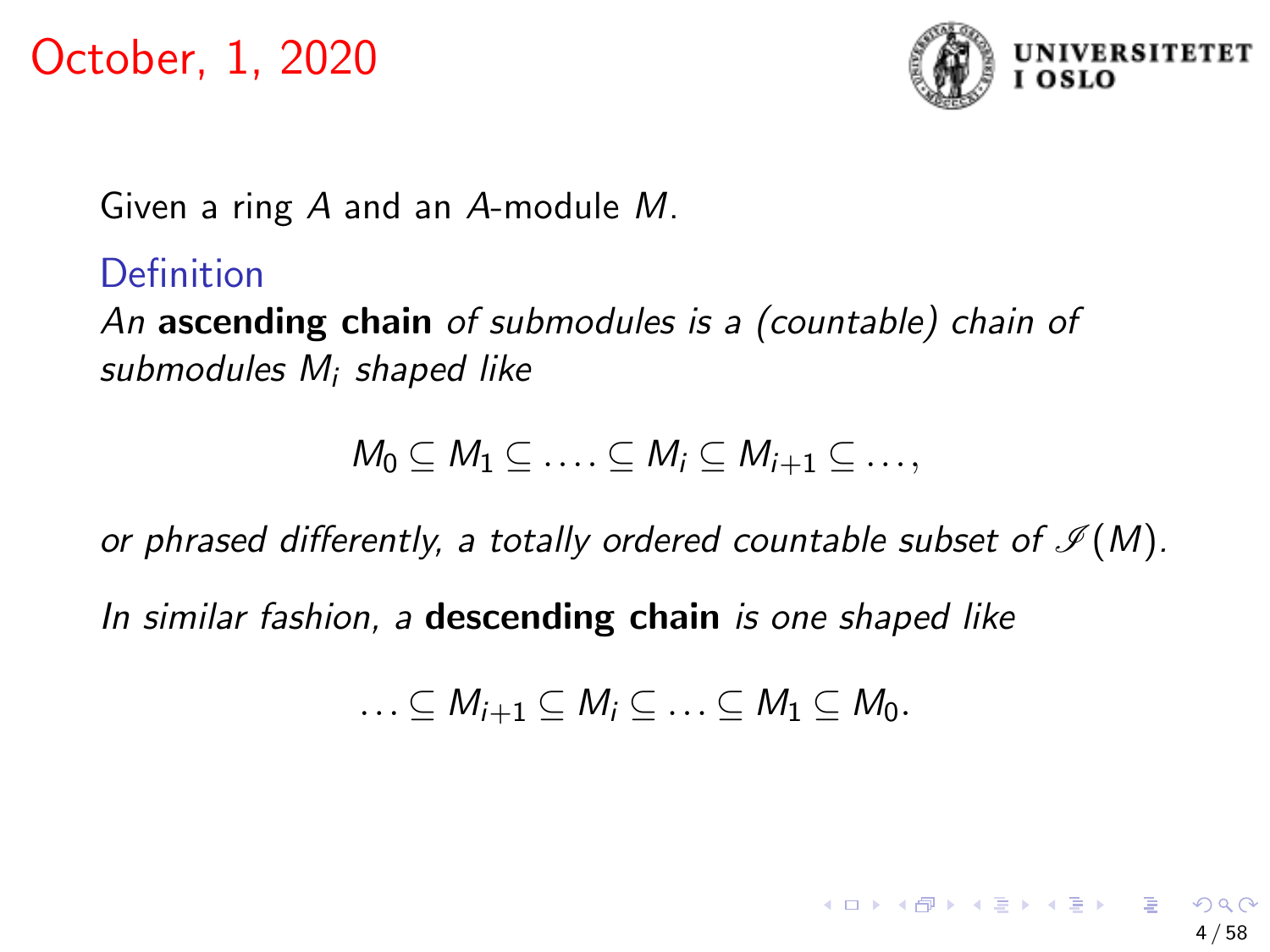

Given a ring A and an A-module M.

## **Definition**

An ascending chain of submodules is a (countable) chain of submodules M<sub>i</sub> shaped like

$$
M_0\subseteq M_1\subseteq \ldots \subseteq M_i\subseteq M_{i+1}\subseteq \ldots,
$$

or phrased differently, a totally ordered countable subset of  $\mathcal{I}(M)$ .

In similar fashion, a **descending chain** is one shaped like

$$
\ldots \subseteq M_{i+1} \subseteq M_i \subseteq \ldots \subseteq M_1 \subseteq M_0.
$$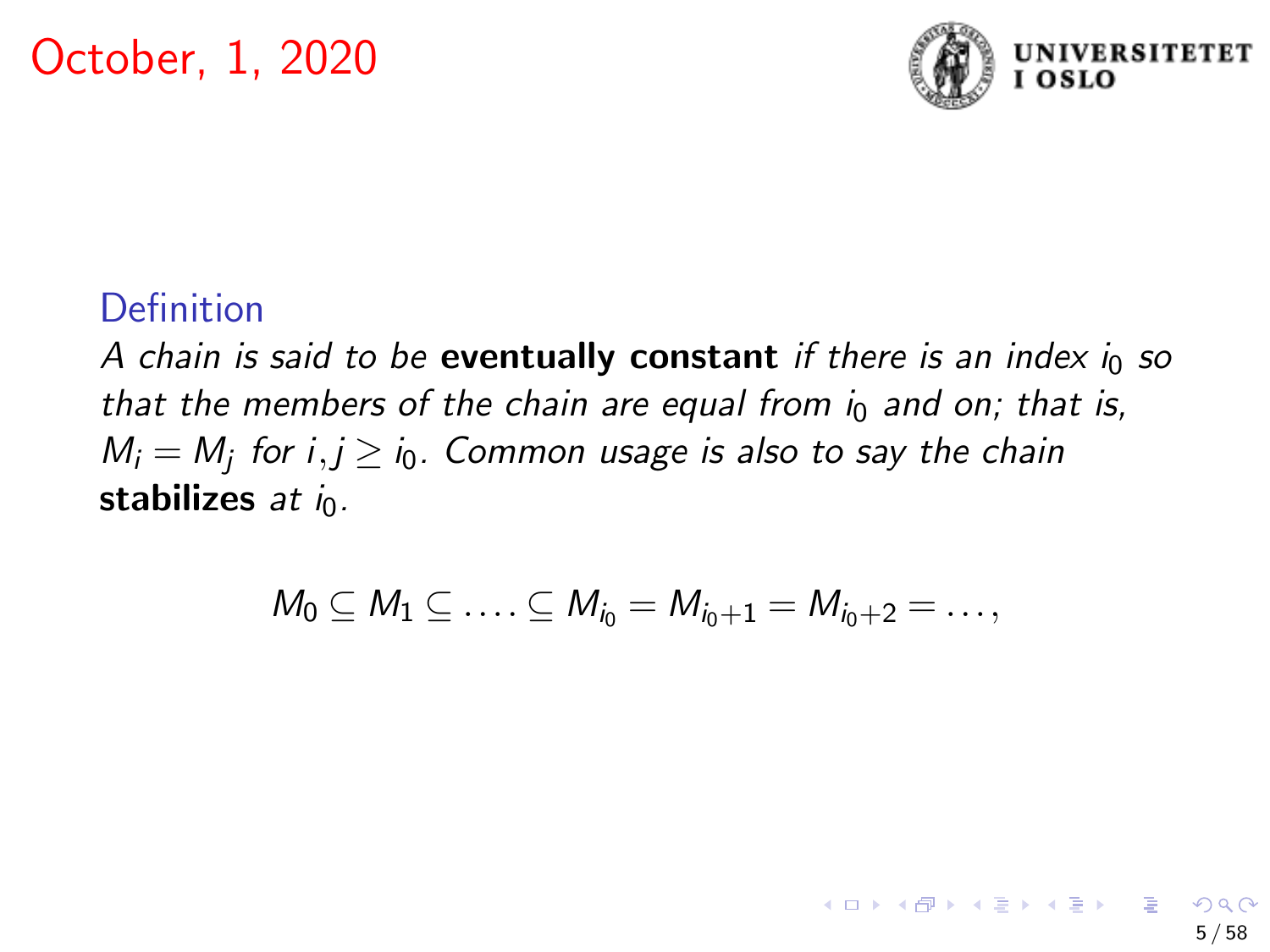

### Definition

A chain is said to be **eventually constant** if there is an index  $i_0$  so that the members of the chain are equal from  $i_0$  and on; that is,  $M_i = M_j$  for i, $j \ge i_0$ . Common usage is also to say the chain stabilizes at in.

$$
M_0 \subseteq M_1 \subseteq \ldots \subseteq M_{i_0} = M_{i_0+1} = M_{i_0+2} = \ldots,
$$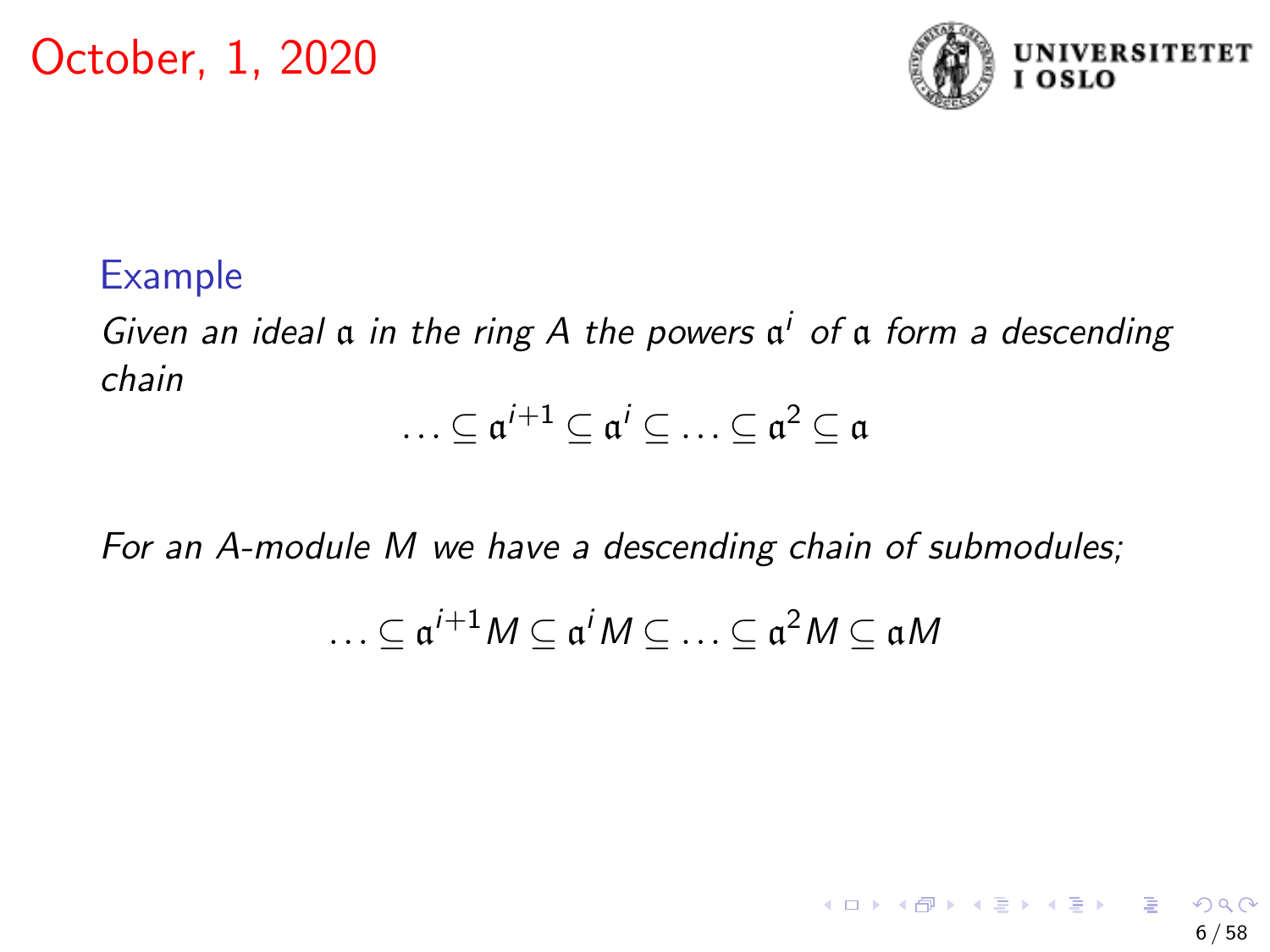

6 / 58

 $A \equiv \begin{pmatrix} 1 & 0 & 0 \\ 0 & 1 & 0 \\ 0 & 0 & 0 \end{pmatrix} \in A \Rightarrow A \equiv \begin{pmatrix} 1 & 0 & 0 \\ 0 & 1 & 0 \\ 0 & 0 & 0 \end{pmatrix} \in A$ 

#### Example

Given an ideal  $\alpha$  in the ring A the powers  $\alpha^i$  of  $\alpha$  form a descending chain

$$
\ldots \subseteq \mathfrak{a}^{i+1} \subseteq \mathfrak{a}^i \subseteq \ldots \subseteq \mathfrak{a}^2 \subseteq \mathfrak{a}
$$

For an A-module M we have a descending chain of submodules;

$$
\ldots \subseteq \mathfrak{a}^{i+1}M \subseteq \mathfrak{a}^iM \subseteq \ldots \subseteq \mathfrak{a}^2M \subseteq \mathfrak{a}M
$$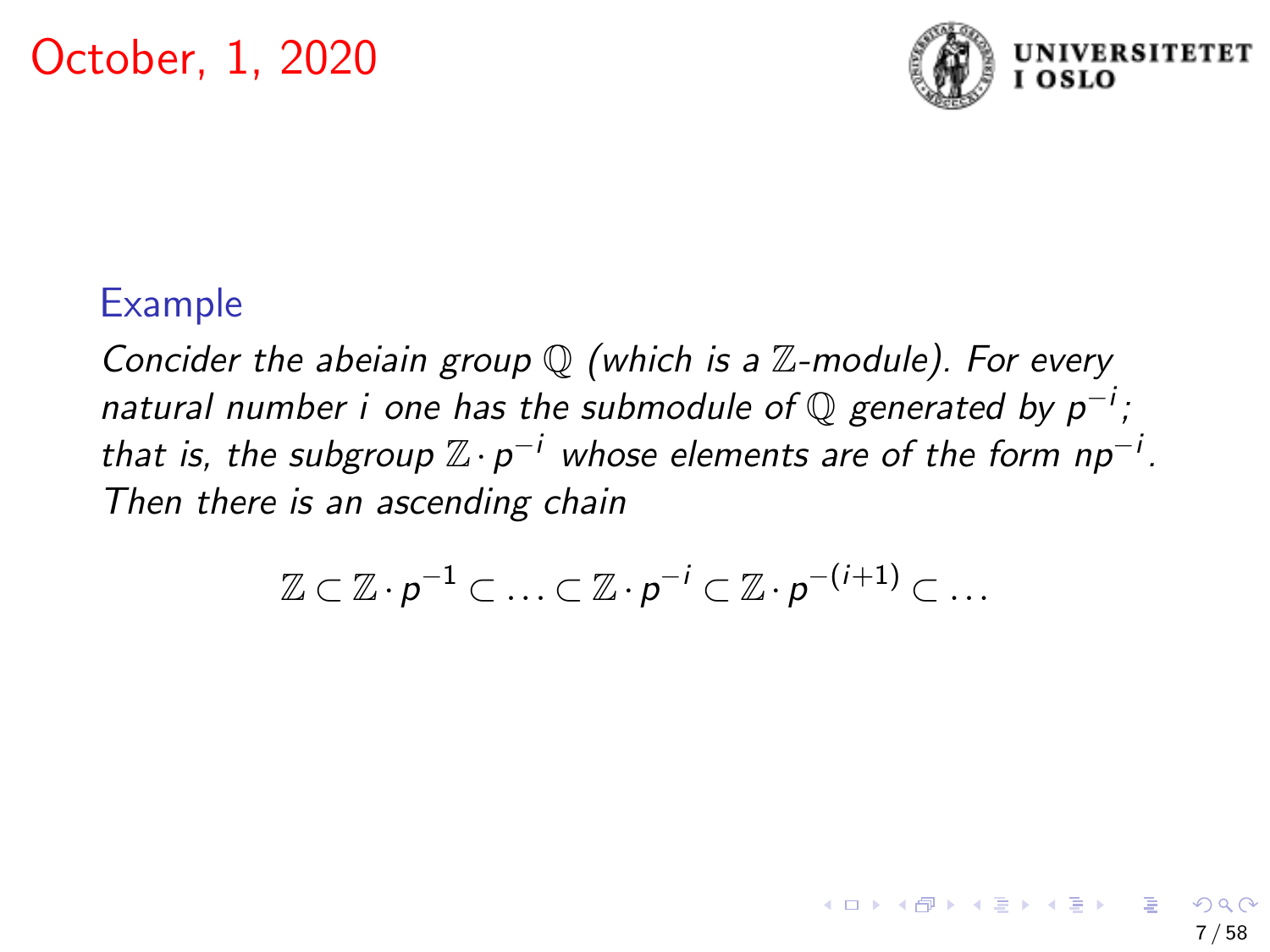

7 / 58

 $A \Box B$   $A \Box B$   $A \Box B$   $A \Box B$   $A \Box B$   $A \Box B$   $B$ 

### Example

Concider the abeiain group  $\mathbb Q$  (which is a  $\mathbb Z$ -module). For every natural number i one has the submodule of  $\mathbb Q$  generated by  $p^{-i}$ ; that is, the subgroup  $\mathbb{Z}\cdot p^{-i}$  whose elements are of the form  $np^{-i}$ . Then there is an ascending chain

$$
\mathbb{Z} \subset \mathbb{Z} \cdot p^{-1} \subset \ldots \subset \mathbb{Z} \cdot p^{-i} \subset \mathbb{Z} \cdot p^{-(i+1)} \subset \ldots
$$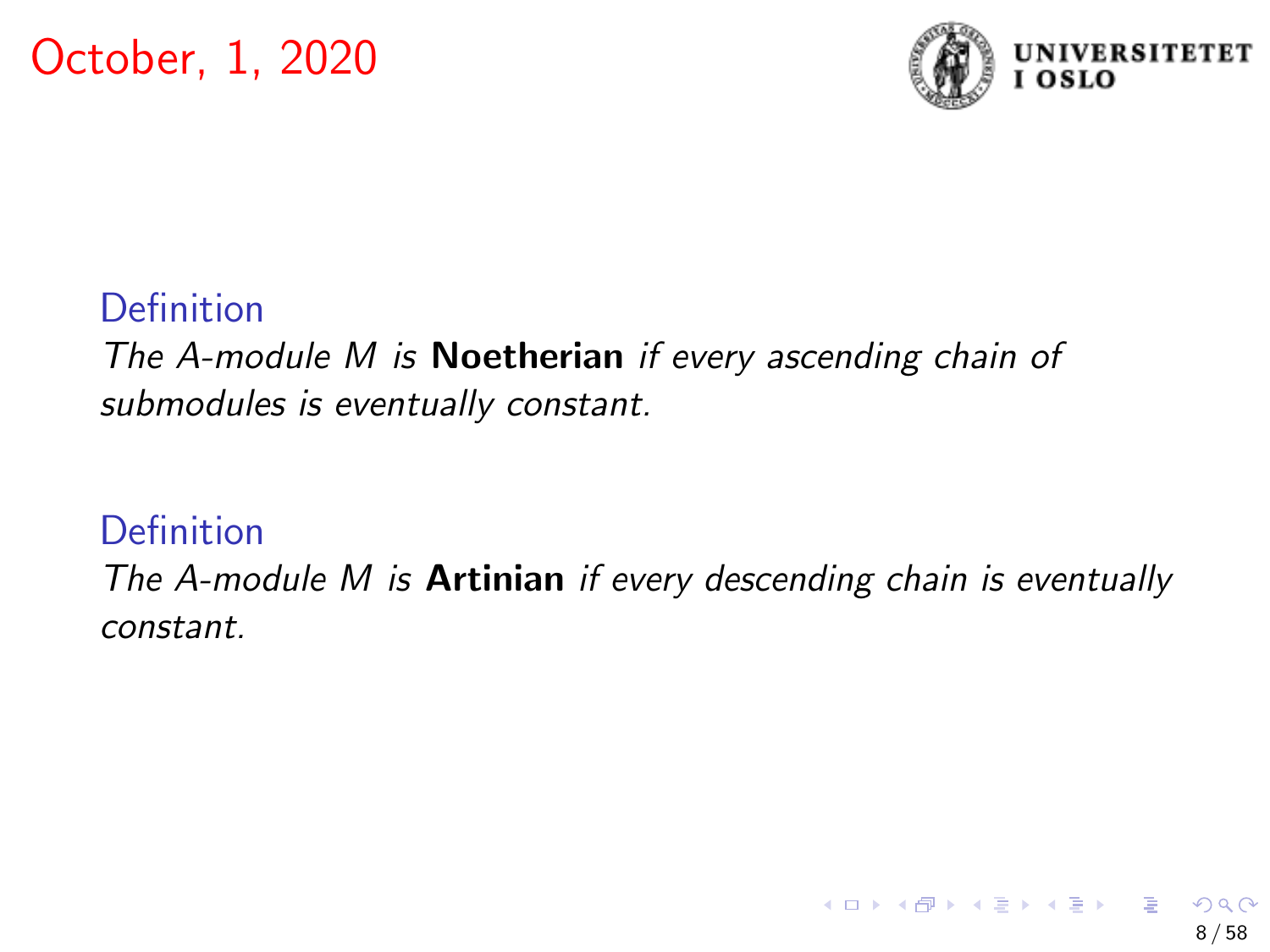

#### Definition

The A-module M is **Noetherian** if every ascending chain of submodules is eventually constant.

### Definition

The A-module  $M$  is Artinian if every descending chain is eventually constant.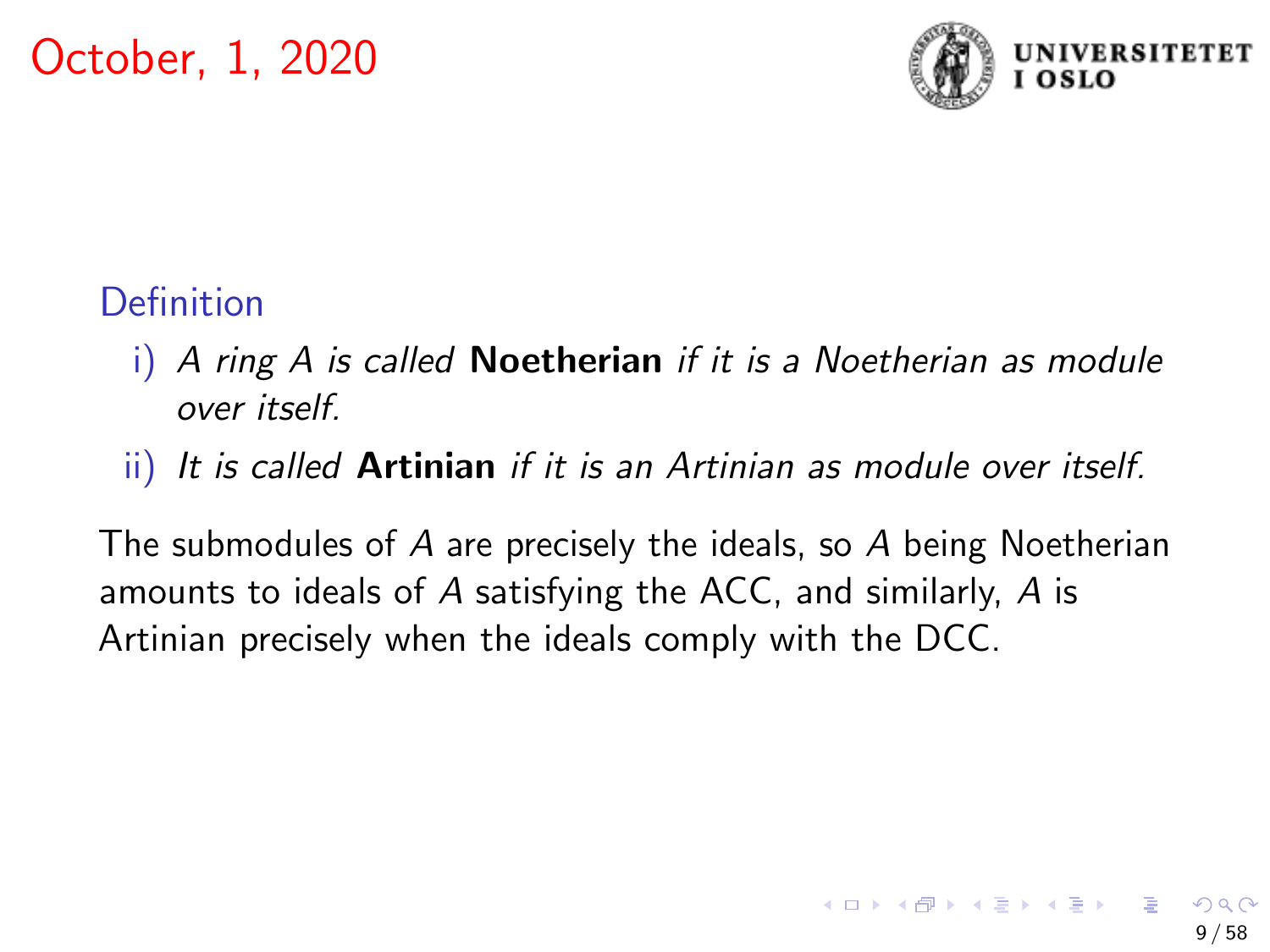

# **Definition**

- $i)$  A ring A is called **Noetherian** if it is a Noetherian as module over itself.
- ii) It is called **Artinian** if it is an Artinian as module over itself.

The submodules of A are precisely the ideals, so A being Noetherian amounts to ideals of A satisfying the ACC, and similarly, A is Artinian precisely when the ideals comply with the DCC.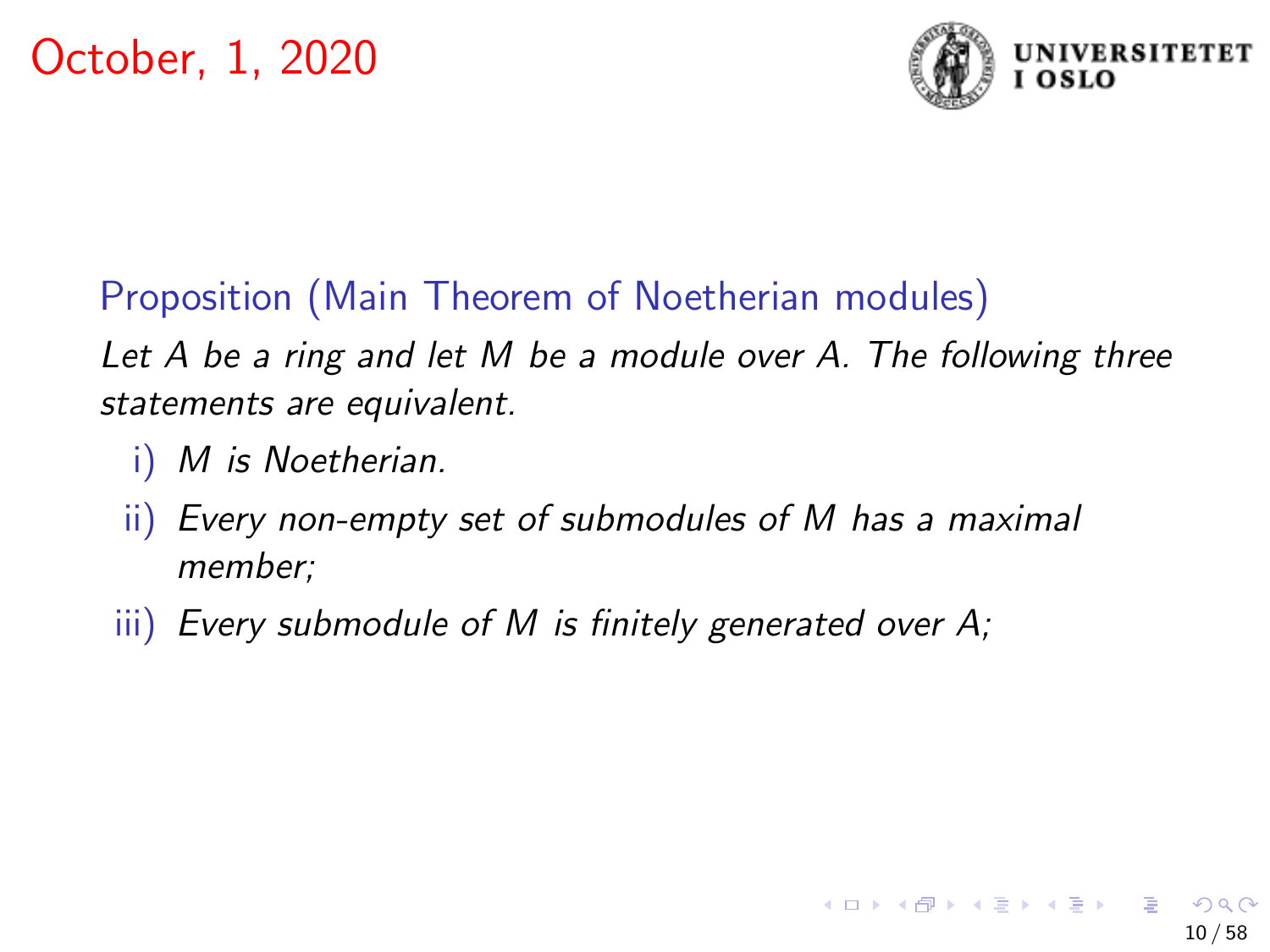

# Proposition (Main Theorem of Noetherian modules)

Let A be a ring and let M be a module over A. The following three statements are equivalent.

- M is Noetherian.
- ii) Every non-empty set of submodules of M has a maximal member;
- iii) Every submodule of M is finitely generated over A;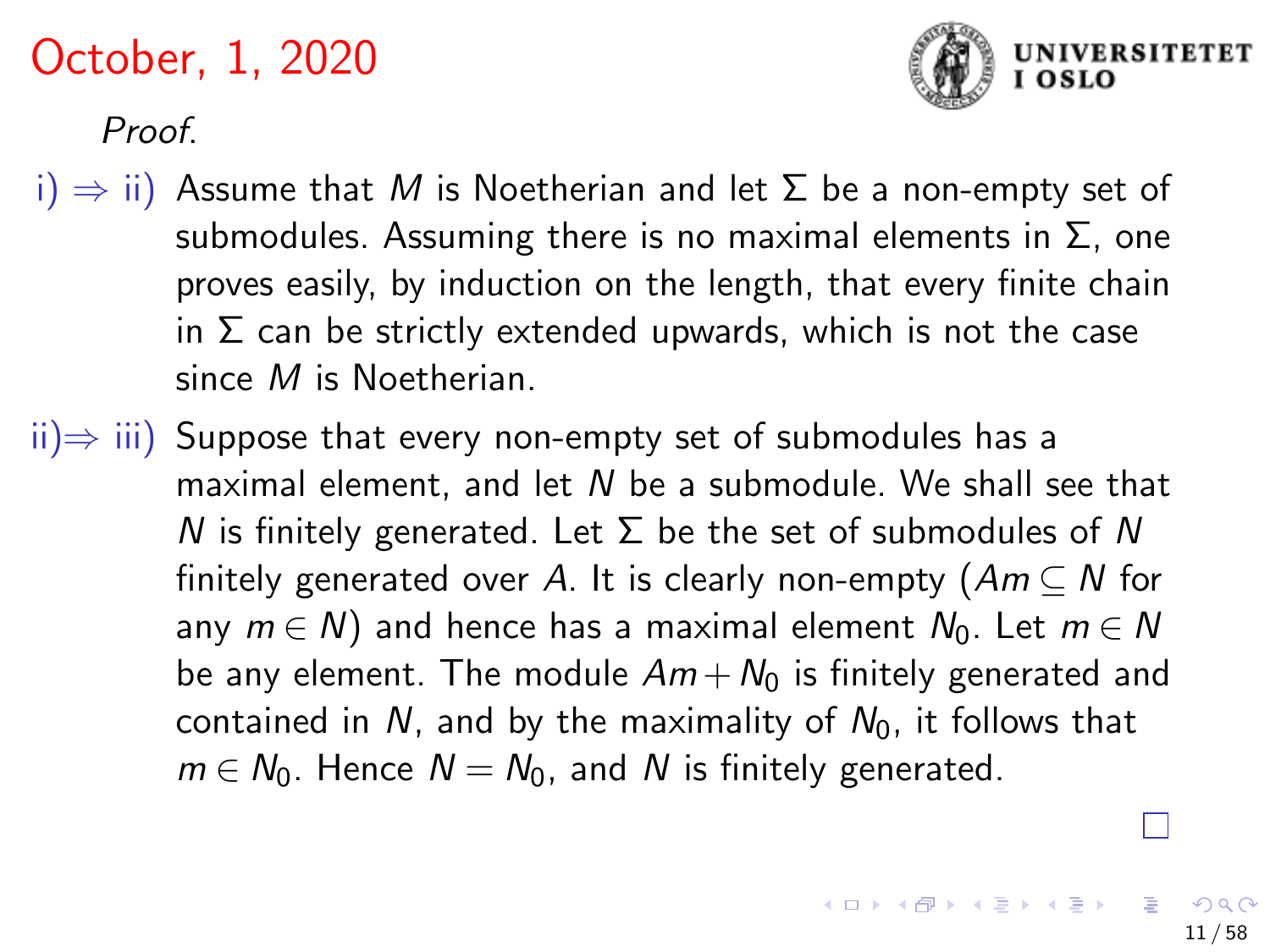

Proof.

- i)  $\Rightarrow$  ii) Assume that M is Noetherian and let  $\Sigma$  be a non-empty set of submodules. Assuming there is no maximal elements in  $\Sigma$ , one proves easily, by induction on the length, that every finite chain in  $\Sigma$  can be strictly extended upwards, which is not the case since M is Noetherian.
- $\overline{ii}$  iii) Suppose that every non-empty set of submodules has a maximal element, and let N be a submodule. We shall see that N is finitely generated. Let  $\Sigma$  be the set of submodules of N finitely generated over A. It is clearly non-empty  $(Am\subset N$  for any  $m \in N$ ) and hence has a maximal element  $N_0$ . Let  $m \in N$ be any element. The module  $Am+N<sub>0</sub>$  is finitely generated and contained in N, and by the maximality of  $N_0$ , it follows that  $m \in N_0$ . Hence  $N = N_0$ , and N is finitely generated.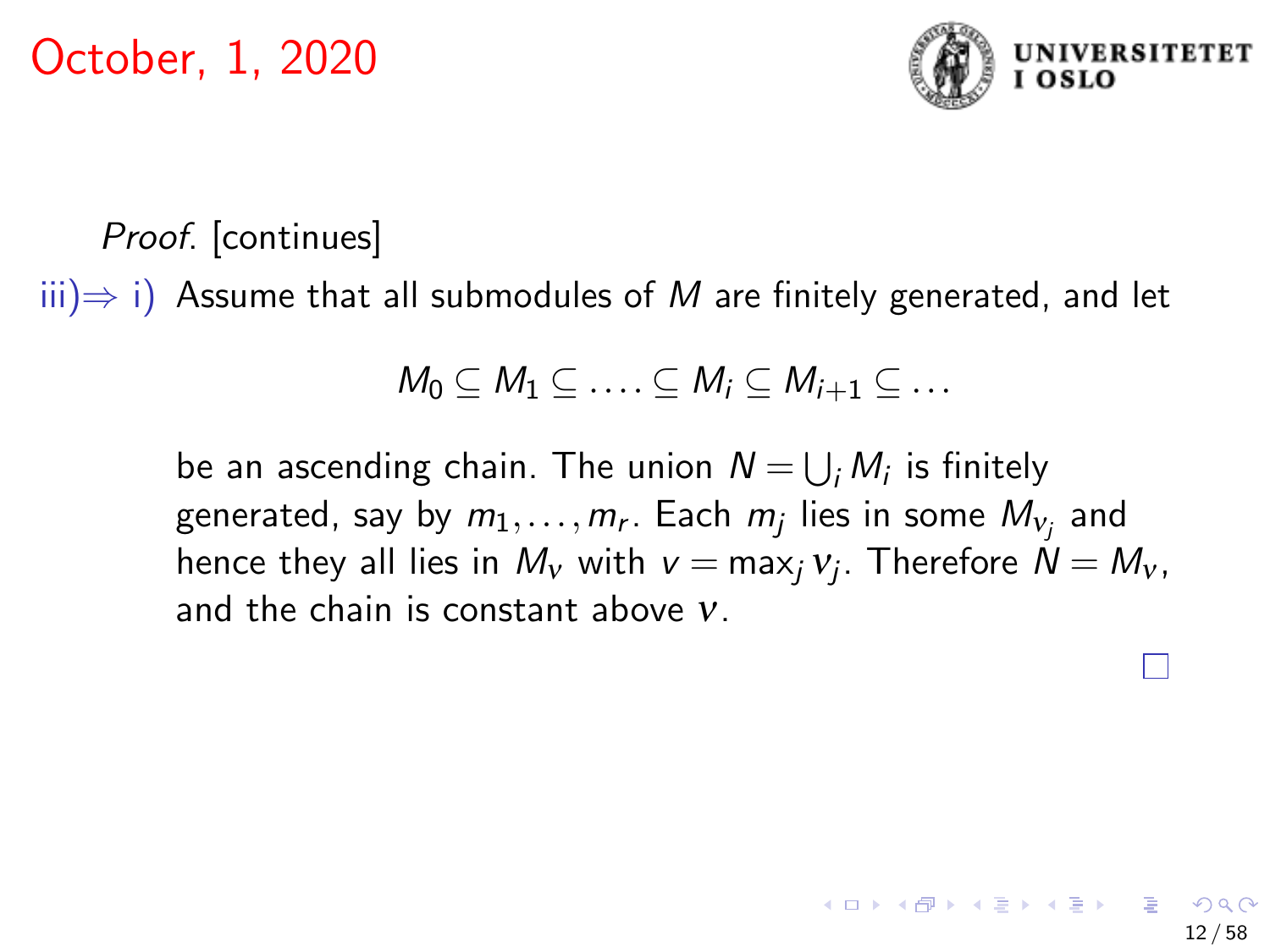

Proof. [continues]

 $(iii) \Rightarrow i$ ) Assume that all submodules of M are finitely generated, and let

$$
M_0\subseteq M_1\subseteq \ldots \subseteq M_i\subseteq M_{i+1}\subseteq \ldots
$$

be an ascending chain. The union  $N = \bigcup_i M_i$  is finitely generated, say by  $m_1,\ldots,m_r.$  Each  $m_j$  lies in some  $M_{\mathsf{v}_j}$  and hence they all lies in  $M_{\rm\scriptscriptstyle V}$  with  ${\rm\scriptstyle V}=$  max $_{\rm\scriptscriptstyle J}$   ${\rm\scriptstyle V}$ ,  $\Gamma$ herefore  $N=M_{\rm\scriptscriptstyle V}$ , and the chain is constant above ν.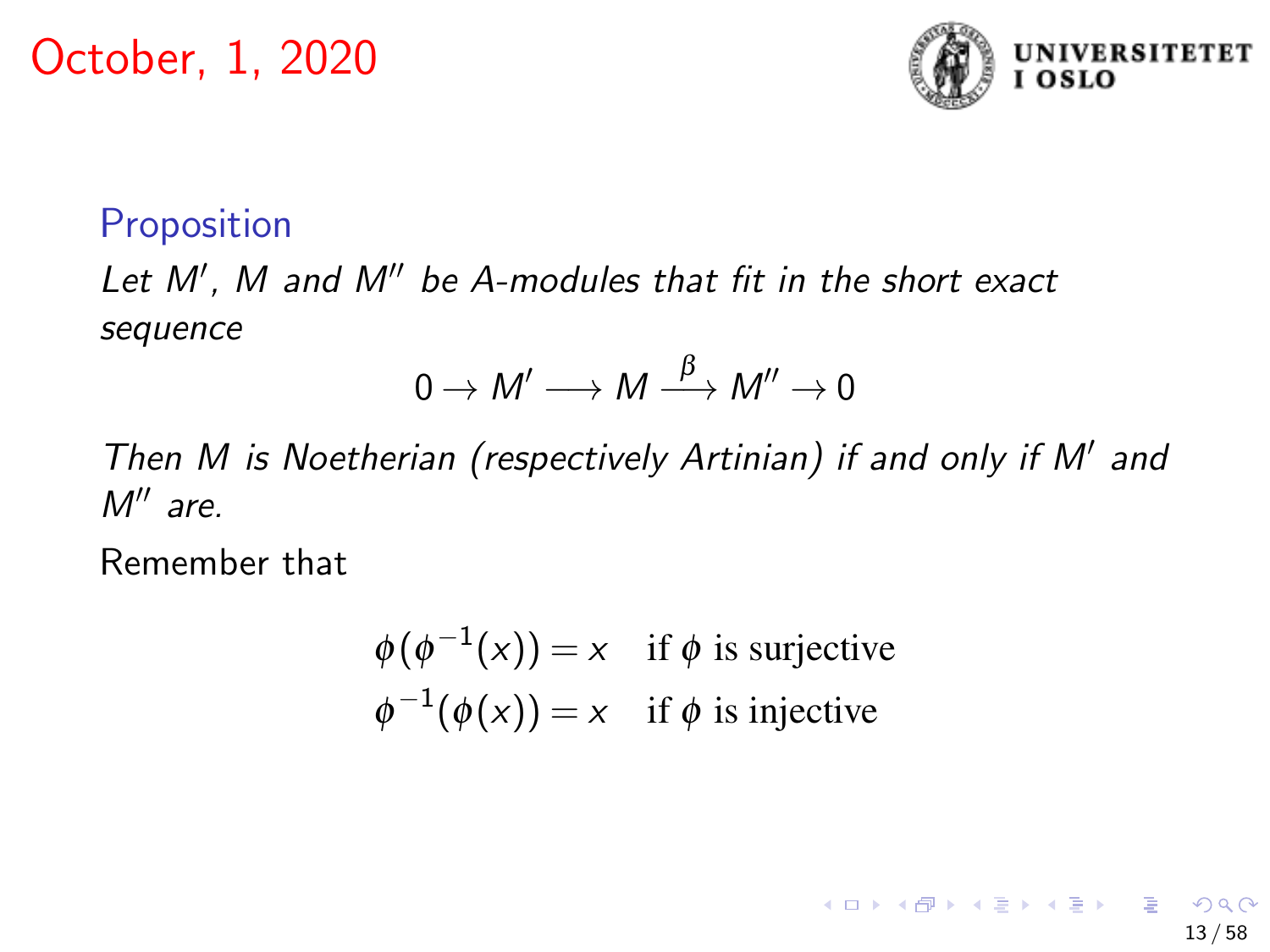

13 / 58

イロト イ押 トイヨ トイヨ トー

### **Proposition**

Let M', M and M" be A-modules that fit in the short exact sequence

$$
0 \to M' \longrightarrow M \stackrel{\beta}{\longrightarrow} M'' \to 0
$$

Then M is Noetherian (respectively Artinian) if and only if M' and  $M''$  are.

Remember that

$$
\phi(\phi^{-1}(x)) = x \quad \text{if } \phi \text{ is surjective}
$$
  

$$
\phi^{-1}(\phi(x)) = x \quad \text{if } \phi \text{ is injective}
$$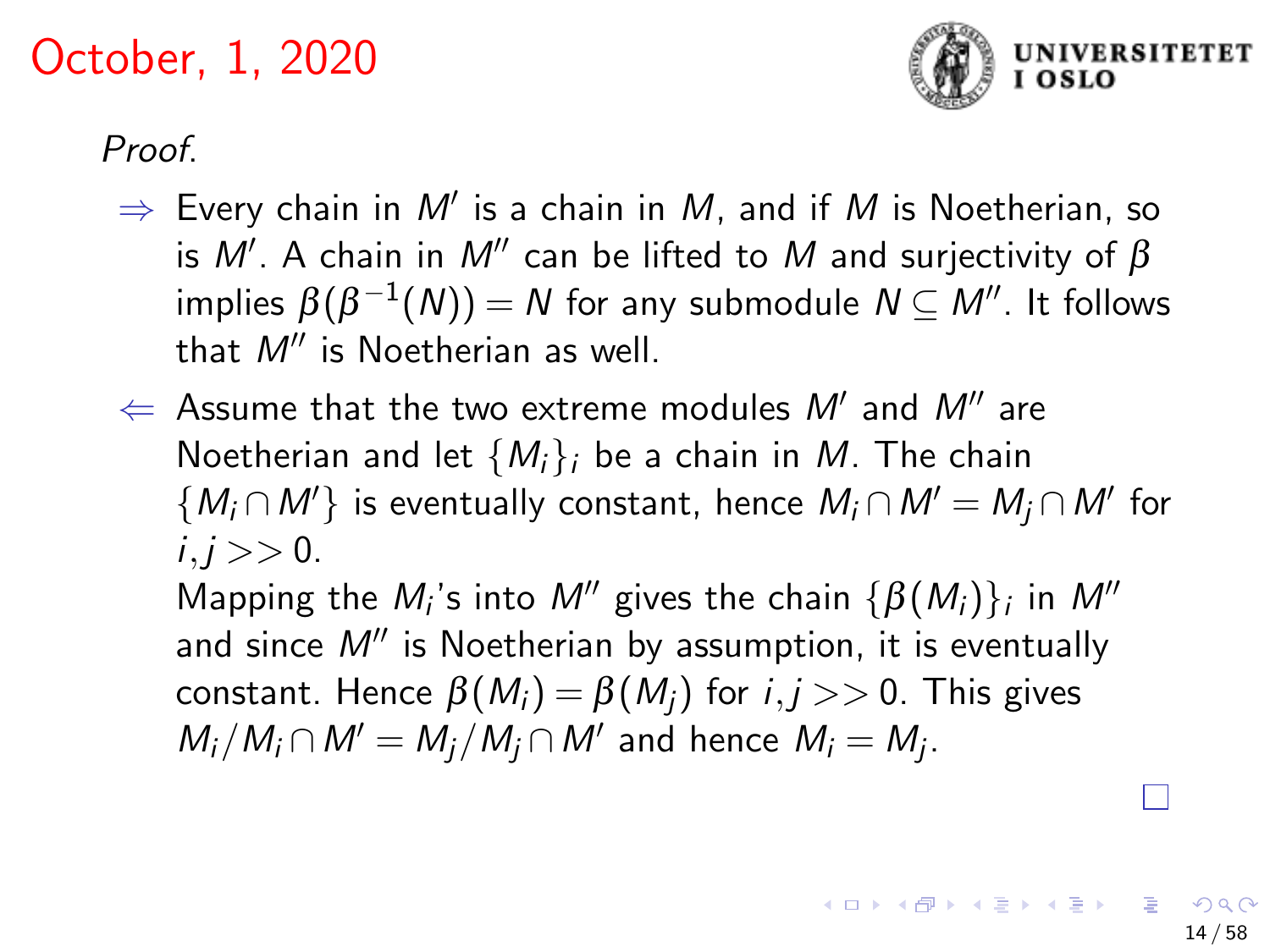

Proof.

- $\Rightarrow$  Every chain in  $M'$  is a chain in  $M$ , and if  $M$  is Noetherian, so is  $M'$ . A chain in  $M''$  can be lifted to  $M$  and surjectivity of  $\beta$ implies  $\beta(\beta^{-1}(N))=N$  for any submodule  $N\subseteq M''$ . It follows that  $M''$  is Noetherian as well.
- $\Leftarrow$  Assume that the two extreme modules  $M'$  and  $M''$  are Noetherian and let  ${M_i}$ ; be a chain in M. The chain  $\{M_i \cap M'\}$  is eventually constant, hence  $M_i \cap M' = M_j \cap M'$  for  $i, j >> 0.$

Mapping the  $M_i$ 's into  $M''$  gives the chain  $\{\beta(M_i)\}_i$  in  $M''$ and since  $M''$  is Noetherian by assumption, it is eventually constant. Hence  $\beta(M_i) = \beta(M_i)$  for  $i, j >> 0$ . This gives  $M_i/M_i \cap M' = M_j/M_j \cap M'$  and hence  $M_i = M_j$ .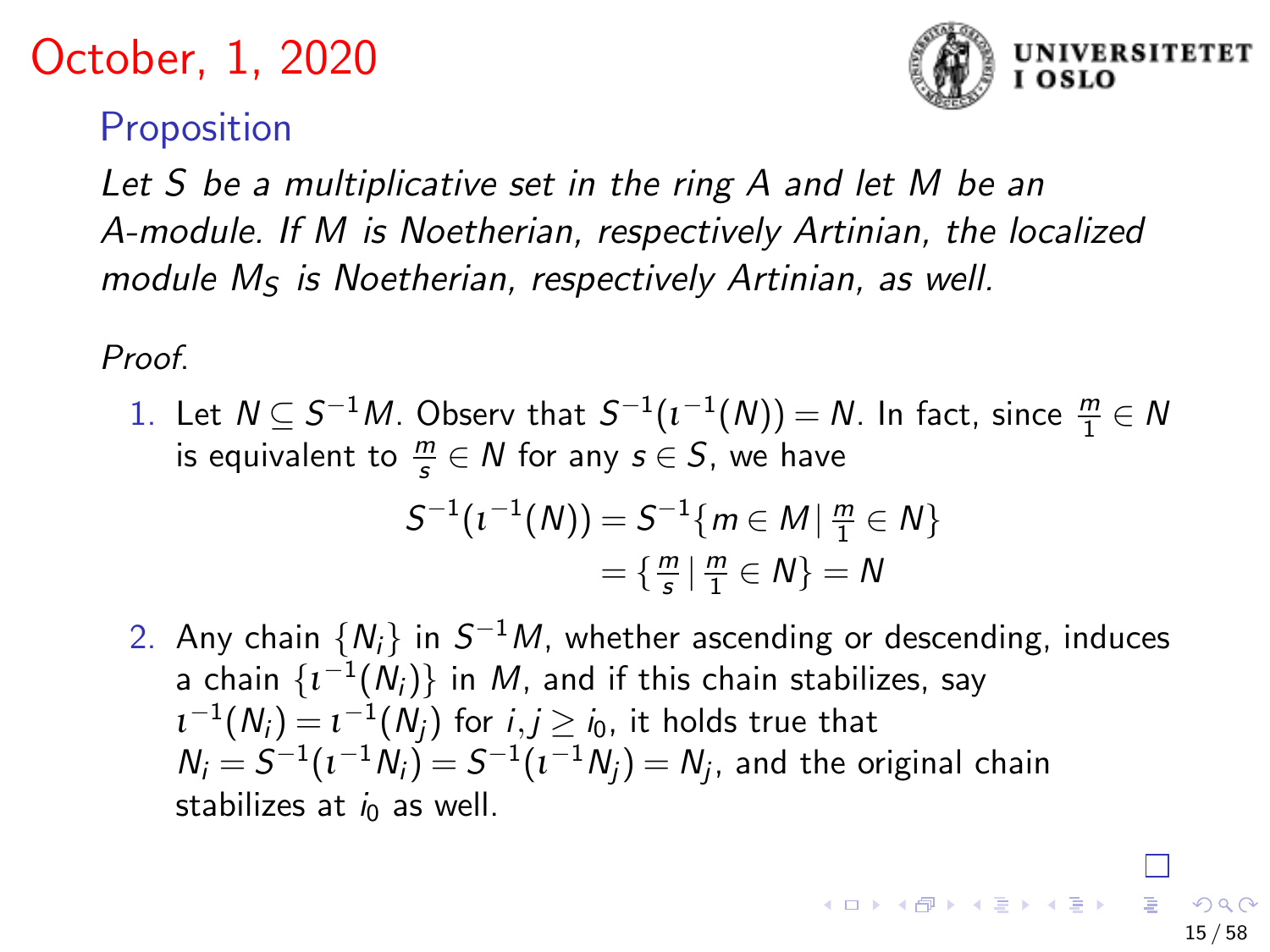

15 / 58

### **Proposition**

Let S be a multiplicative set in the ring A and let M be an A-module. If M is Noetherian, respectively Artinian, the localized module  $M<sub>S</sub>$  is Noetherian, respectively Artinian, as well.

Proof.

1. Let  $N \subseteq S^{-1}M$ . Observ that  $S^{-1}(\iota^{-1}(N)) = N$ . In fact, since  $\frac{m}{1} \in N$ is equivalent to  $\frac{m}{s} \in N$  for any  $s \in S$ , we have

$$
S^{-1}(t^{-1}(N)) = S^{-1}\{m \in M \mid \frac{m}{1} \in N\} \\
= \{\frac{m}{s} \mid \frac{m}{1} \in N\} = N
$$

2. Any chain  $\{N_i\}$  in  $S^{-1}M$ , whether ascending or descending, induces a chain  $\{ \iota^{-1}(N_i) \}$  in  $M$ , and if this chain stabilizes, say  $\iota^{-1}(N_i)=\iota^{-1}(N_j)$  for  $i,j\geq i_0$ , it holds true that  $N_i=S^{-1}(\iota^{-1}N_i\vec{)}=S^{-1}(\iota^{-1}N_j)=N_j$ , and the original chain stabilizes at  $i_0$  as well.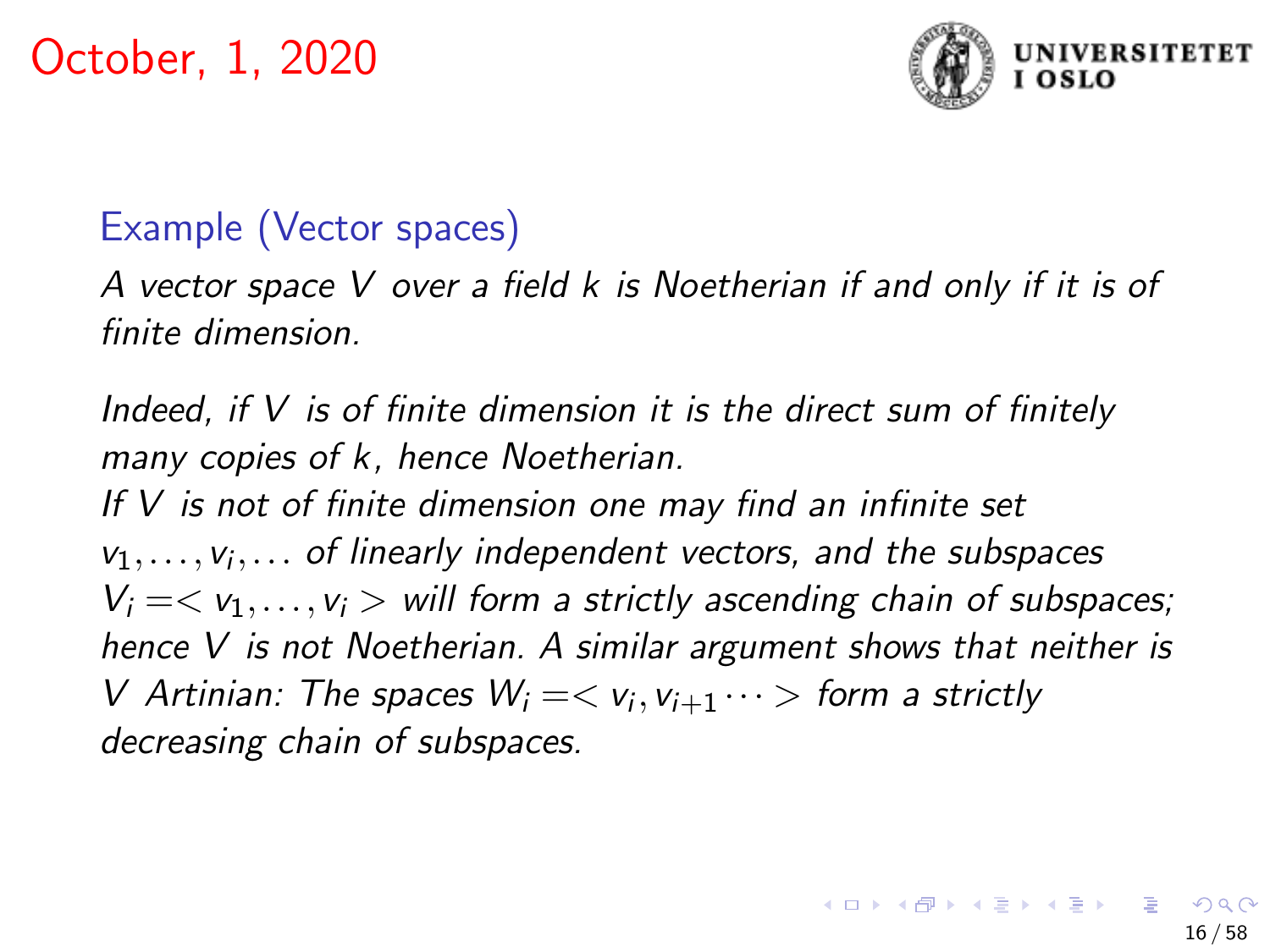

# Example (Vector spaces)

A vector space V over a field k is Noetherian if and only if it is of finite dimension.

Indeed, if  $V$  is of finite dimension it is the direct sum of finitely many copies of k, hence Noetherian.

If V is not of finite dimension one may find an infinite set  $v_1, \ldots, v_i, \ldots$  of linearly independent vectors, and the subspaces  $V_i = \langle v_1, \ldots, v_i \rangle$  will form a strictly ascending chain of subspaces; hence V is not Noetherian. A similar argument shows that neither is V Artinian: The spaces  $W_i = \langle v_i, v_{i+1} \cdots \rangle$  form a strictly decreasing chain of subspaces.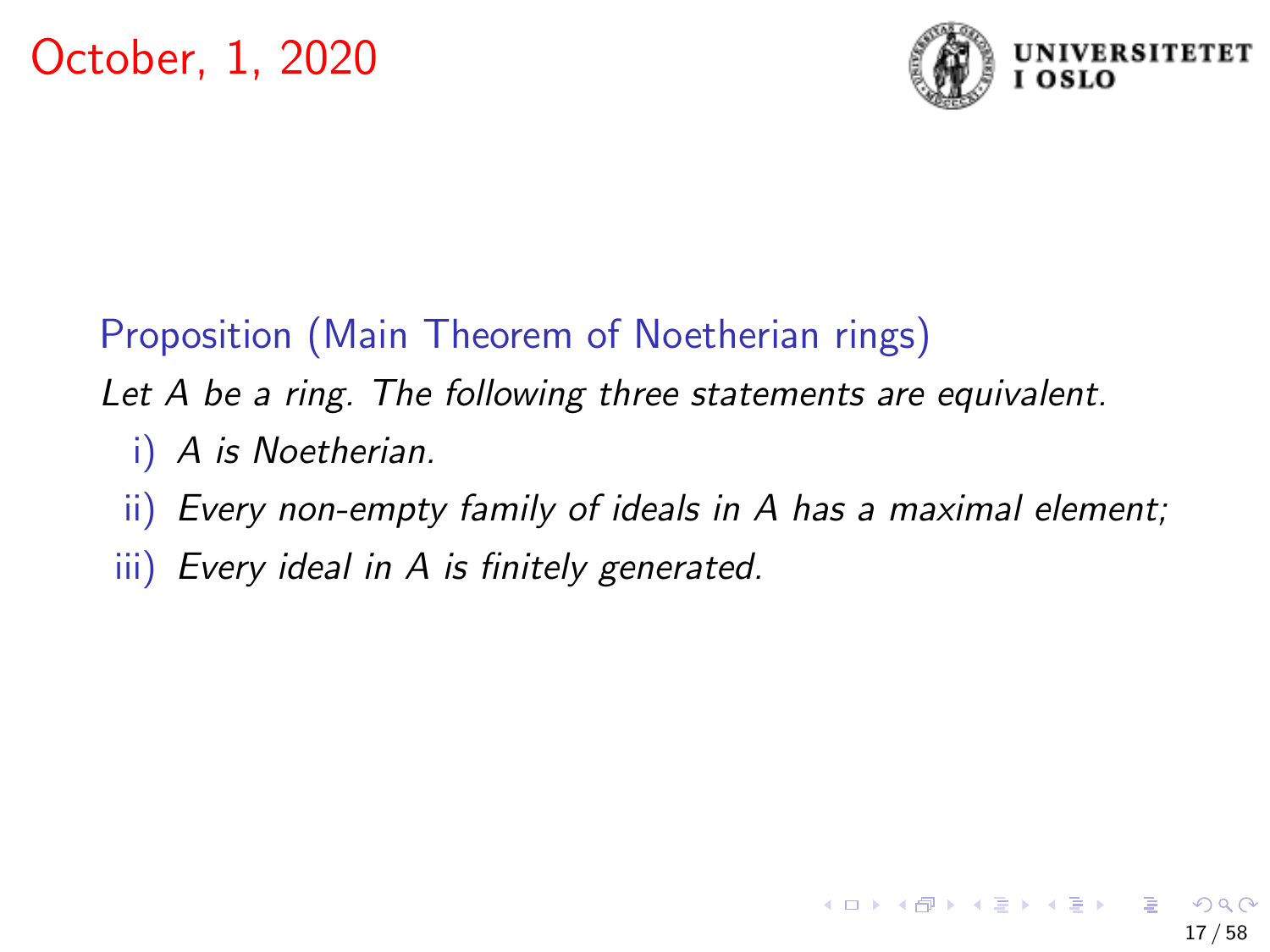

# Proposition (Main Theorem of Noetherian rings)

Let A be a ring. The following three statements are equivalent.

- i) A is Noetherian.
- ii) Every non-empty family of ideals in A has a maximal element;
- iii) Every ideal in A is finitely generated.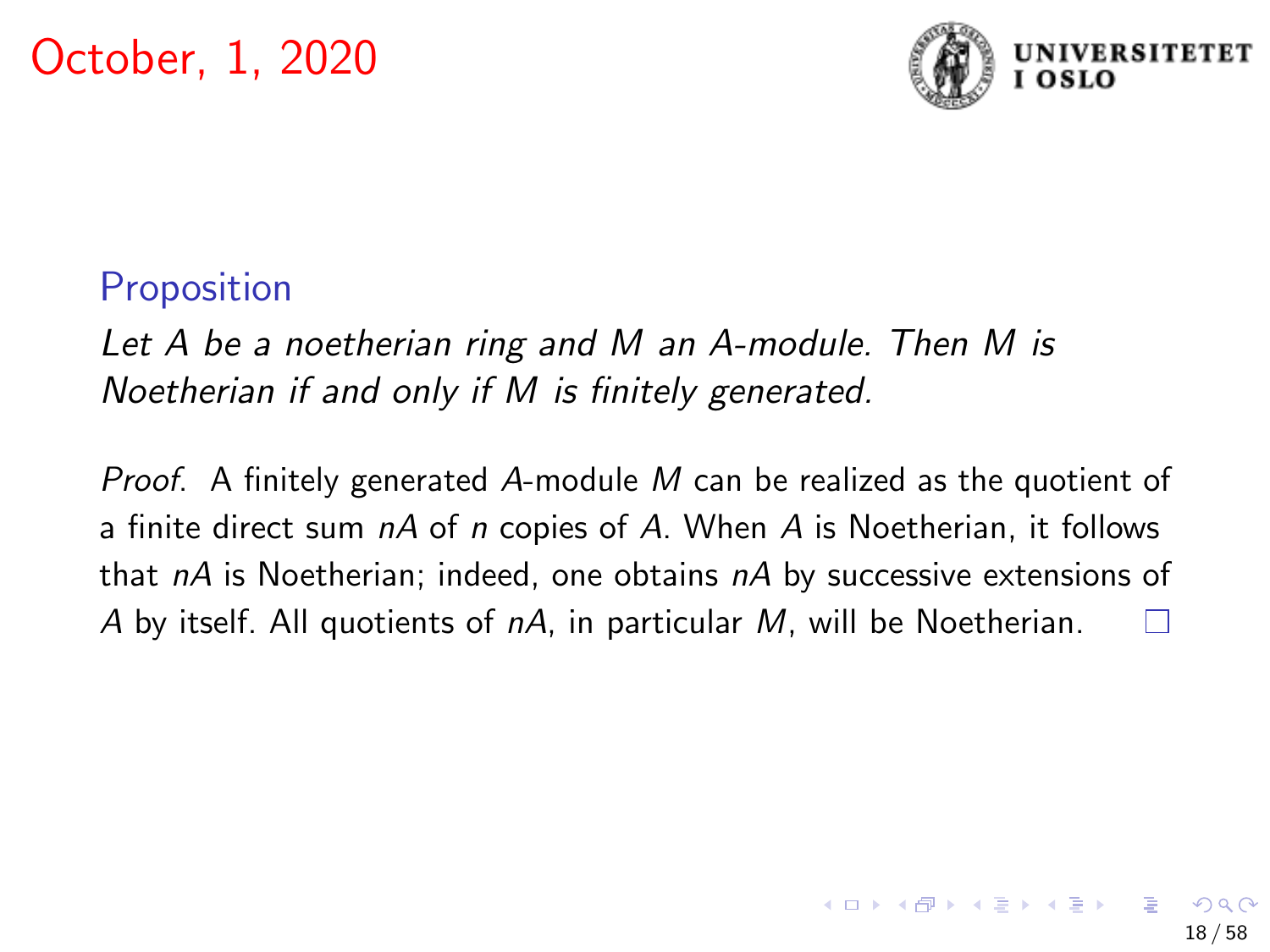

## Proposition

Let A be a noetherian ring and M an A-module. Then M is Noetherian if and only if M is finitely generated.

*Proof.* A finitely generated A-module M can be realized as the quotient of a finite direct sum  $nA$  of n copies of A. When A is Noetherian, it follows that  $nA$  is Noetherian; indeed, one obtains  $nA$  by successive extensions of A by itself. All quotients of nA, in particular M, will be Noetherian.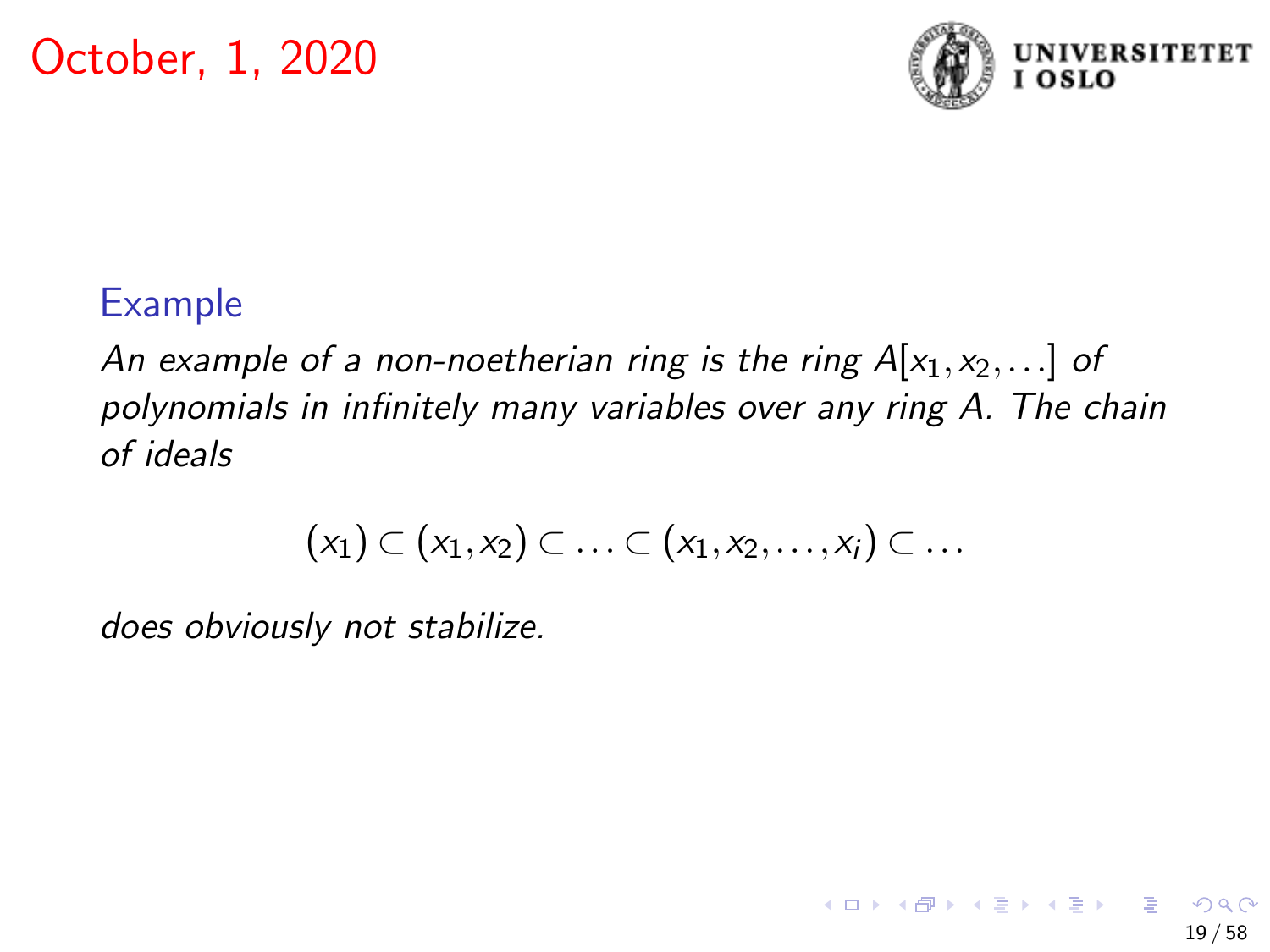

## Example

An example of a non-noetherian ring is the ring  $A[x_1,x_2,...]$  of polynomials in infinitely many variables over any ring A. The chain of ideals

$$
(x_1) \subset (x_1, x_2) \subset \ldots \subset (x_1, x_2, \ldots, x_i) \subset \ldots
$$

does obviously not stabilize.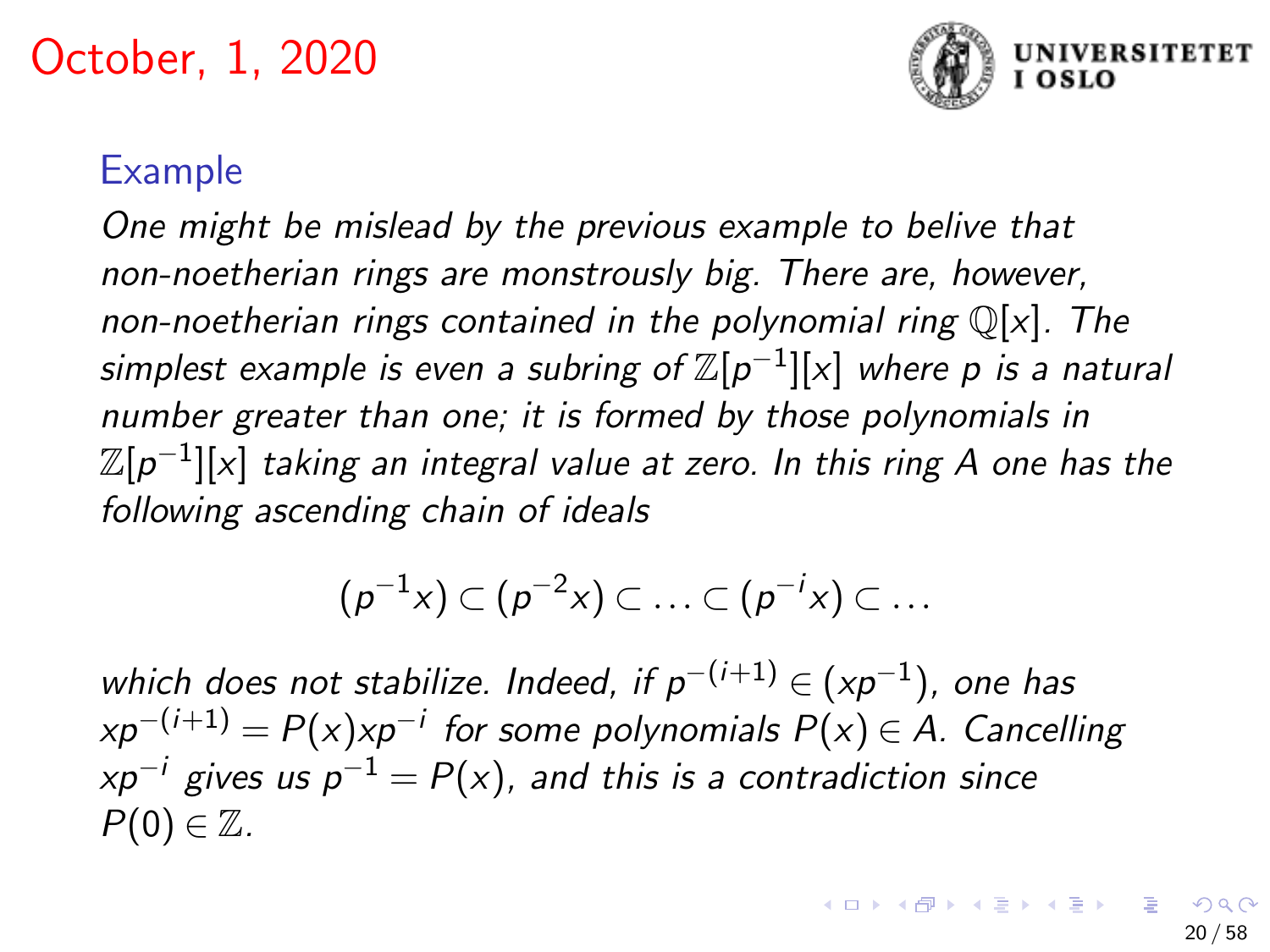

#### Example

One might be mislead by the previous example to belive that non-noetherian rings are monstrously big. There are, however, non-noetherian rings contained in the polynomial ring  $\mathbb{Q}[x]$ . The simplest example is even a subring of  $\mathbb{Z}[p^{-1}][\mathrm{x}]$  where  $p$  is a natural number greater than one; it is formed by those polynomials in  $\mathbb Z[p^{-1}][\mathrm{\mathsf{x}}]$  taking an integral value at zero. In this ring A one has the following ascending chain of ideals

$$
(p^{-1}x)\subset (p^{-2}x)\subset \ldots \subset (p^{-i}x)\subset \ldots
$$

which does not stabilize. Indeed, if  $p^{-(i+1)}$   $\in$   $(xp^{-1})$ , one has  $xp^{-(i+1)} = P(x) x p^{-i}$  for some polynomials  $P(x) \in A$ . Cancelling  $xp^{-i}$  gives us  $p^{-1} = P(x)$ , and this is a contradiction since  $P(0) \in \mathbb{Z}$ .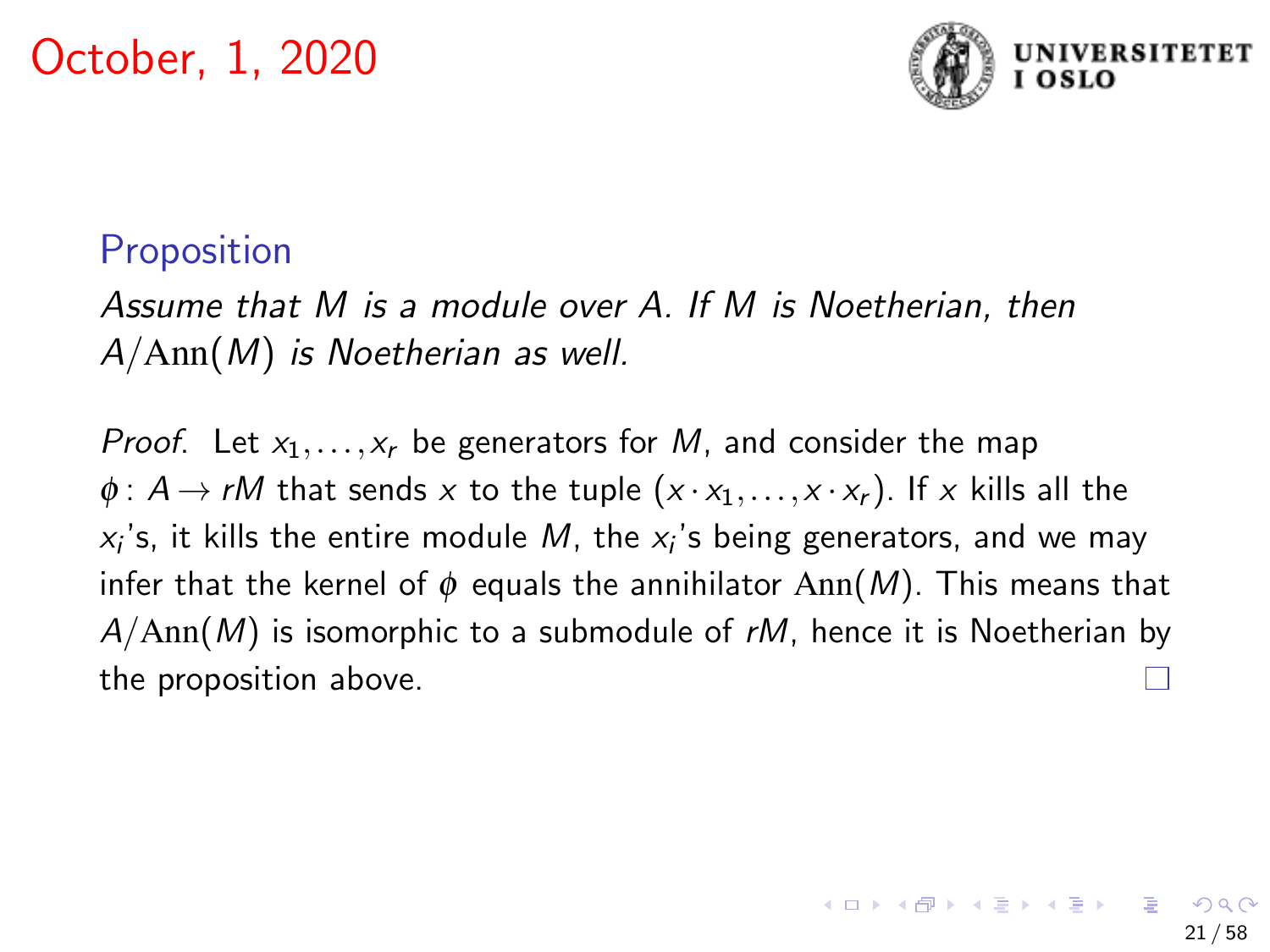

### **Proposition**

Assume that M is a module over A. If M is Noetherian, then  $A/Ann(M)$  is Noetherian as well.

*Proof.* Let  $x_1, \ldots, x_r$  be generators for M, and consider the map  $\phi: A \rightarrow rM$  that sends x to the tuple  $(x \cdot x_1, \ldots, x \cdot x_r)$ . If x kills all the  $x_i$ 's, it kills the entire module  $M$ , the  $x_i$ 's being generators, and we may infer that the kernel of  $\phi$  equals the annihilator Ann(M). This means that  $A/Ann(M)$  is isomorphic to a submodule of rM, hence it is Noetherian by the proposition above.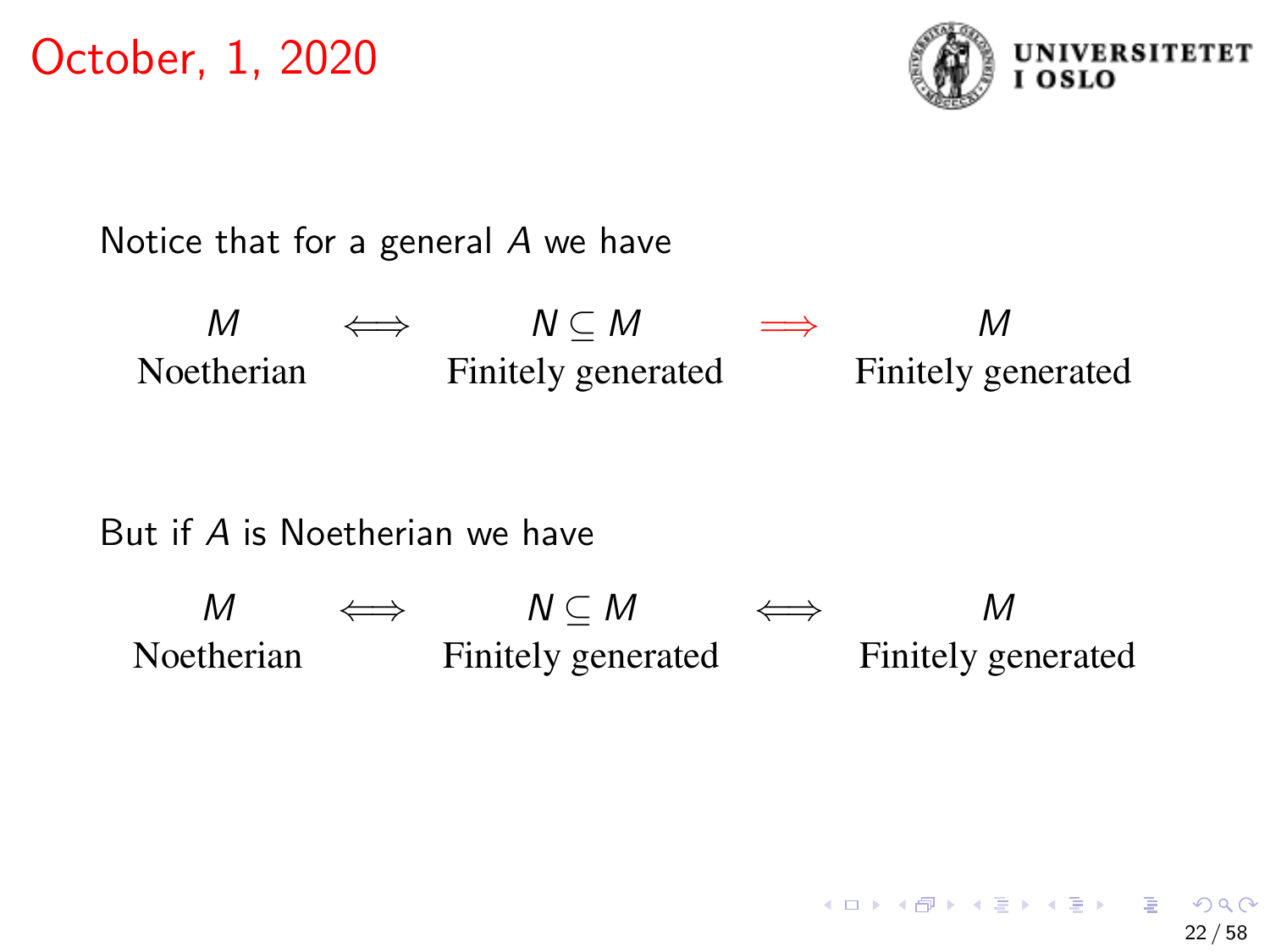

Notice that for a general A we have

 $M \qquad \Longleftrightarrow \qquad N \subseteq M \qquad \Longrightarrow \qquad \qquad M$ Noetherian Finitely generated Finitely generated

#### But if A is Noetherian we have

 $M \qquad \Longleftrightarrow \qquad N \subseteq M \qquad \Longleftrightarrow \qquad M$ Noetherian Finitely generated Finitely generated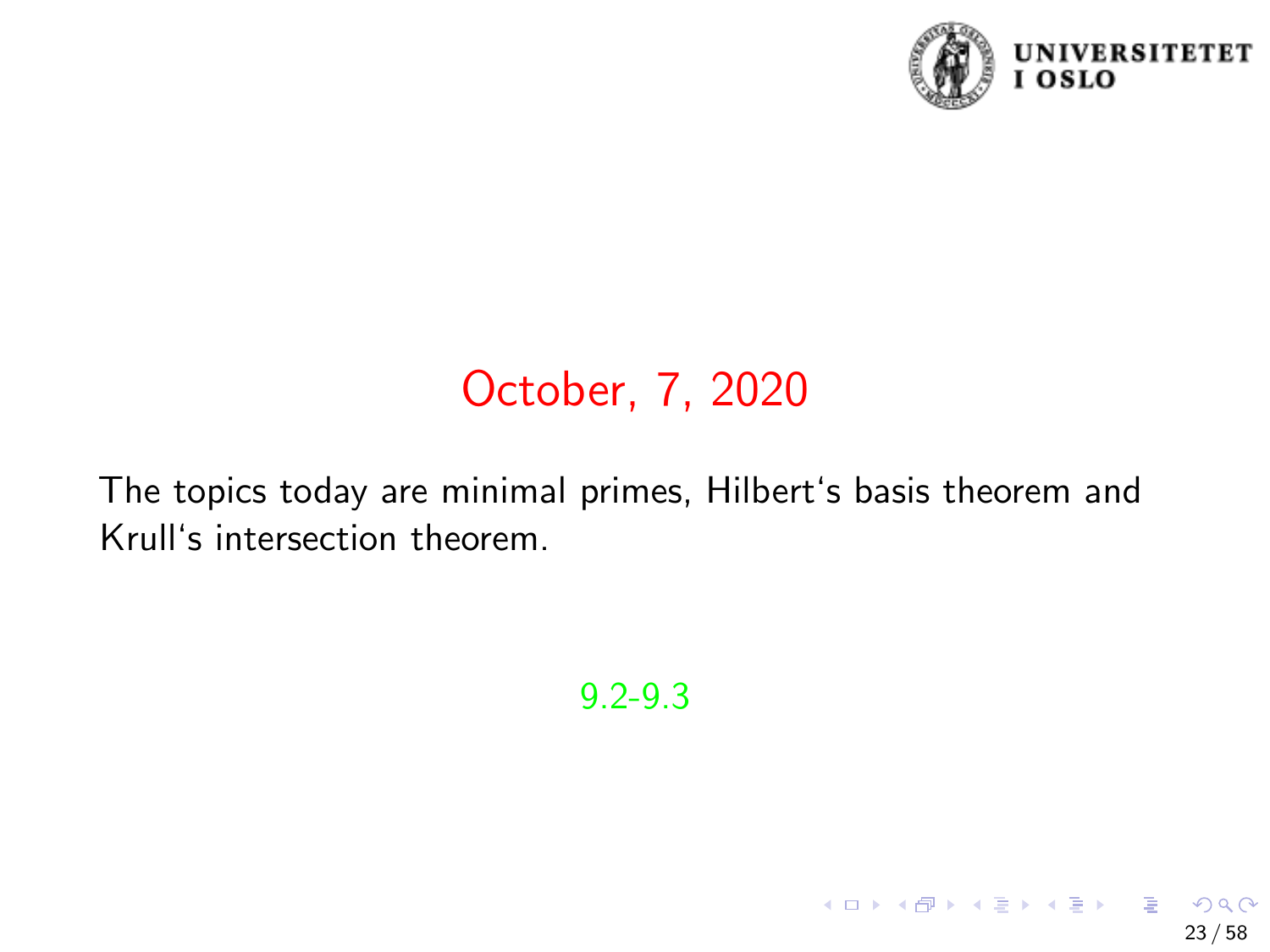

23 / 58

イロト 不優 トメ 差 トメ 差 トー 差

# October, 7, 2020

The topics today are minimal primes, Hilbert's basis theorem and Krull's intersection theorem.

9.2-9.3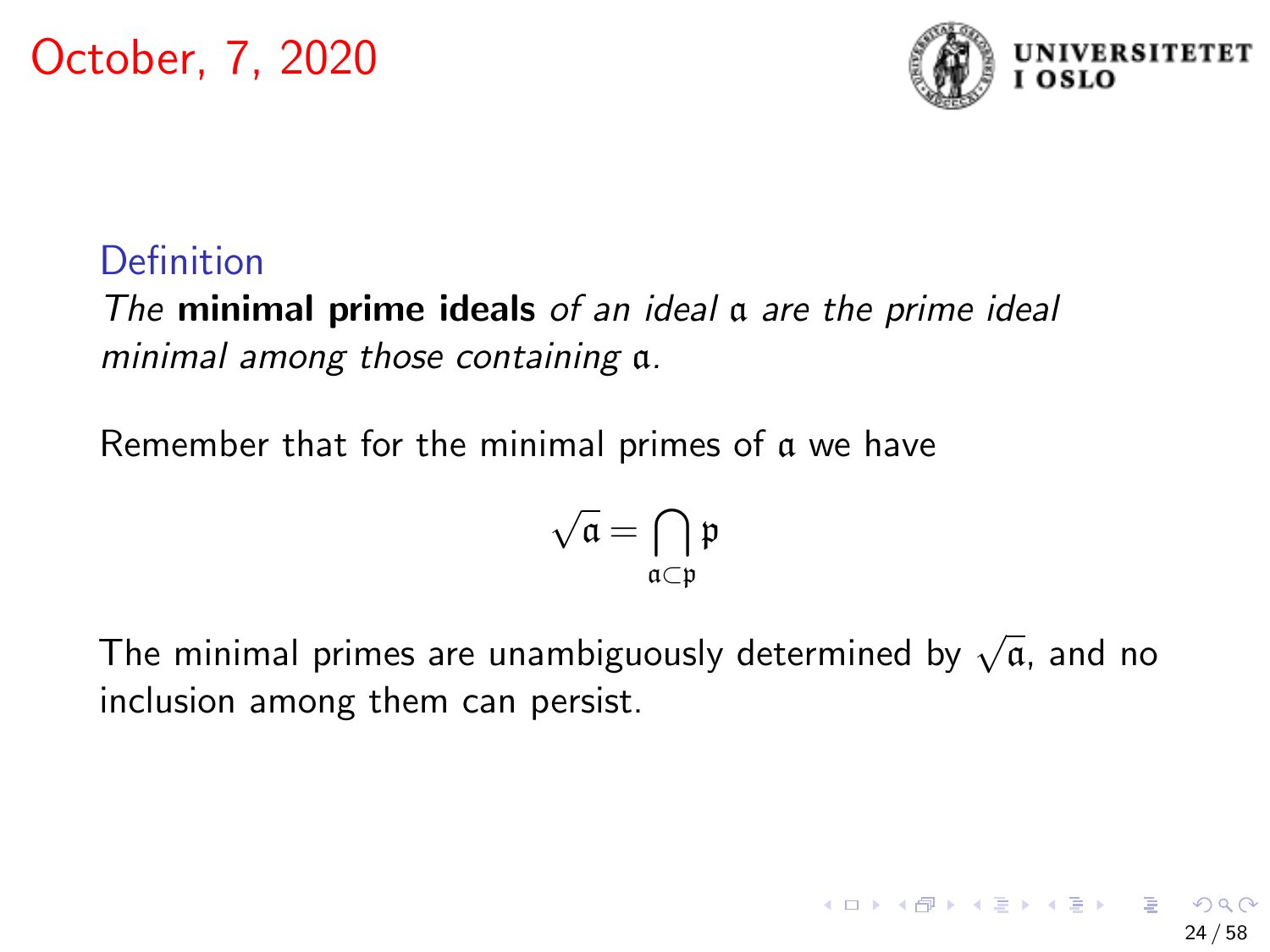

# Definition

The **minimal prime ideals** of an ideal a are the prime ideal minimal among those containing a.

Remember that for the minimal primes of a we have

$$
\sqrt{\mathfrak{a}}=\bigcap_{\mathfrak{a}\subset\mathfrak{p}}\mathfrak{p}
$$

The minimal primes are unambiguously determined by  $\sqrt{\mathfrak{a}}$ , and no inclusion among them can persist.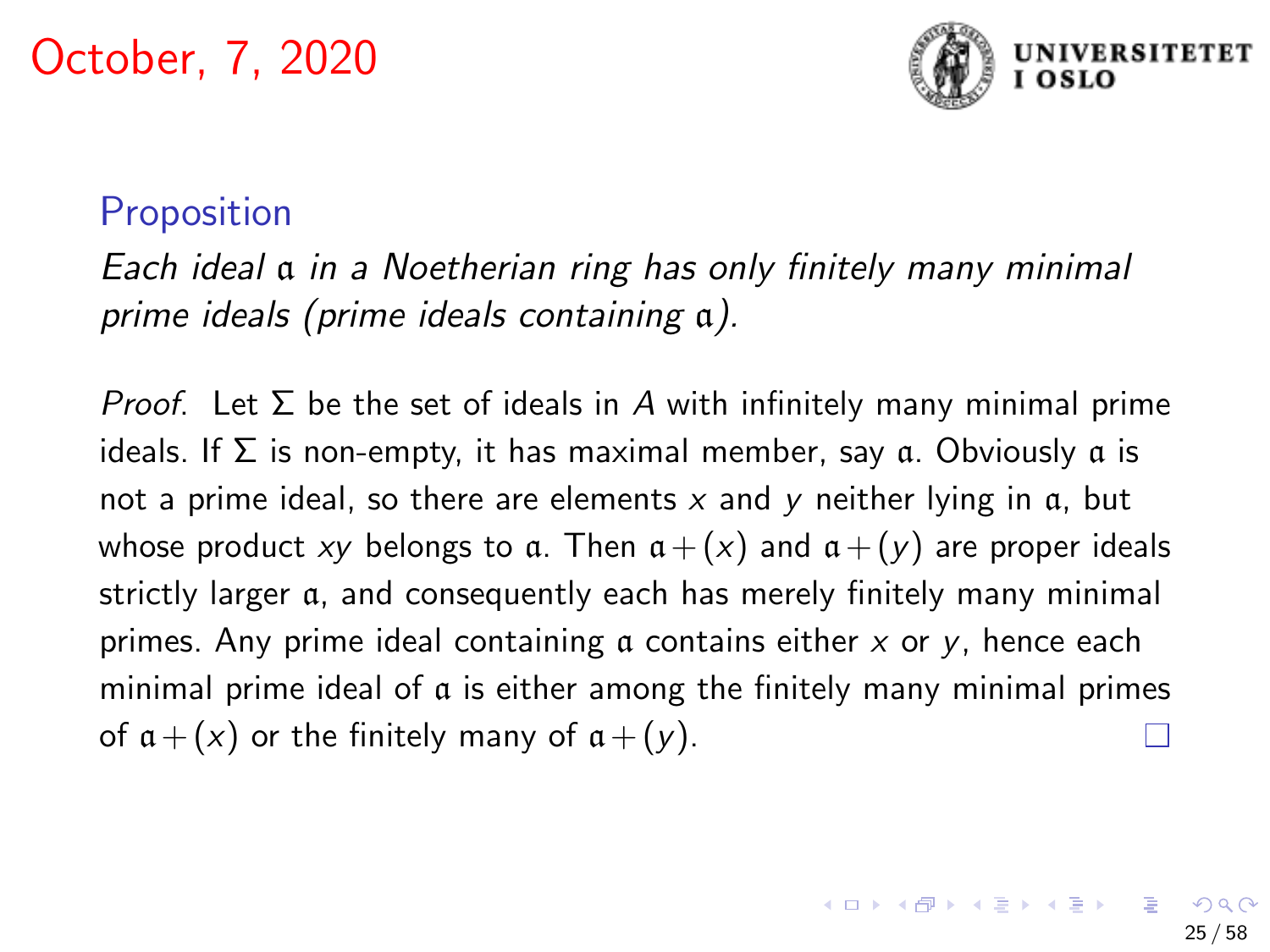

## Proposition

Each ideal a in a Noetherian ring has only finitely many minimal prime ideals (prime ideals containing a).

*Proof.* Let Σ be the set of ideals in A with infinitely many minimal prime ideals. If Σ is non-empty, it has maximal member, say a. Obviously a is not a prime ideal, so there are elements  $x$  and  $y$  neither lying in  $a$ , but whose product xy belongs to a. Then  $a + (x)$  and  $a + (y)$  are proper ideals strictly larger a, and consequently each has merely finitely many minimal primes. Any prime ideal containing  $\alpha$  contains either  $x$  or  $y$ , hence each minimal prime ideal of a is either among the finitely many minimal primes of  $a + (x)$  or the finitely many of  $a + (y)$ .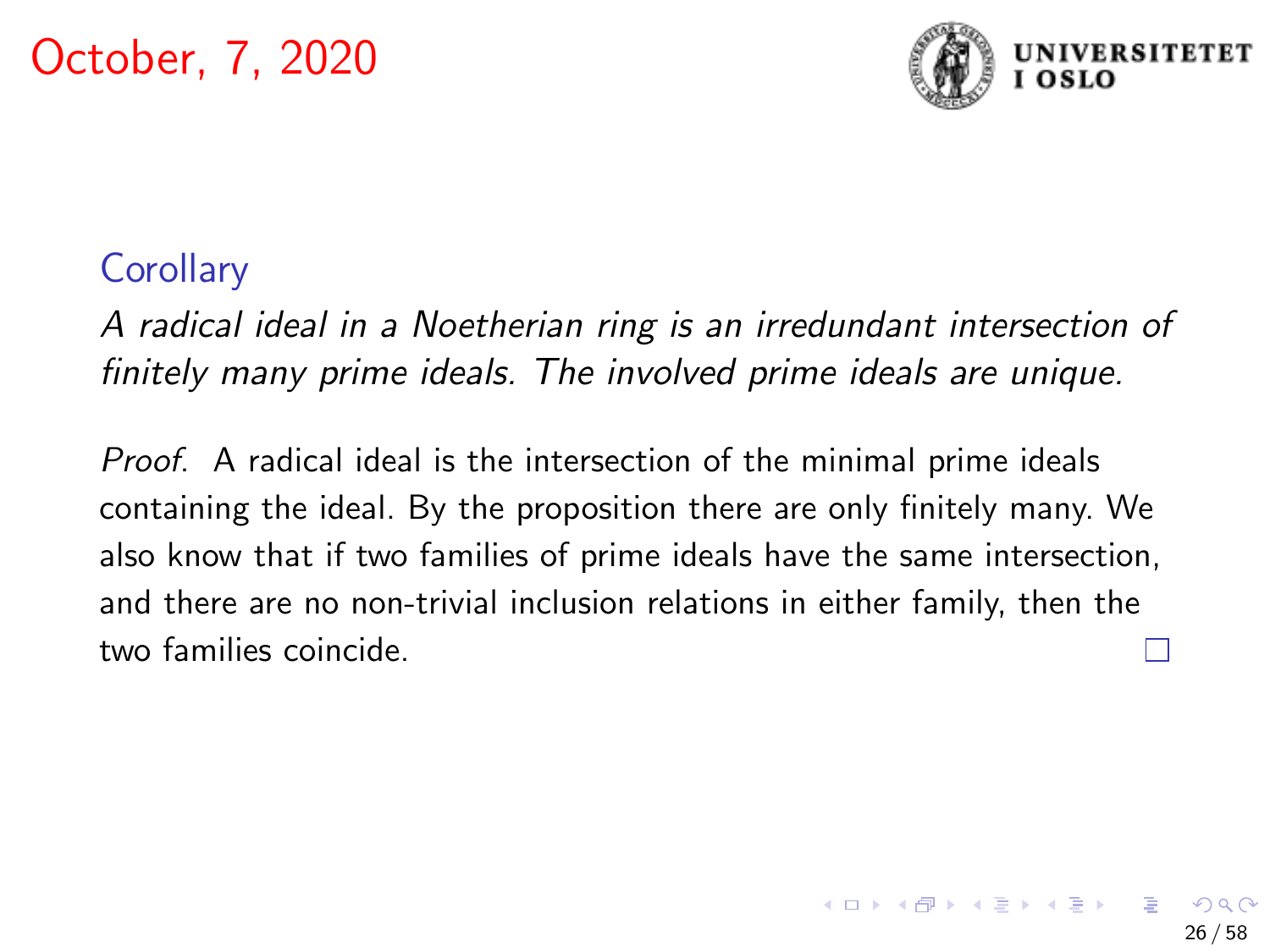

## **Corollary**

A radical ideal in a Noetherian ring is an irredundant intersection of finitely many prime ideals. The involved prime ideals are unique.

Proof. A radical ideal is the intersection of the minimal prime ideals containing the ideal. By the proposition there are only finitely many. We also know that if two families of prime ideals have the same intersection, and there are no non-trivial inclusion relations in either family, then the two families coincide.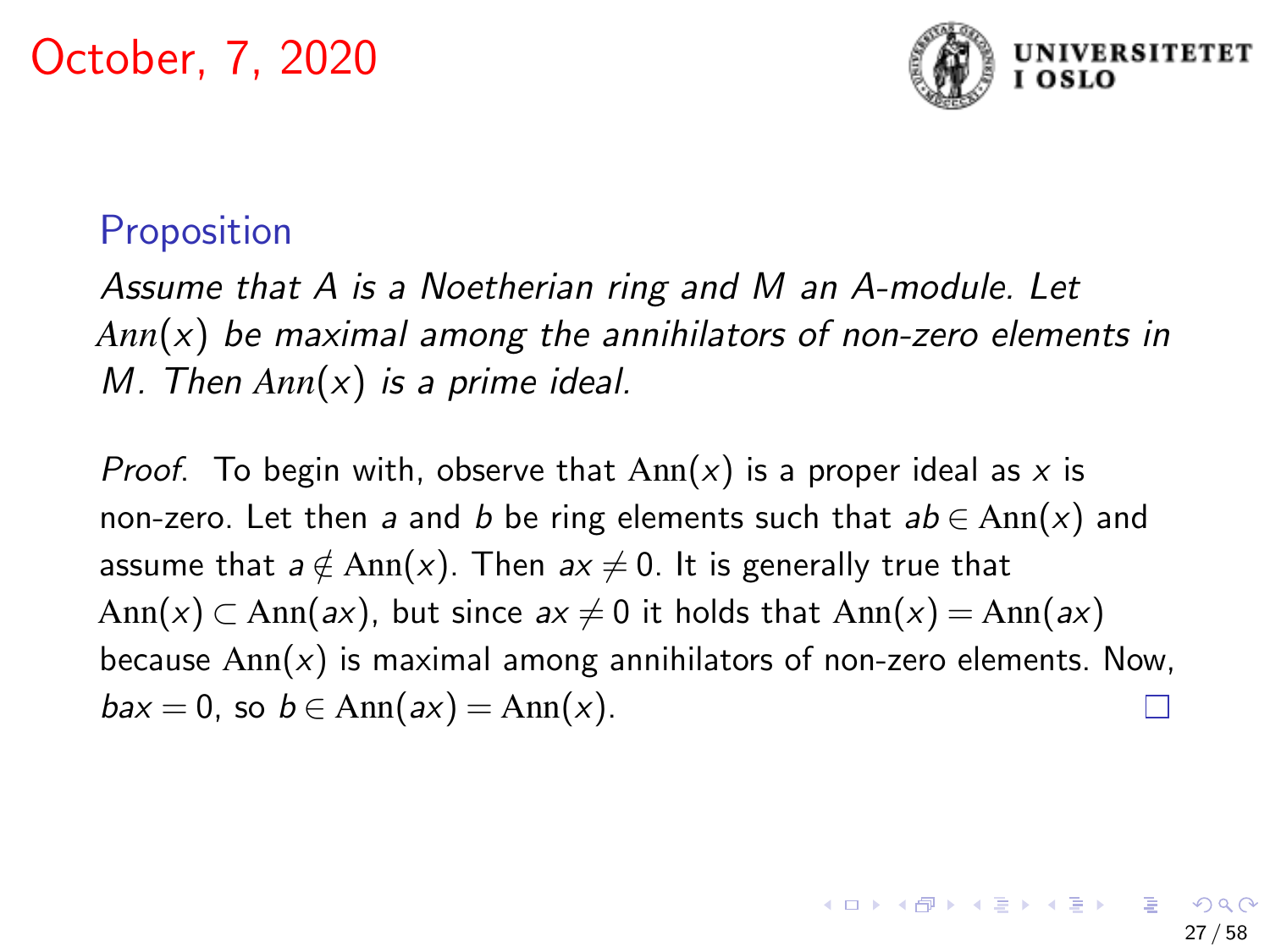

### **Proposition**

Assume that A is a Noetherian ring and M an A-module. Let *Ann*(x) be maximal among the annihilators of non-zero elements in M. Then *Ann*(x) is a prime ideal.

*Proof.* To begin with, observe that  $Ann(x)$  is a proper ideal as x is non-zero. Let then a and b be ring elements such that  $ab \in Ann(x)$  and assume that  $a \notin Ann(x)$ . Then  $ax \neq 0$ . It is generally true that Ann(x) ⊂ Ann(ax), but since  $ax \neq 0$  it holds that Ann(x) = Ann(ax) because  $Ann(x)$  is maximal among annihilators of non-zero elements. Now,  $bax = 0$ , so  $b \in Ann(ax) = Ann(x)$ .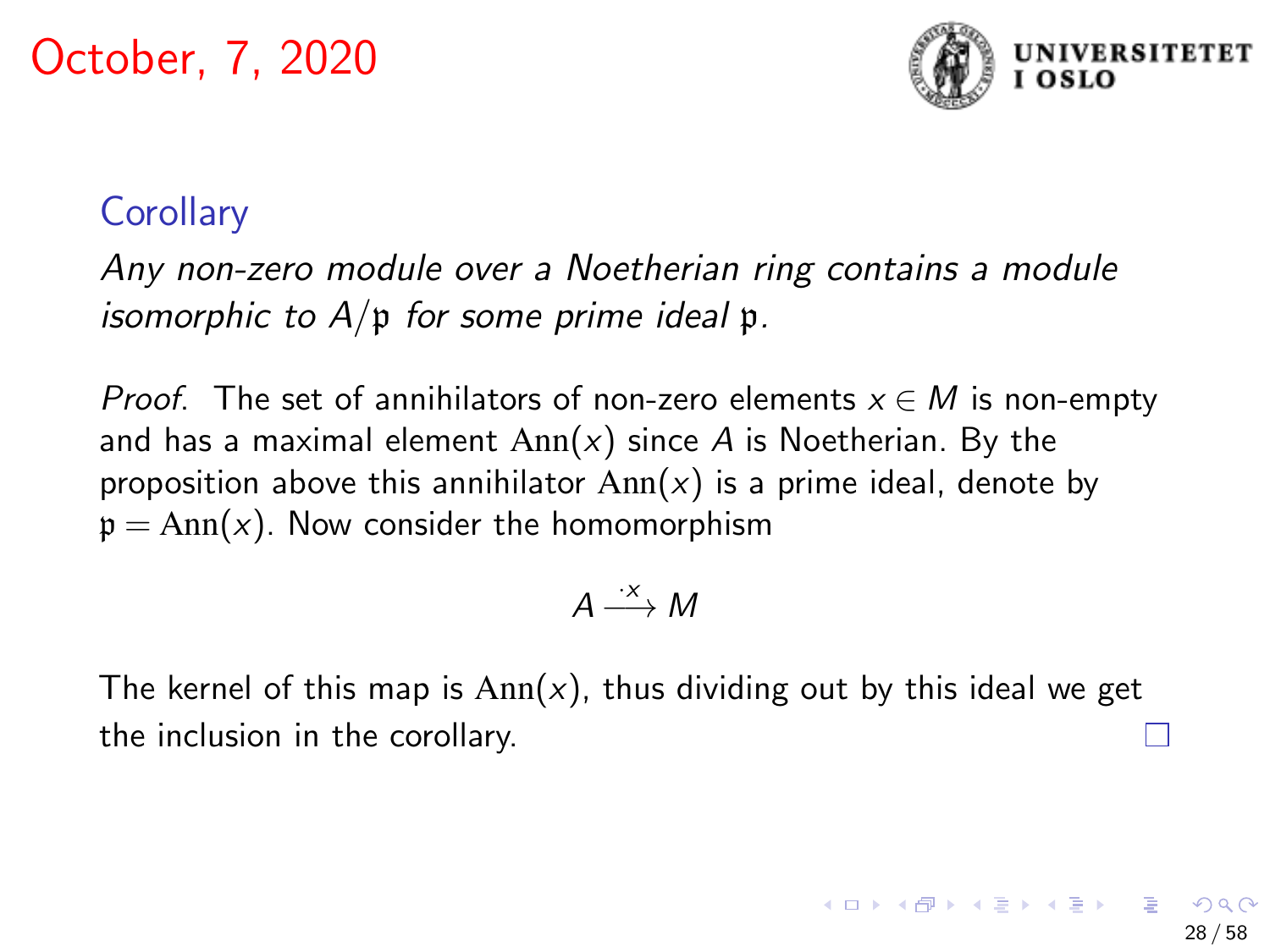

28 / 58

イロト 不優 トメ 差 トメ 差 トー 差

## **Corollary**

Any non-zero module over a Noetherian ring contains a module isomorphic to  $A/\mathfrak{p}$  for some prime ideal  $\mathfrak{p}$ .

*Proof.* The set of annihilators of non-zero elements  $x \in M$  is non-empty and has a maximal element  $Ann(x)$  since A is Noetherian. By the proposition above this annihilator  $Ann(x)$  is a prime ideal, denote by  $p = Ann(x)$ . Now consider the homomorphism

$$
A \stackrel{\cdot x}{\longrightarrow} M
$$

The kernel of this map is  $Ann(x)$ , thus dividing out by this ideal we get the inclusion in the corollary.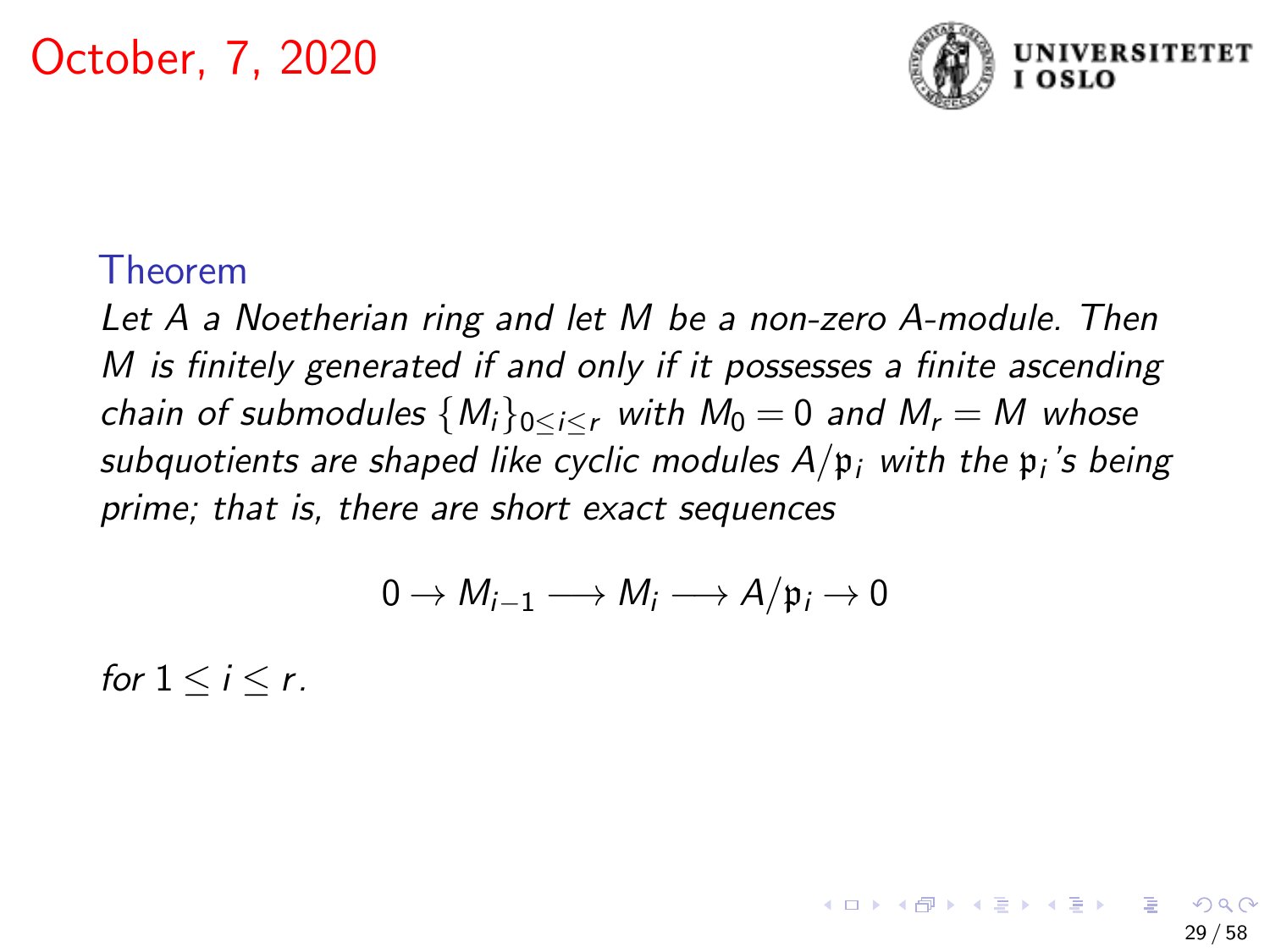

29 / 58

**K ロ ▶ K 伺 ▶ K ヨ ▶ K ヨ ▶** 

#### Theorem

Let A a Noetherian ring and let M be a non-zero A-module. Then M is finitely generated if and only if it possesses a finite ascending chain of submodules  ${M_i}_{0 \leq i \leq r}$  with  $M_0 = 0$  and  $M_r = M$  whose subquotients are shaped like cyclic modules  $A/\mathfrak{p}_i$  with the  $\mathfrak{p}_i$ 's being prime; that is, there are short exact sequences

$$
0 \to M_{i-1} \longrightarrow M_i \longrightarrow A/\mathfrak{p}_i \to 0
$$

for  $1 \leq i \leq r$ .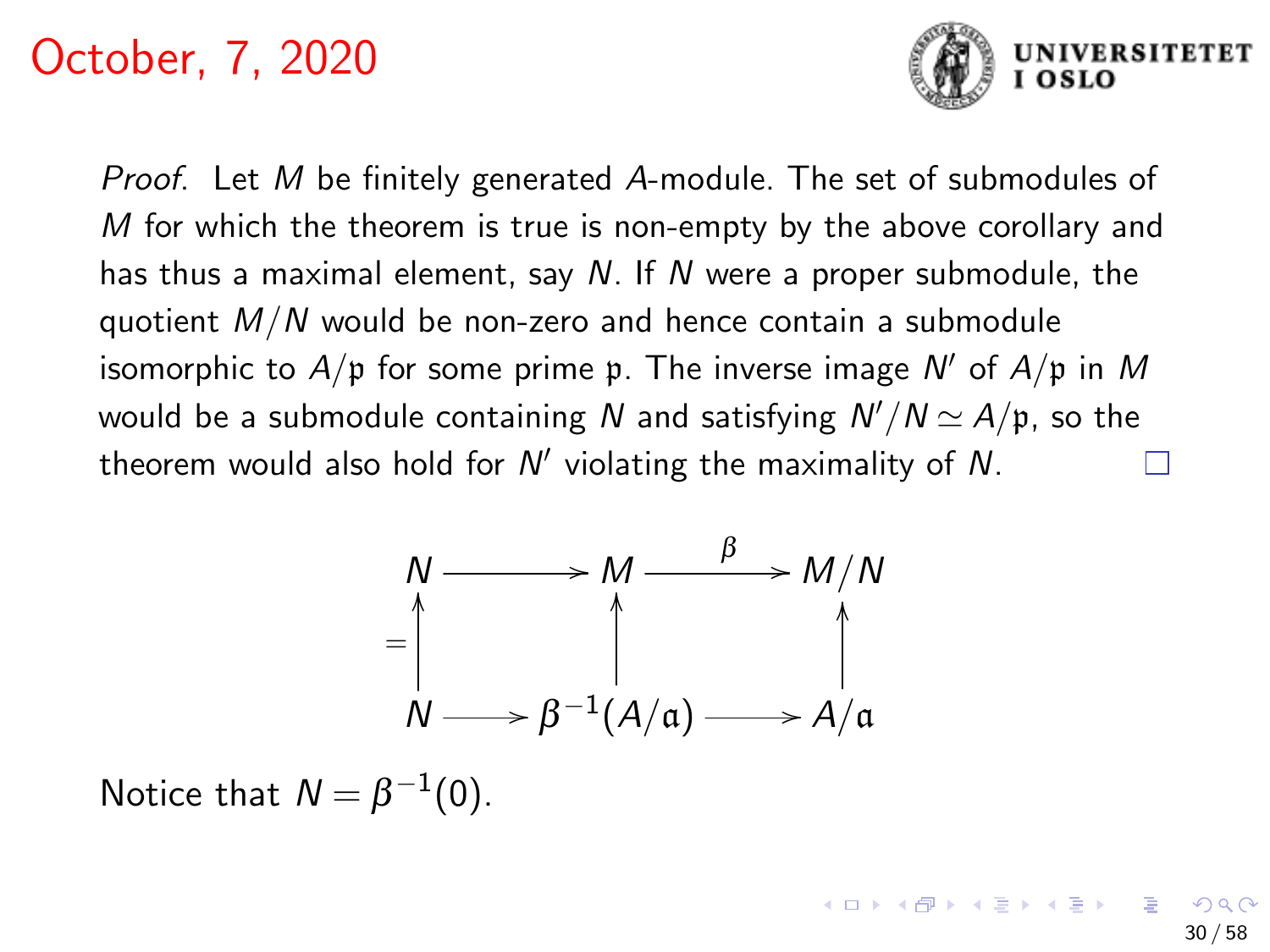

Proof. Let M be finitely generated A-module. The set of submodules of  $M$  for which the theorem is true is non-empty by the above corollary and has thus a maximal element, say  $N$ . If  $N$  were a proper submodule, the quotient  $M/N$  would be non-zero and hence contain a submodule isomorphic to  $A/\mathfrak{p}$  for some prime  $\mathfrak{p}$ . The inverse image  $\mathsf{N}'$  of  $A/\mathfrak{p}$  in  $M$ would be a submodule containing  $N$  and satisfying  $N'/N$   $\simeq$   $A/\mathfrak{p},$  so the theorem would also hold for  $N'$  violating the maximality of  $N$ .



Notice that  $N = \beta^{-1}(0)$ .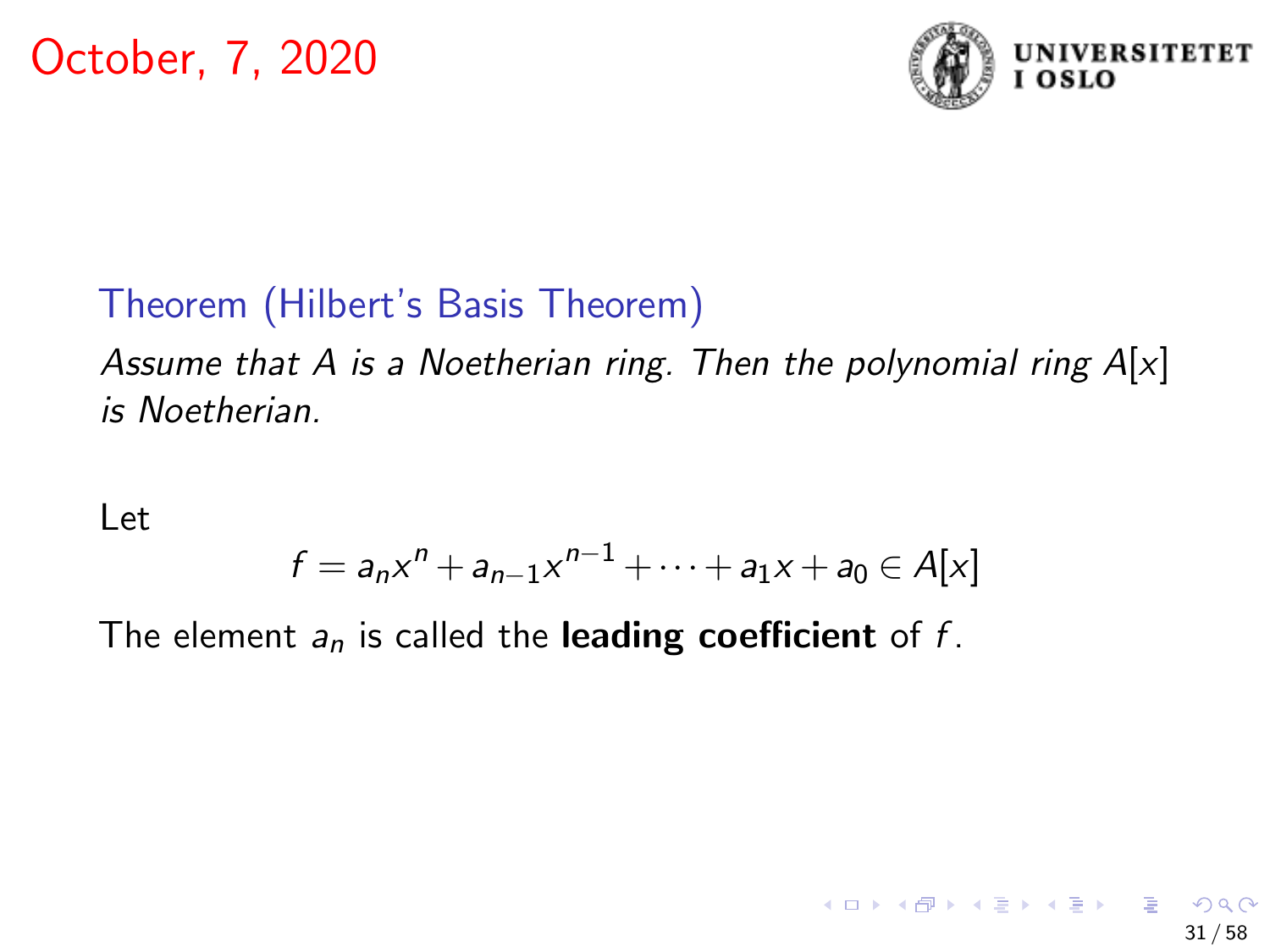

# Theorem (Hilbert's Basis Theorem)

Assume that A is a Noetherian ring. Then the polynomial ring  $A[x]$ is Noetherian.

Let

$$
f = a_n x^n + a_{n-1} x^{n-1} + \dots + a_1 x + a_0 \in A[x]
$$

The element  $a_n$  is called the **leading coefficient** of f.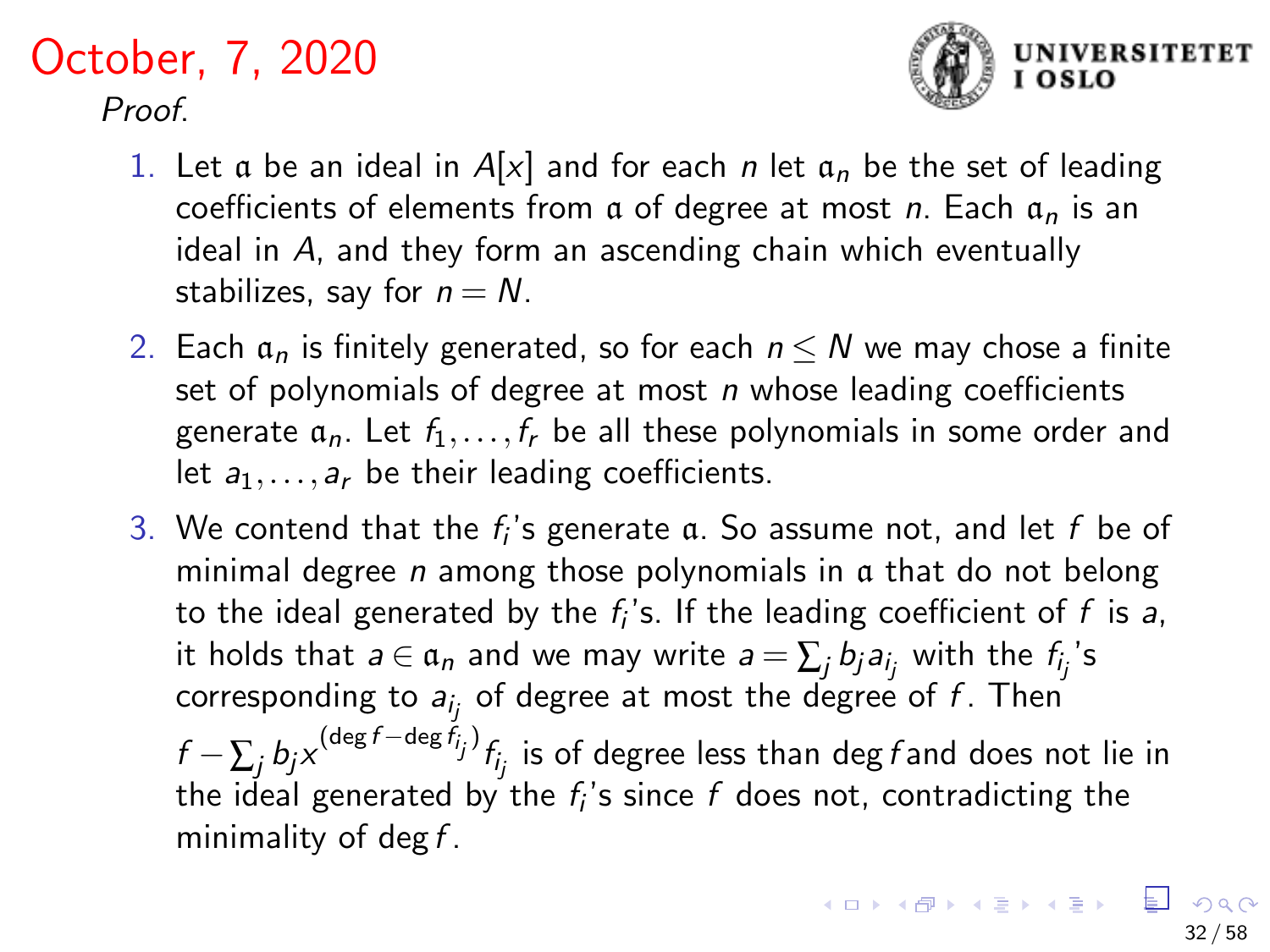## October, 7, 2020 Proof



- 1. Let a be an ideal in  $A[x]$  and for each n let  $a_n$  be the set of leading coefficients of elements from a of degree at most n. Each  $a_n$  is an ideal in A, and they form an ascending chain which eventually stabilizes, say for  $n = N$ .
- 2. Each  $a_n$  is finitely generated, so for each  $n \leq N$  we may chose a finite set of polynomials of degree at most  $n$  whose leading coefficients generate  $a_n$ . Let  $f_1, \ldots, f_r$  be all these polynomials in some order and let  $a_1, \ldots, a_r$  be their leading coefficients.
- 3. We contend that the  $f_i$ 's generate  $\mathfrak a$ . So assume not, and let  $f$  be of minimal degree  $n$  among those polynomials in  $\alpha$  that do not belong to the ideal generated by the  $f_i$ 's. If the leading coefficient of  $f$  is a, it holds that  $a \in \mathfrak{a}_n$  and we may write  $a = \sum_j b_j a_{i_j}$  with the  $f_{i_j}$ 's corresponding to  $a_{i_j}$  of degree at most the degree of  $f$  . Then  $f-\sum_jb_j\mathsf{x}^{(\deg f-\deg f_{\bar{i}j})}f_{\bar{i}_j}$  is of degree less than deg $f$ and does not lie in the ideal generated by the  $f_i$ 's since  $f$  does not, contradicting the minimality of deg  $f$ .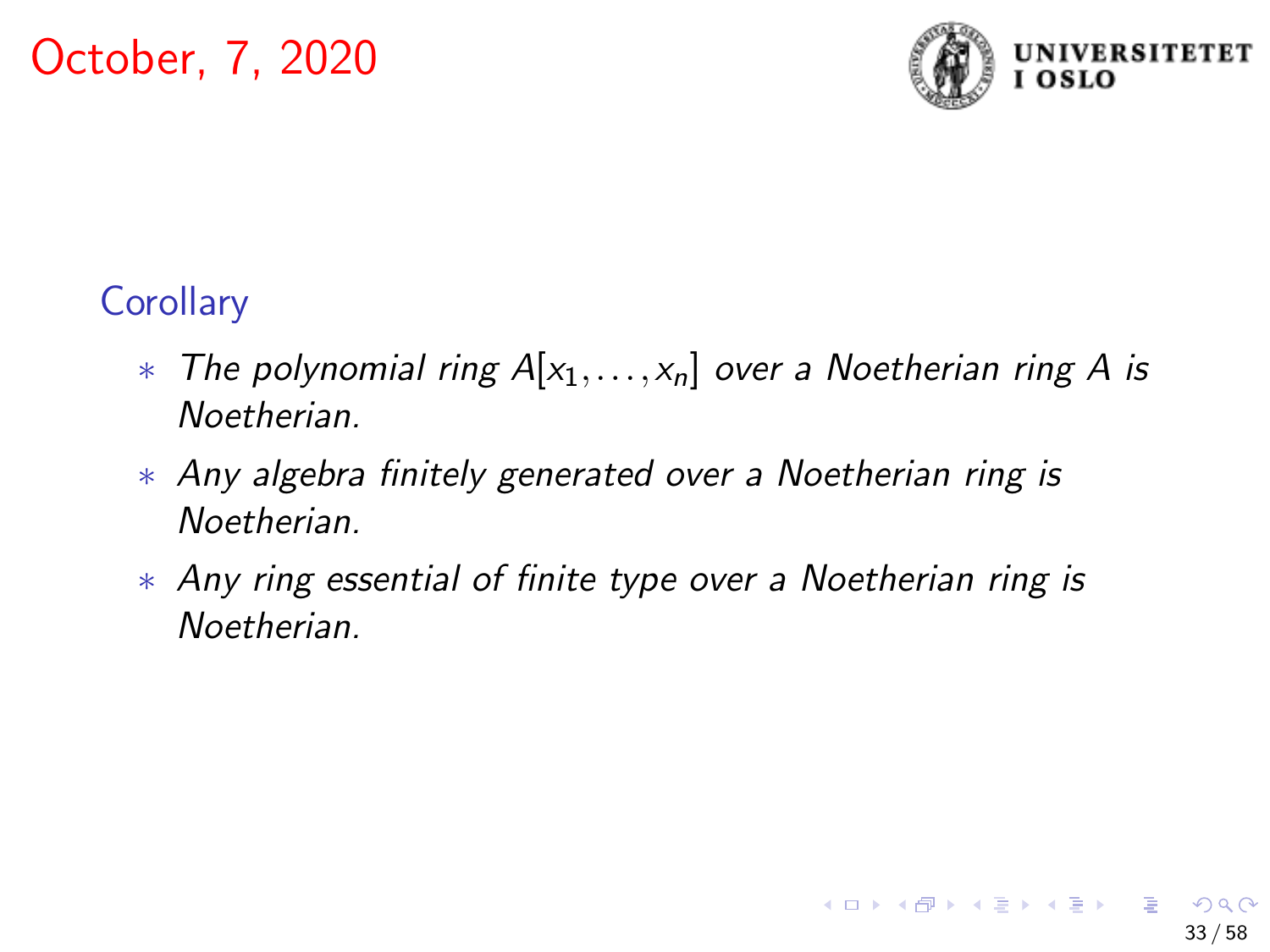

# **Corollary**

- $*$  The polynomial ring  $A[x_1,\ldots,x_n]$  over a Noetherian ring A is Noetherian.
- ∗ Any algebra finitely generated over a Noetherian ring is **Noetherian**
- ∗ Any ring essential of finite type over a Noetherian ring is **Noetherian**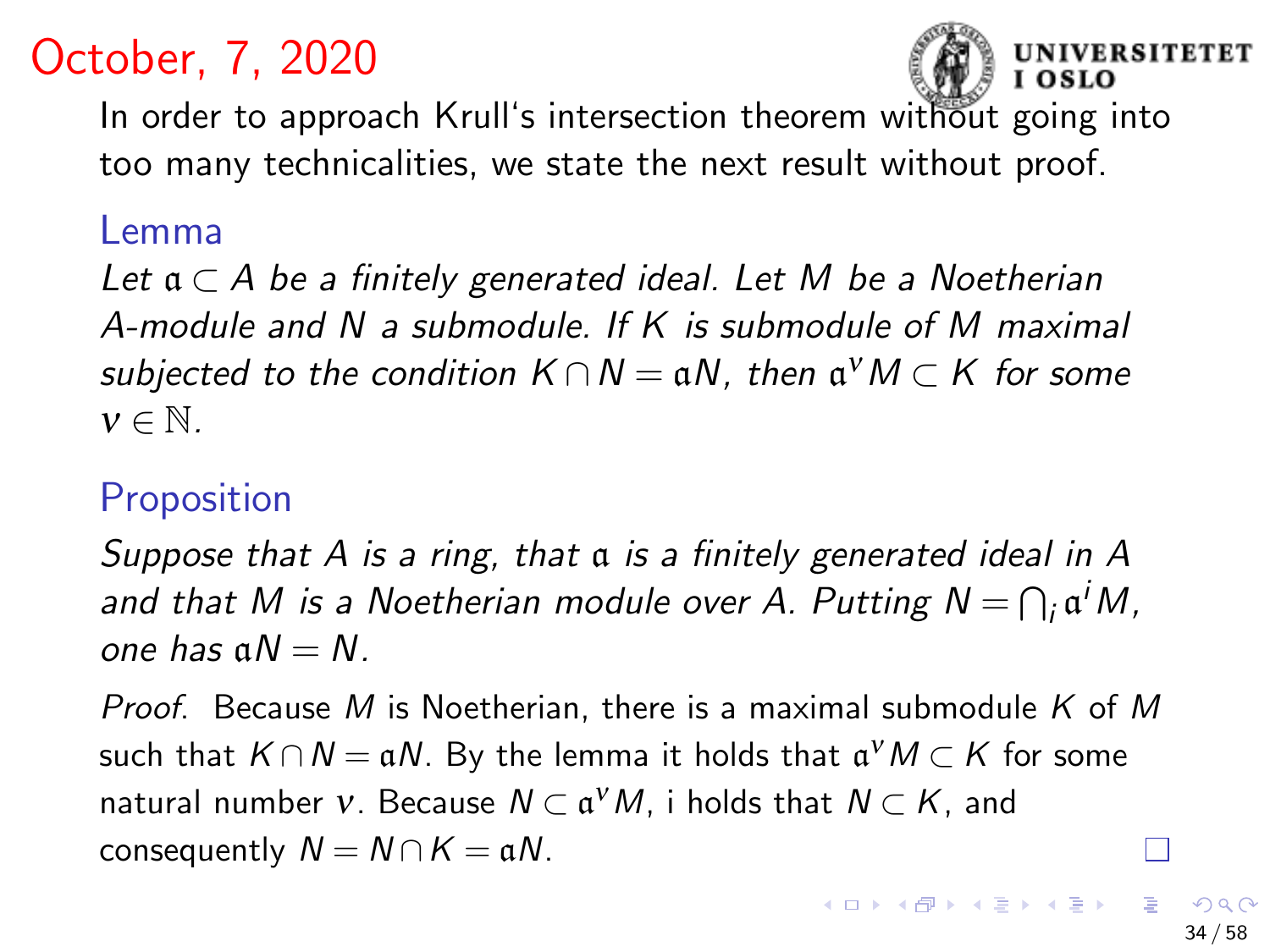

In order to approach Krull's intersection theorem without going into too many technicalities, we state the next result without proof.

#### Lemma

Let  $a \subset A$  be a finitely generated ideal. Let M be a Noetherian A-module and N a submodule. If K is submodule of M maximal subjected to the condition  $K \cap N = \mathfrak{a} N$ , then  $\mathfrak{a}^{\scriptscriptstyle V} M \subset K$  for some  $v \in \mathbb{N}$ .

# **Proposition**

Suppose that A is a ring, that a is a finitely generated ideal in A and that M is a Noetherian module over A. Putting  $N = \bigcap_i \mathfrak{a}^i M$ , one has  $aN = N$ .

Proof. Because M is Noetherian, there is a maximal submodule  $K$  of M such that  $K \cap N = \mathfrak{a} N$ . By the lemma it holds that  $\mathfrak{a}^{\nu}M \subset K$  for some natural number  $v.$  Because  $N\subset \mathfrak{a}^\nu M$ , i holds that  $N\subset K,$  and consequently  $N = N \cap K = \mathfrak{a}N$ .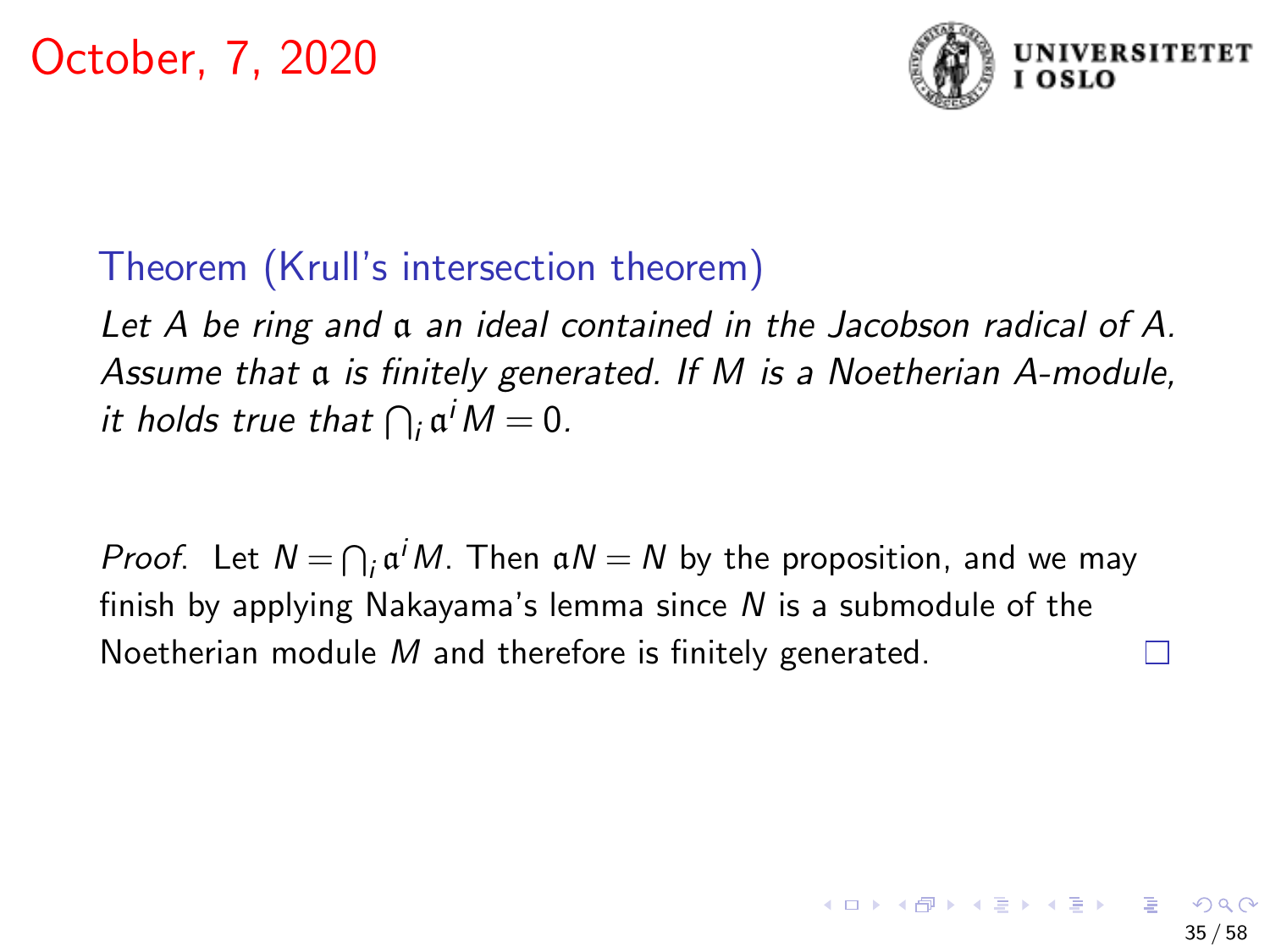

## Theorem (Krull's intersection theorem)

Let A be ring and  $\alpha$  an ideal contained in the Jacobson radical of A. Assume that a is finitely generated. If M is a Noetherian A-module, it holds true that  $\bigcap_i \mathfrak{a}^i M = 0$ .

*Proof.* Let  $N = \bigcap_i a^i M$ . Then  $aN = N$  by the proposition, and we may finish by applying Nakayama's lemma since  $N$  is a submodule of the Noetherian module M and therefore is finitely generated.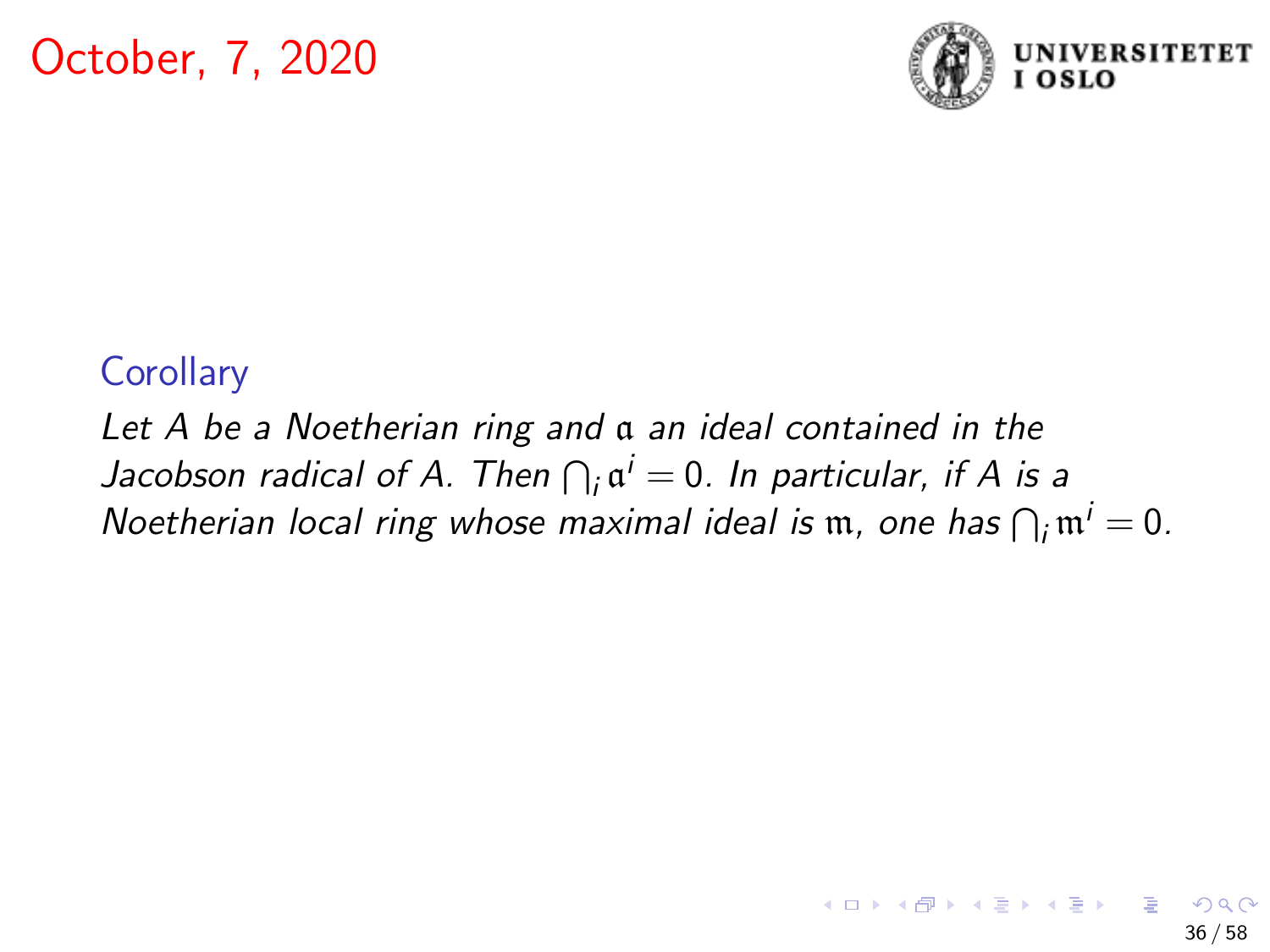

### **Corollary**

Let A be a Noetherian ring and a an ideal contained in the Jacobson radical of A. Then  $\bigcap_i \mathfrak{a}^i = 0$ . In particular, if A is a Noetherian local ring whose maximal ideal is  $m$ , one has  $\bigcap_i m^i = 0$ .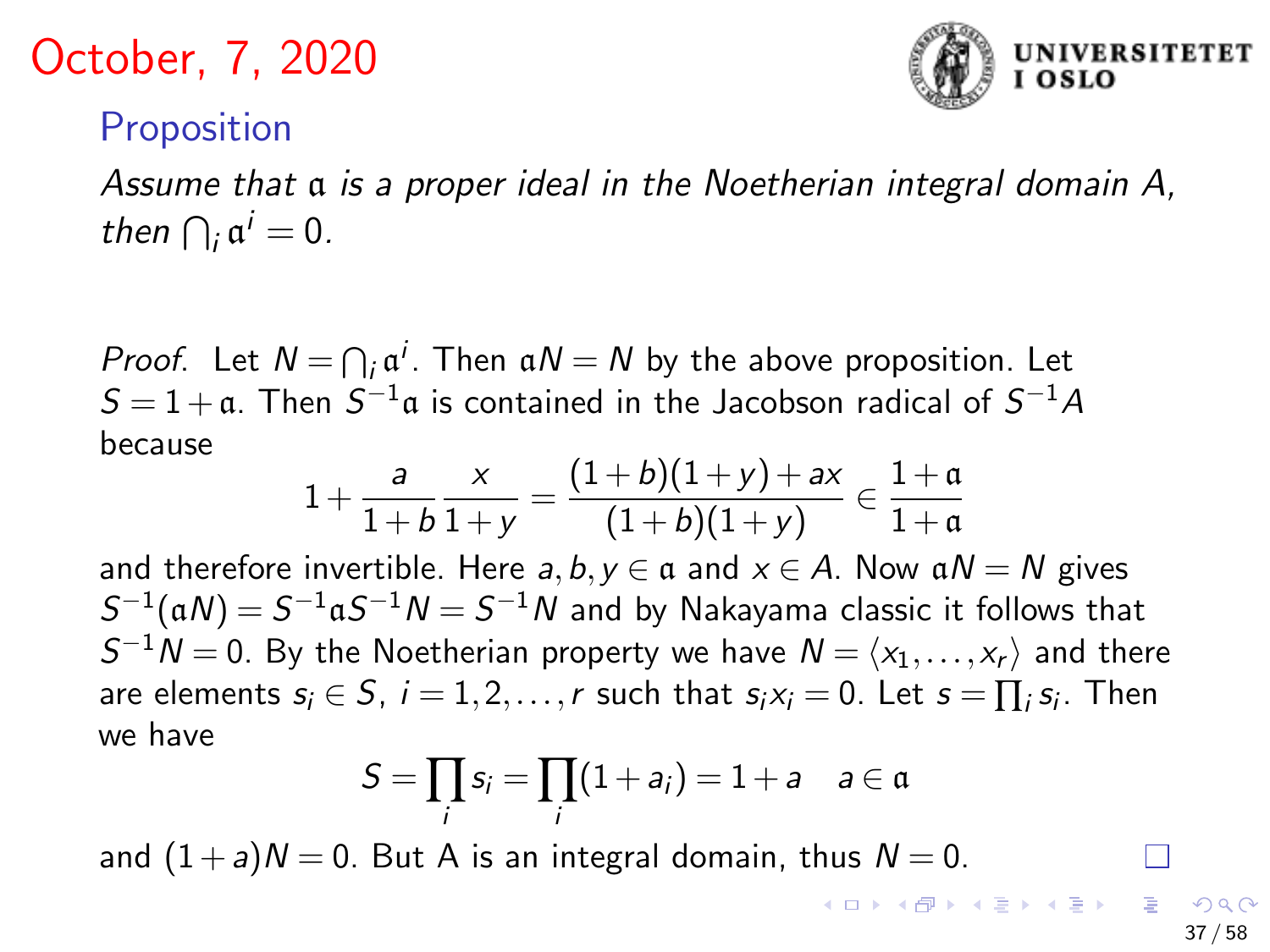

### **Proposition**

Assume that a is a proper ideal in the Noetherian integral domain A, then  $\bigcap_i \mathfrak{a}^i = 0$ .

*Proof.* Let  $N = \bigcap_i \alpha^i$ . Then  $\alpha N = N$  by the above proposition. Let  $S = 1 + \mathfrak{a}$ . Then  $S^{-1}\mathfrak{a}$  is contained in the Jacobson radical of  $S^{-1}A$ because

$$
1 + \frac{a}{1+b} \frac{x}{1+y} = \frac{(1+b)(1+y) + ax}{(1+b)(1+y)} \in \frac{1+a}{1+a}
$$

and therefore invertible. Here  $a, b, y \in \mathfrak{a}$  and  $x \in A$ . Now  $\mathfrak{a} N = N$  gives  $S^{-1}(\mathfrak{a} N) = S^{-1}\mathfrak{a} S^{-1}N = S^{-1}N$  and by Nakayama classic it follows that  $S^{-1}N = 0$ . By the Noetherian property we have  $N = \langle x_1, \ldots, x_r \rangle$  and there are elements  $s_i \in S$ ,  $i = 1, 2, ..., r$  such that  $s_i x_i = 0$ . Let  $s = \prod_i s_i$ . Then we have

$$
S=\prod_i s_i=\prod_i (1+a_i)=1+a \quad a\in \mathfrak{a}
$$

and  $(1+a)N = 0$ . But A is an integral domain, thus  $N = 0$ . **K ロ ▶ K 御 ▶ K 重 ▶ K 重 ▶** 

37 / 58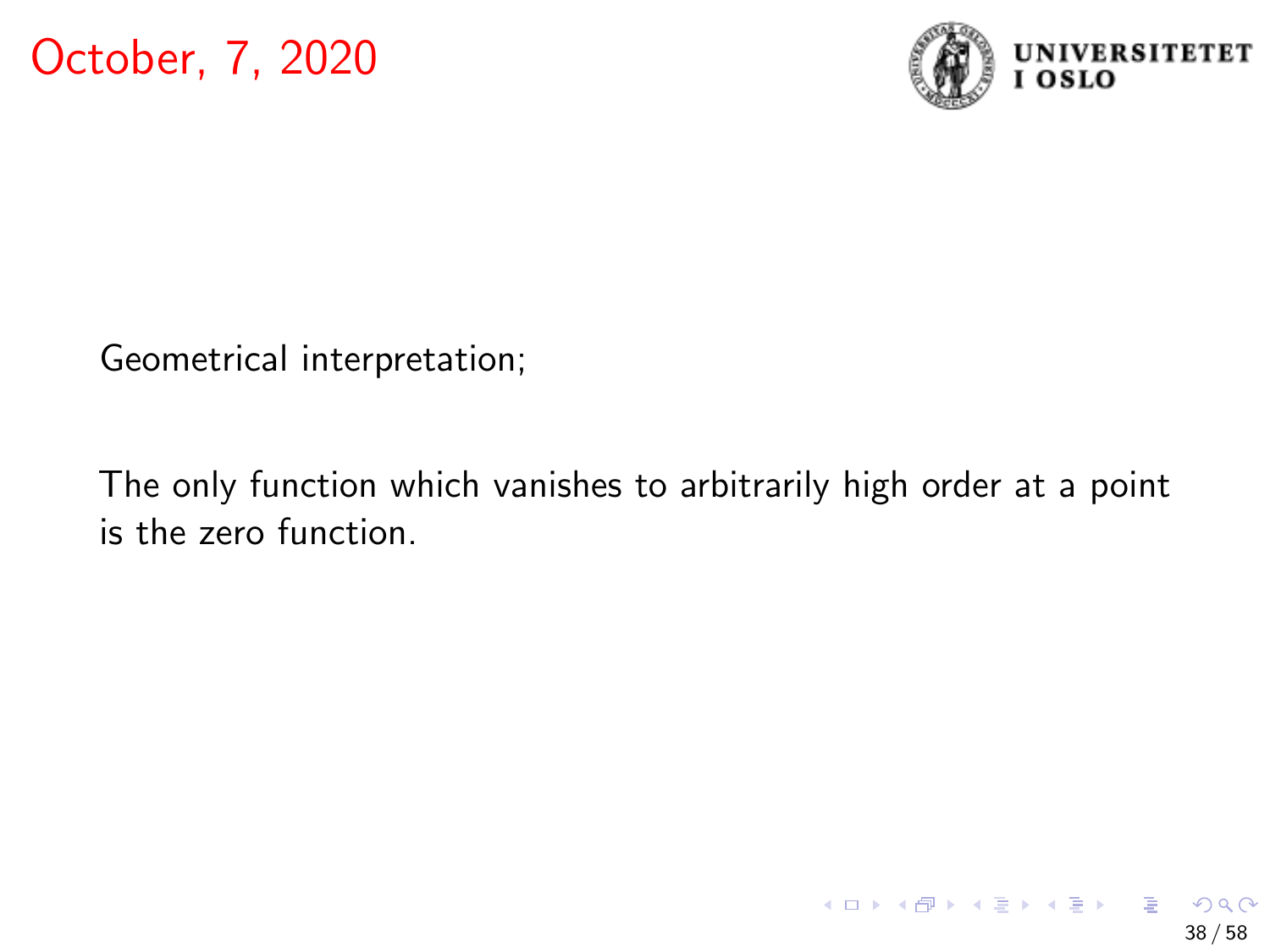

Geometrical interpretation;

The only function which vanishes to arbitrarily high order at a point is the zero function.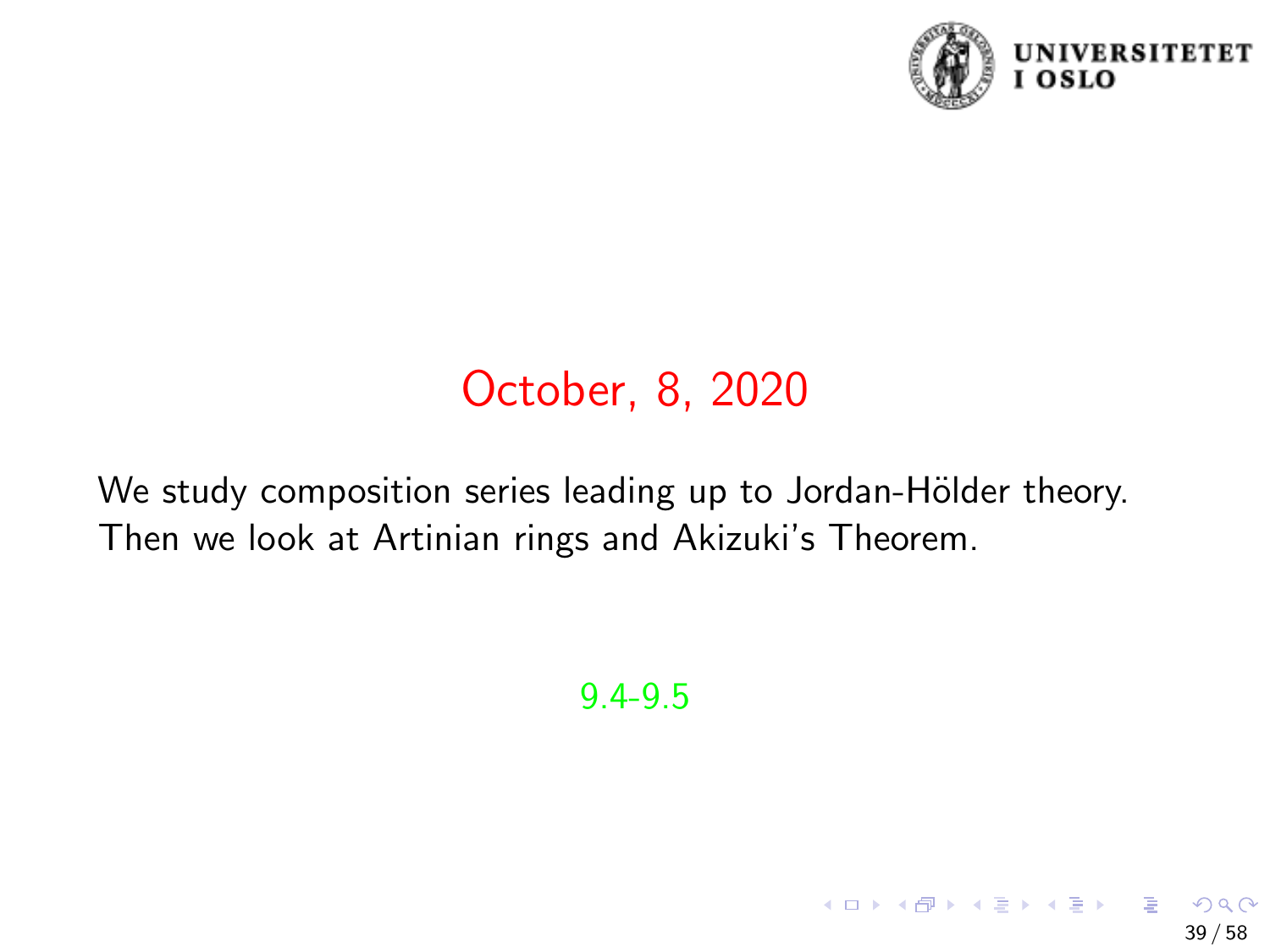

39 / 58

イロト 不優 トメ 差 トメ 差 トー 差

# October, 8, 2020

We study composition series leading up to Jordan-Hölder theory. Then we look at Artinian rings and Akizuki's Theorem.

9.4-9.5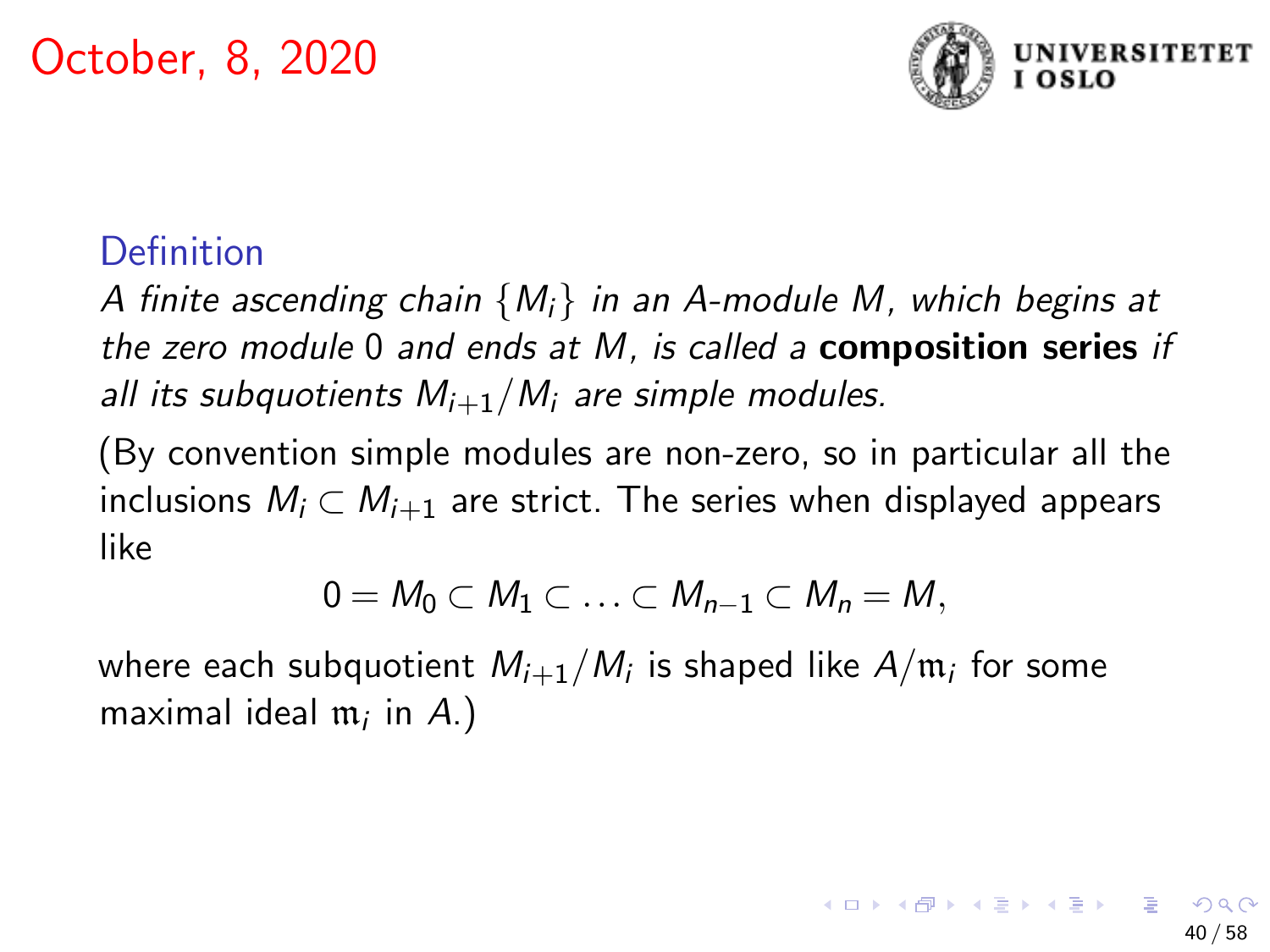

## Definition

A finite ascending chain  ${M<sub>i</sub>}$  in an A-module M, which begins at the zero module 0 and ends at  $M$ , is called a **composition series** if all its subquotients  $M_{i+1}/M_i$  are simple modules.

(By convention simple modules are non-zero, so in particular all the inclusions  $M_i \subset M_{i+1}$  are strict. The series when displayed appears like

$$
0=M_0\subset M_1\subset\ldots\subset M_{n-1}\subset M_n=M,
$$

where each subquotient  $M_{i+1}/M_i$  is shaped like  $A/\mathfrak{m}_i$  for some maximal ideal  $\mathfrak{m}_i$  in  $A$ .)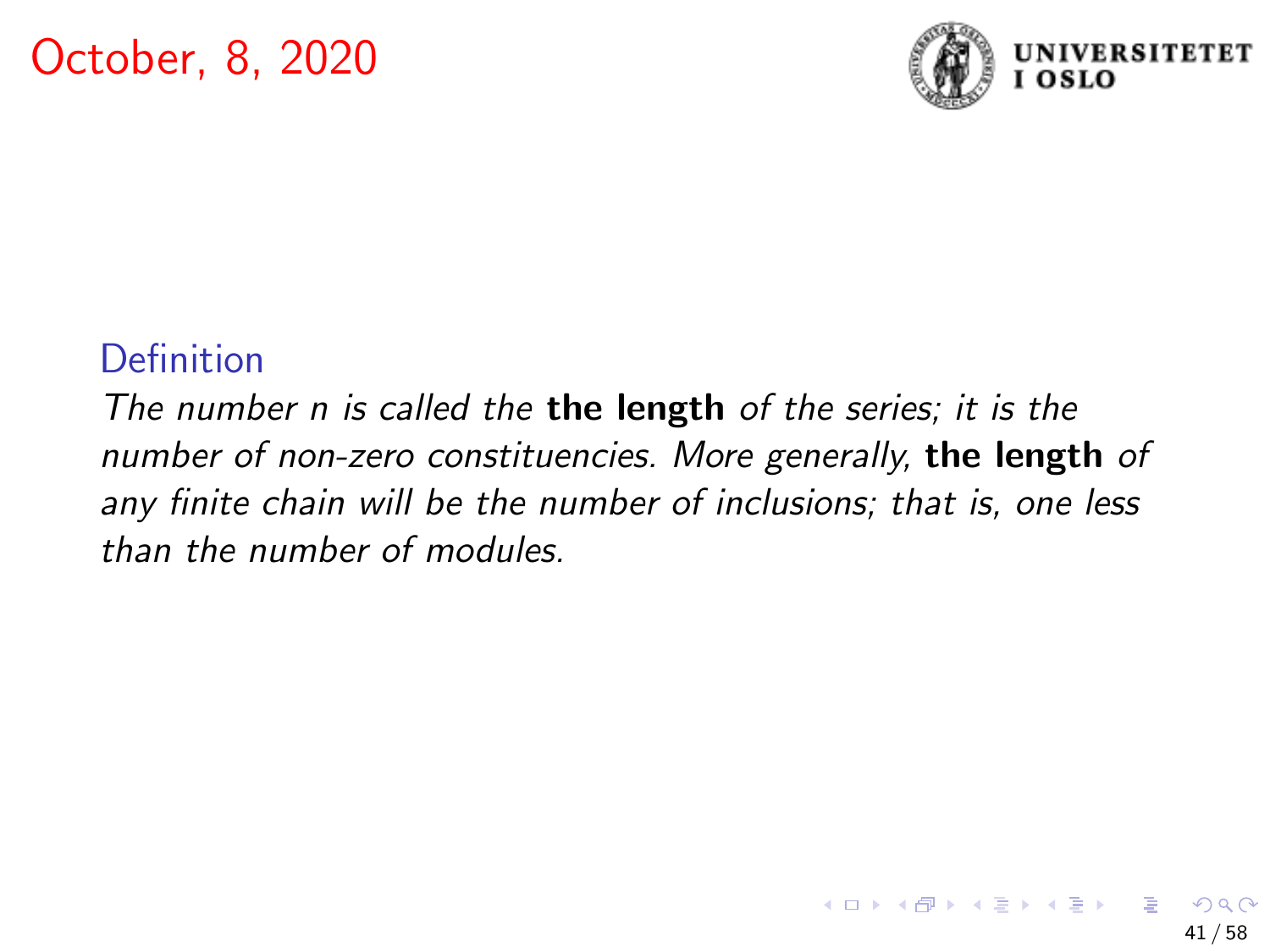

### **Definition**

The number n is called the the length of the series; it is the number of non-zero constituencies. More generally, the length of any finite chain will be the number of inclusions; that is, one less than the number of modules.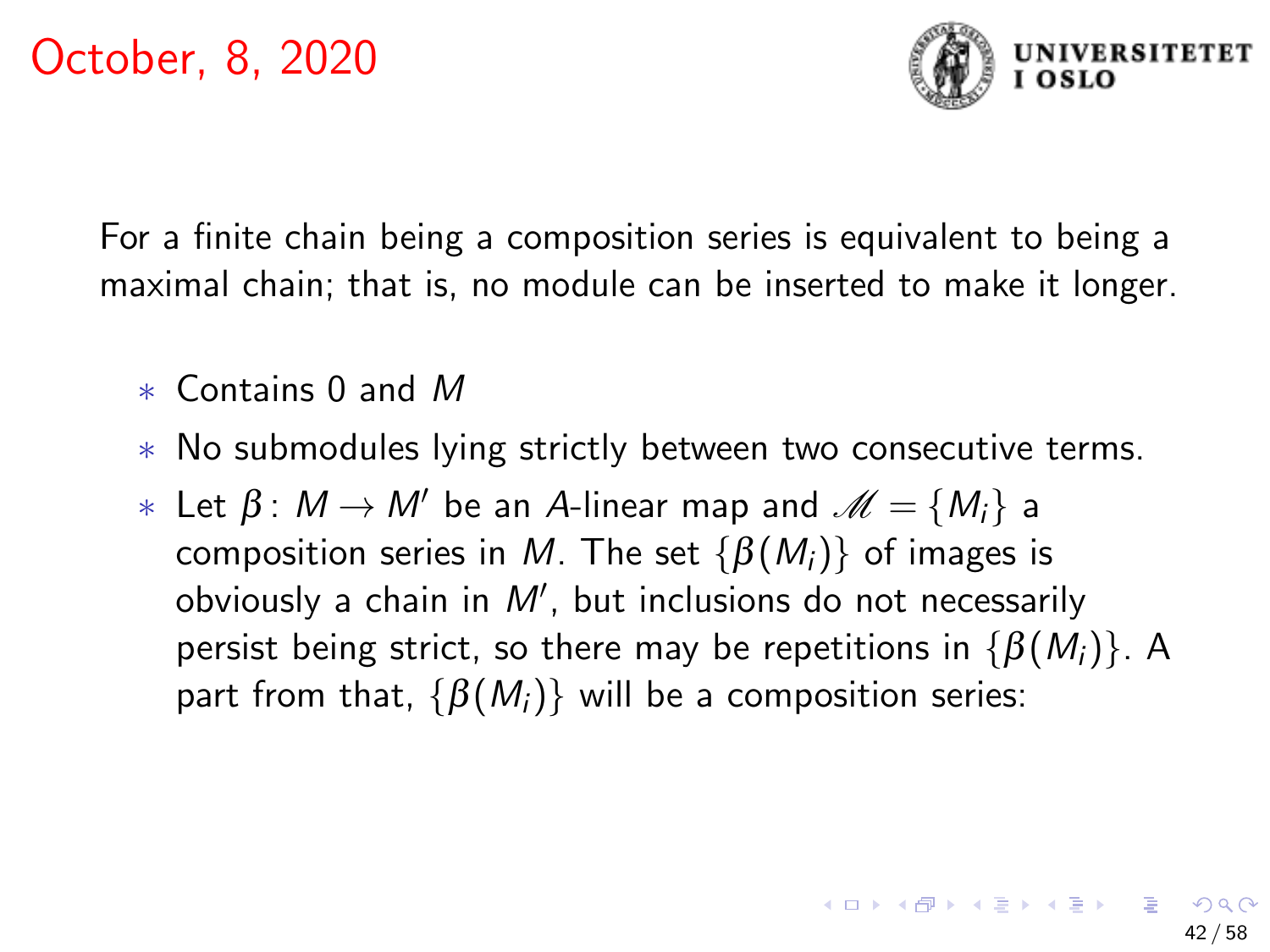

For a finite chain being a composition series is equivalent to being a maximal chain; that is, no module can be inserted to make it longer.

- ∗ Contains 0 and M
- ∗ No submodules lying strictly between two consecutive terms.
- $∗ \text{ Let } β: M → M' \text{ be an } A\text{-linear map and } M = \{M_i\}$  a composition series in M. The set  $\{\beta(M_i)\}\$ of images is obviously a chain in  $M'$ , but inclusions do not necessarily persist being strict, so there may be repetitions in  $\{\beta(M_i)\}\$ . A part from that,  $\{\beta(M_i)\}\$  will be a composition series: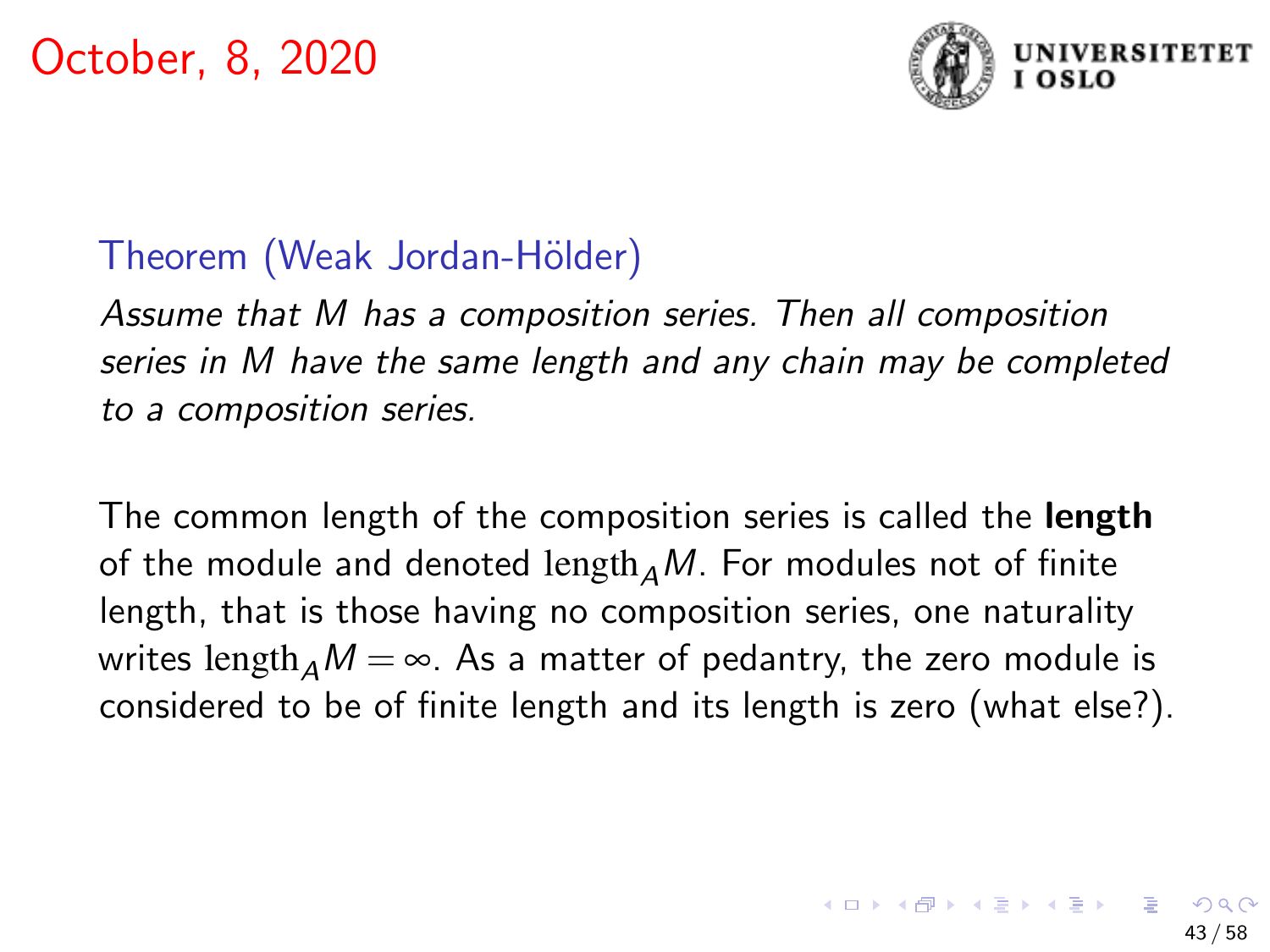

## Theorem (Weak Jordan-Hölder)

Assume that M has a composition series. Then all composition series in M have the same length and any chain may be completed to a composition series.

The common length of the composition series is called the **length** of the module and denoted length  $AM$ . For modules not of finite length, that is those having no composition series, one naturality writes length<sub> $\Delta$ </sub>M =  $\infty$ . As a matter of pedantry, the zero module is considered to be of finite length and its length is zero (what else?).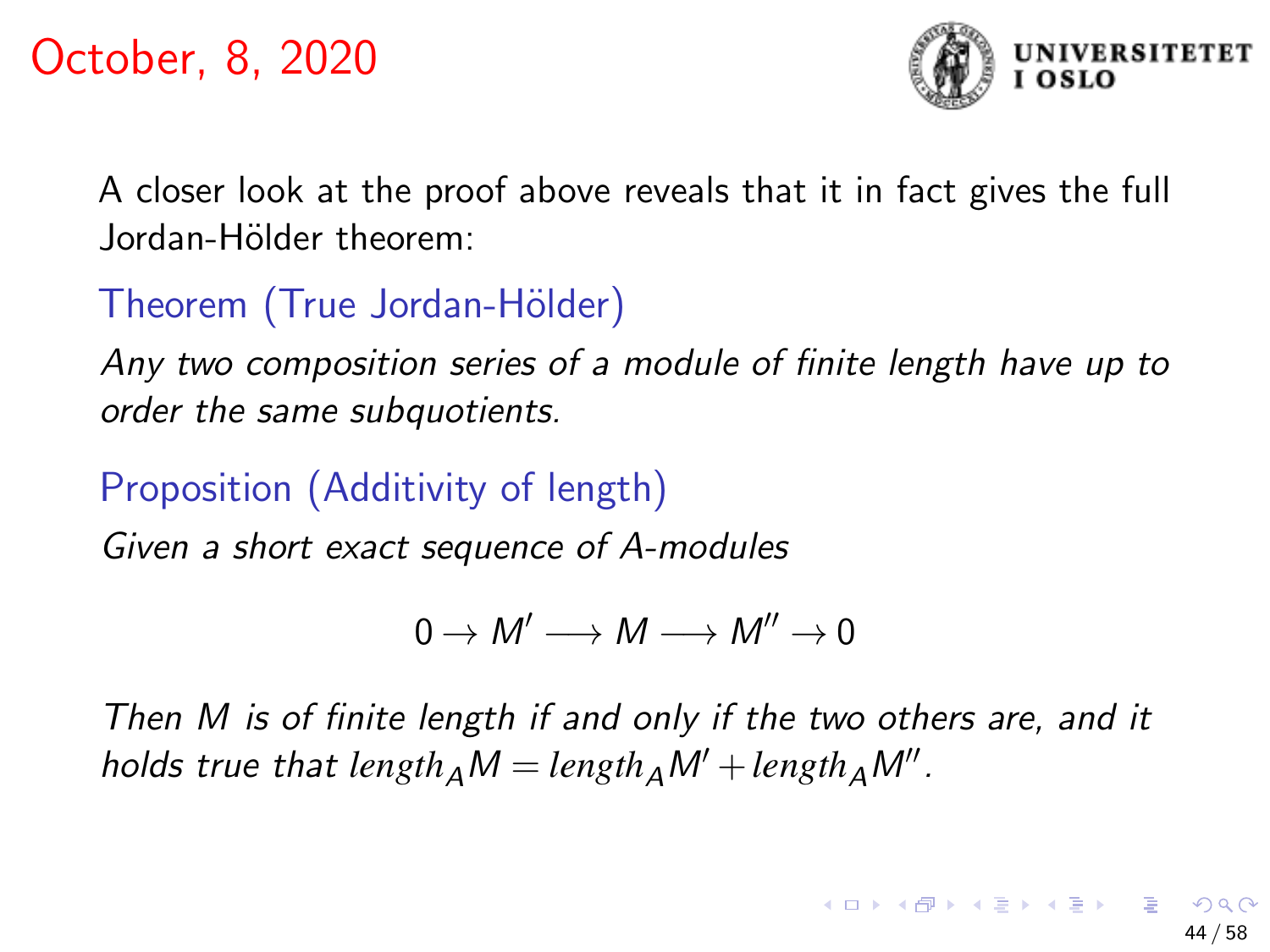

A closer look at the proof above reveals that it in fact gives the full Jordan-Hölder theorem:

# Theorem (True Jordan-Hölder)

Any two composition series of a module of finite length have up to order the same subquotients.

# Proposition (Additivity of length)

Given a short exact sequence of A-modules

$$
0\to M'\longrightarrow M\longrightarrow M''\to 0
$$

Then M is of finite length if and only if the two others are, and it  $\mathit{holds}$  true that  $\mathit{length}_A\mathit{M} = \mathit{length}_A\mathit{M}' + \mathit{length}_A\mathit{M}''$  .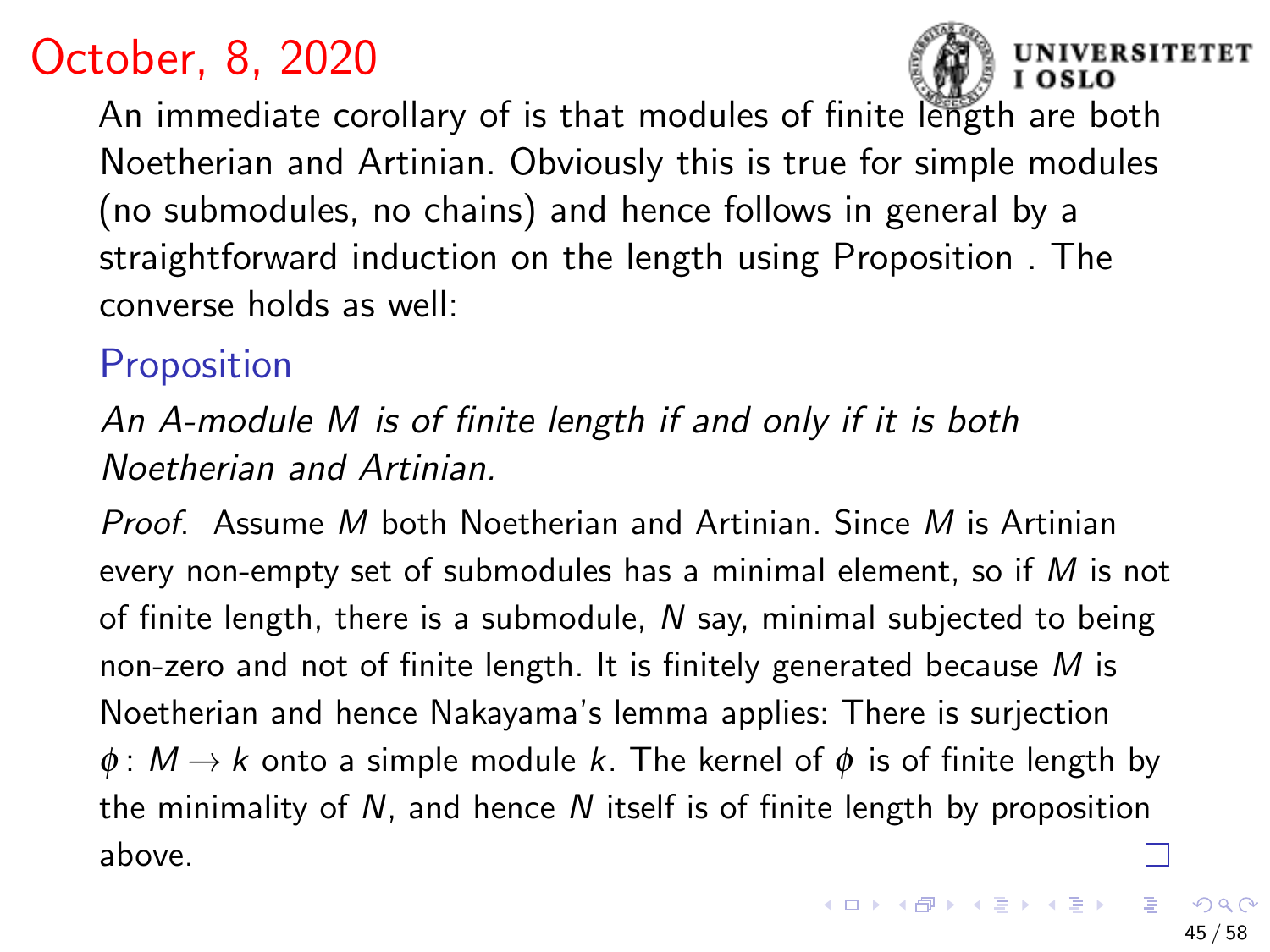

An immediate corollary of is that modules of finite length are both Noetherian and Artinian. Obviously this is true for simple modules (no submodules, no chains) and hence follows in general by a straightforward induction on the length using Proposition . The converse holds as well:

# Proposition

An A-module M is of finite length if and only if it is both Noetherian and Artinian.

Proof. Assume M both Noetherian and Artinian. Since M is Artinian every non-empty set of submodules has a minimal element, so if  $M$  is not of finite length, there is a submodule,  $N$  say, minimal subjected to being non-zero and not of finite length. It is finitely generated because  $M$  is Noetherian and hence Nakayama's lemma applies: There is surjection  $\phi: M \to k$  onto a simple module k. The kernel of  $\phi$  is of finite length by the minimality of  $N$ , and hence  $N$  itself is of finite length by proposition above.

**SITETET**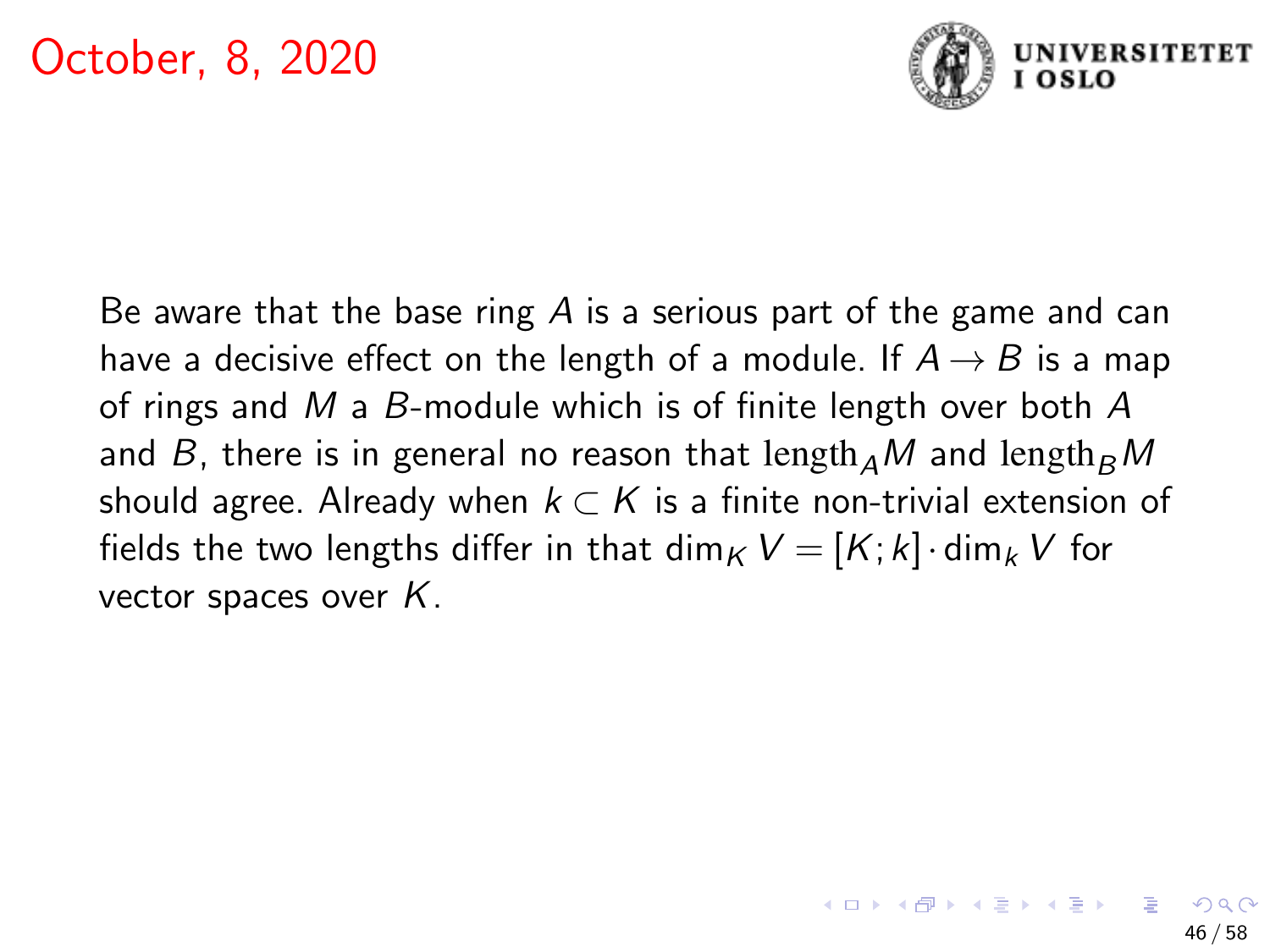

Be aware that the base ring  $A$  is a serious part of the game and can have a decisive effect on the length of a module. If  $A \rightarrow B$  is a map of rings and M a B-module which is of finite length over both A and B, there is in general no reason that length  $_A$ M and length  $_B$ M should agree. Already when  $k \subset K$  is a finite non-trivial extension of fields the two lengths differ in that dim<sub>K</sub>  $V = [K; k] \cdot \dim_k V$  for vector spaces over  $K$ .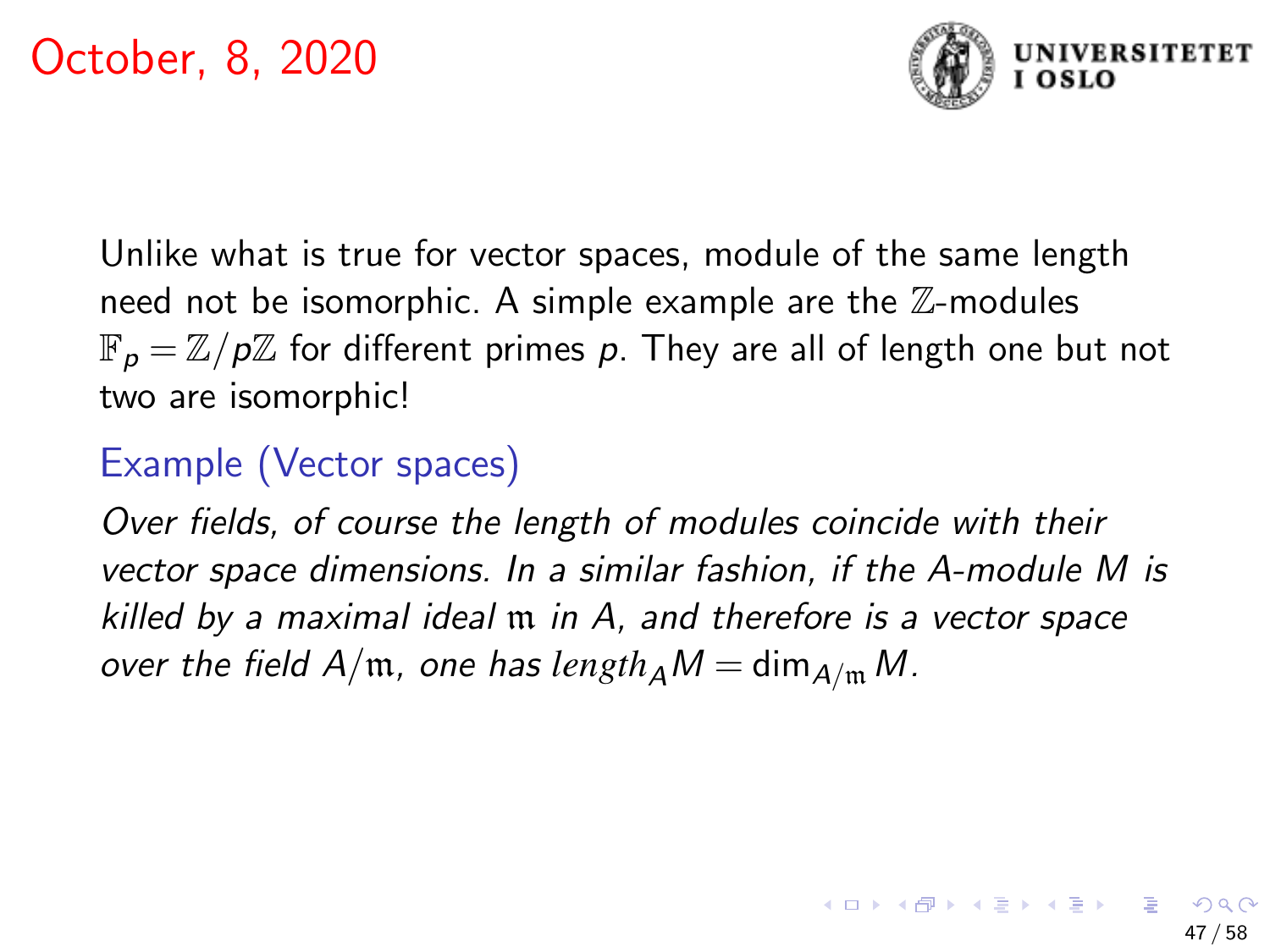

Unlike what is true for vector spaces, module of the same length need not be isomorphic. A simple example are the  $\mathbb Z$ -modules  $\mathbb{F}_p = \mathbb{Z}/p\mathbb{Z}$  for different primes p. They are all of length one but not two are isomorphic!

# Example (Vector spaces)

Over fields, of course the length of modules coincide with their vector space dimensions. In a similar fashion, if the A-module M is killed by a maximal ideal m in A, and therefore is a vector space over the field  $A/\mathfrak{m}$ , one has  $length_A M = dim_{A/\mathfrak{m}} M$ .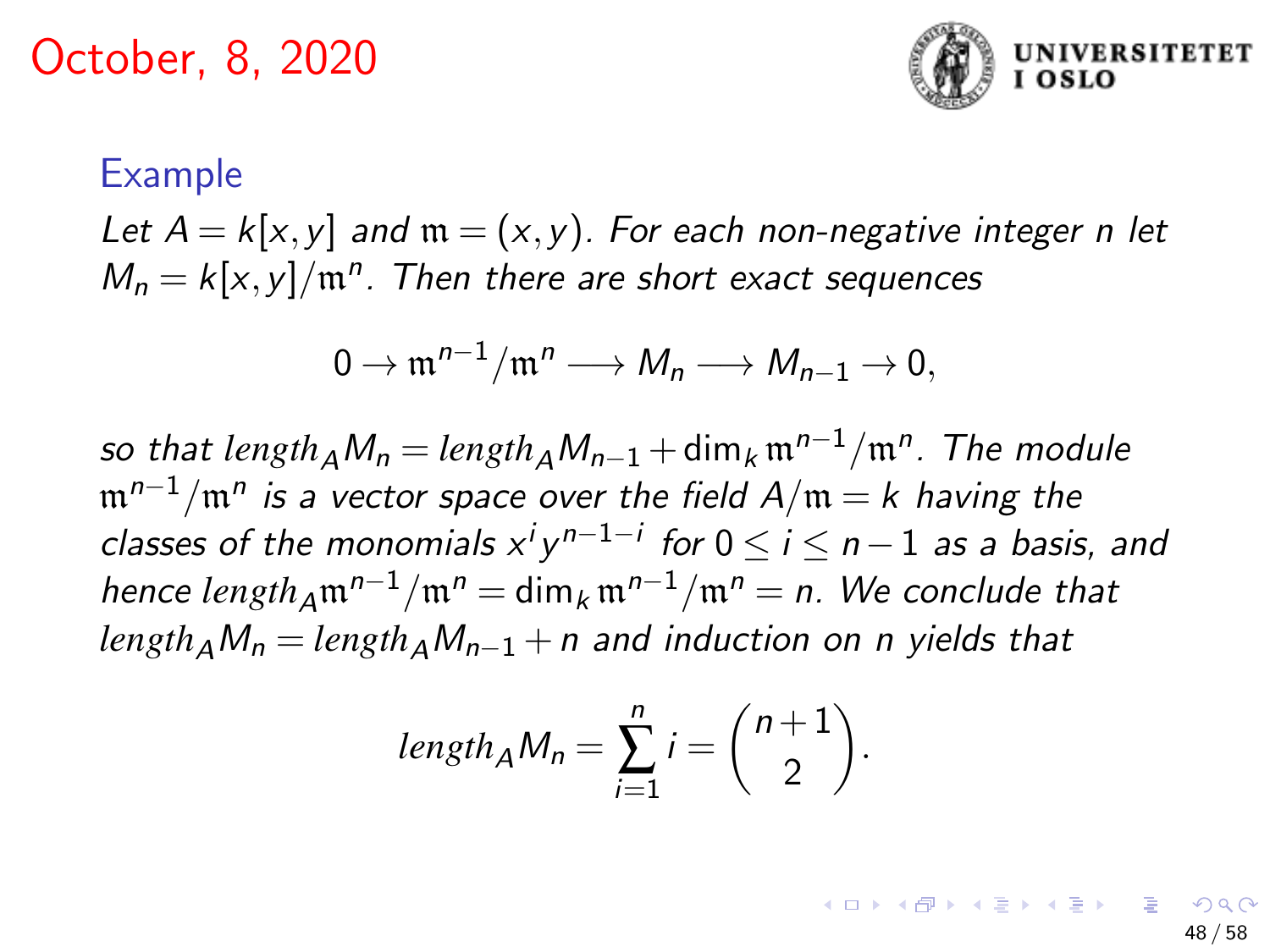

#### Example

Let  $A = k[x, y]$  and  $m = (x, y)$ . For each non-negative integer n let  $M_n = k[x, y] / \mathfrak{m}^n$ . Then there are short exact sequences

$$
0 \to \mathfrak{m}^{n-1}/\mathfrak{m}^n \longrightarrow M_n \longrightarrow M_{n-1} \to 0,
$$

so that  $length_A M_n = length_A M_{n-1} + \text{dim}_k\, \mathfrak{m}^{n-1} / \mathfrak{m}^n$ . The module  ${\mathfrak m}^{n-1}/{\mathfrak m}^n$  is a vector space over the field  ${\sf A}/{\mathfrak m} = k$  having the classes of the monomials  $x^i y^{n-1-i}$  for  $0 \leq i \leq n-1$  as a basis, and hence  $length_A m^{n-1}/m^n = \dim_k m^{n-1}/m^n = n$ . We conclude that  $length_A M_n = length_A M_{n-1} + n$  and induction on n yields that

$$
length_A M_n = \sum_{i=1}^n i = \binom{n+1}{2}.
$$

48 / 58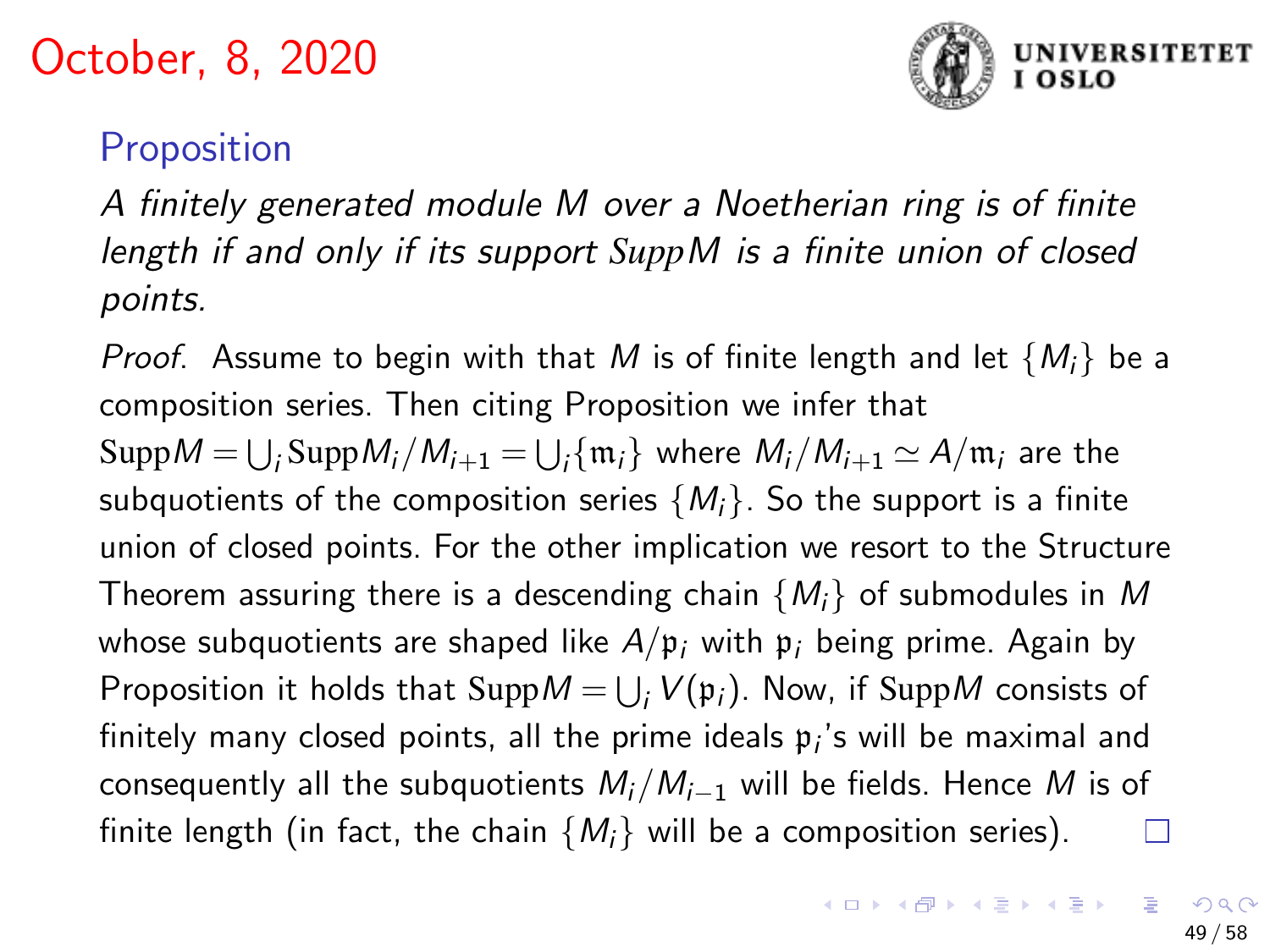

# **Proposition**

A finitely generated module M over a Noetherian ring is of finite length if and only if its support *Supp*M is a finite union of closed points.

*Proof.* Assume to begin with that M is of finite length and let  $\{M_i\}$  be a composition series. Then citing Proposition we infer that  $\mathrm{Supp}M=\bigcup_{i}\mathrm{Supp}M_{i}/M_{i+1}=\bigcup_{i}\{\mathfrak{m}_{i}\}\ \text{where}\ M_{i}/M_{i+1}\simeq A/\mathfrak{m}_{i}$  are the subquotients of the composition series  $\{M_i\}$ . So the support is a finite union of closed points. For the other implication we resort to the Structure Theorem assuring there is a descending chain  $\{M_i\}$  of submodules in M whose subquotients are shaped like  $A/\mathfrak{p}_i$  with  $\mathfrak{p}_i$  being prime. Again by Proposition it holds that  $\mathop{\mathrm {Supp}}\nolimits M = \bigcup_i V(\mathfrak p_i).$  Now, if  $\mathop{\mathrm {Supp}}\nolimits M$  consists of finitely many closed points, all the prime ideals  $\mathfrak{p}_i$ 's will be maximal and consequently all the subquotients  $M_i/M_{i-1}$  will be fields. Hence M is of finite length (in fact, the chain  $\{M_i\}$  will be a composition series).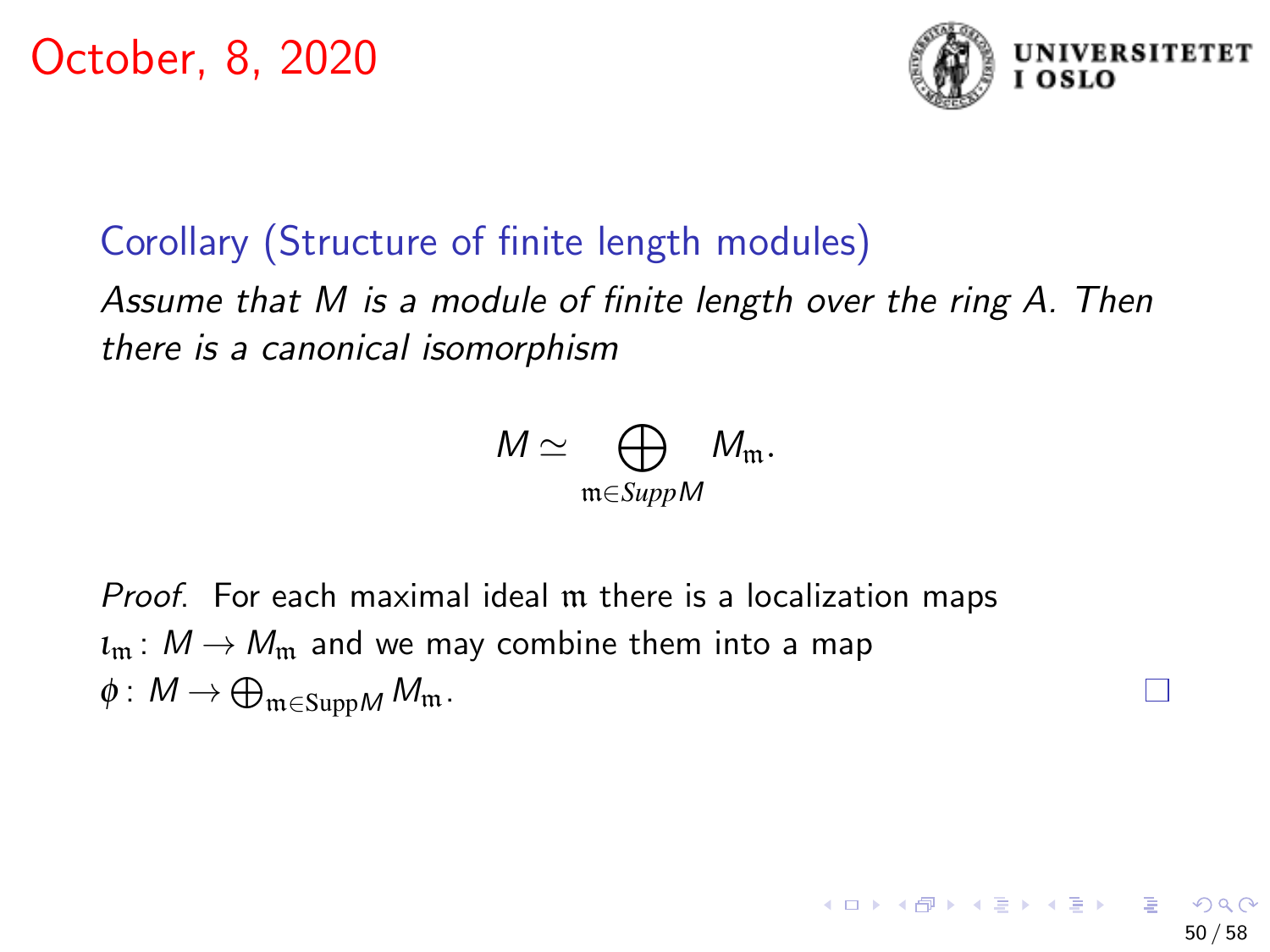

50 / 58

K ロ > K @ > K 경 > K 경 > 시 경

## Corollary (Structure of finite length modules)

Assume that M is a module of finite length over the ring A. Then there is a canonical isomorphism

$$
M \simeq \bigoplus_{\mathfrak{m} \in \text{Supp} M} M_{\mathfrak{m}}.
$$

Proof. For each maximal ideal m there is a localization maps  $\iota_{\mathfrak{m}}:M\to M_{\mathfrak{m}}$  and we may combine them into a map  $\phi\colon M\to \bigoplus_{\mathfrak{m}\in \mathrm{Supp} M}M_{\mathfrak{m}}$  .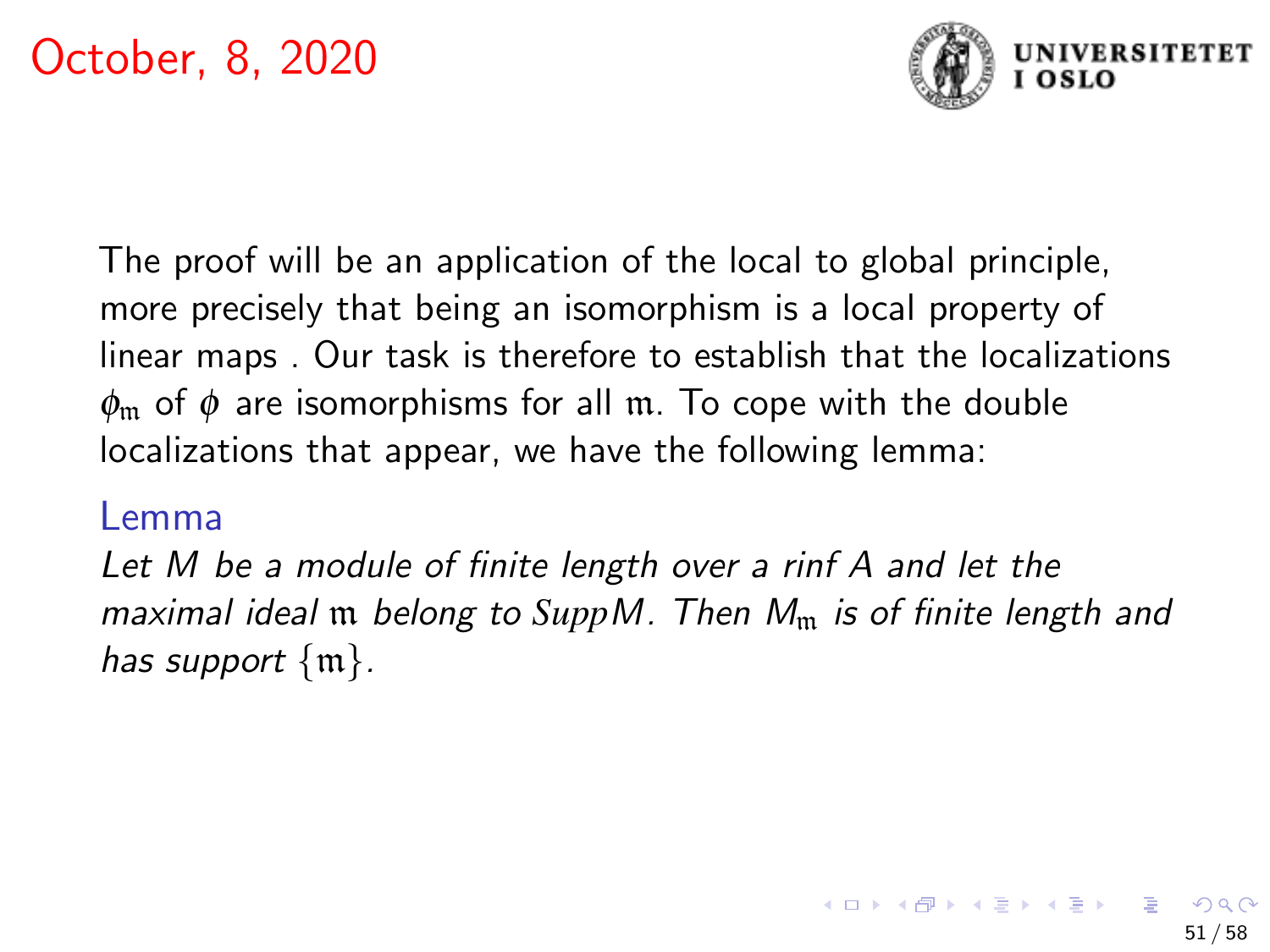

The proof will be an application of the local to global principle, more precisely that being an isomorphism is a local property of linear maps . Our task is therefore to establish that the localizations  $\phi_{\rm m}$  of  $\phi$  are isomorphisms for all m. To cope with the double localizations that appear, we have the following lemma:

#### Lemma

Let M be a module of finite length over a rinf A and let the maximal ideal m belong to SuppM. Then M<sub>m</sub> is of finite length and has support  $\{\mathfrak{m}\}.$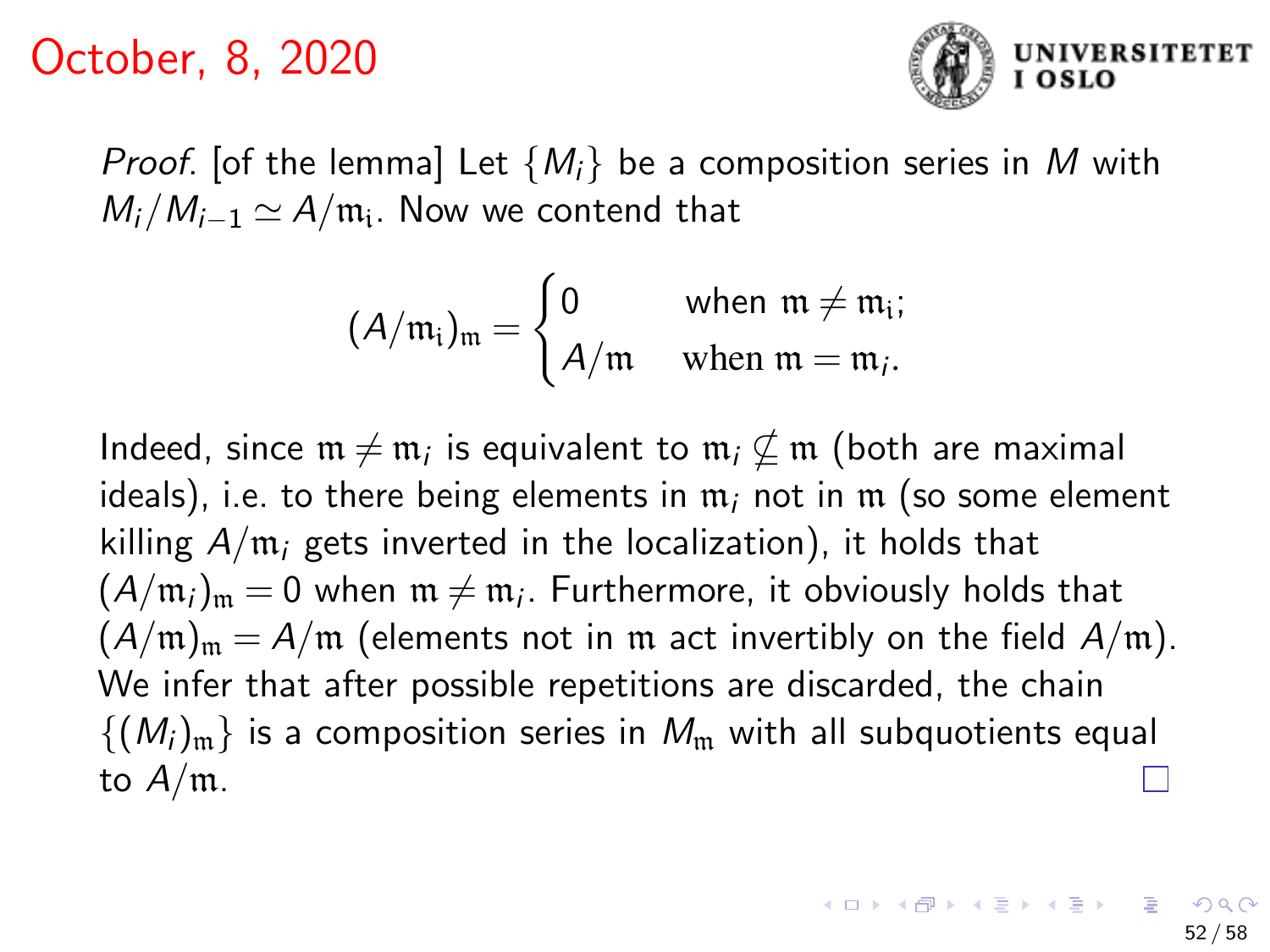

*Proof.* [of the lemma] Let  $\{M_i\}$  be a composition series in M with  $M_i/M_{i-1} \simeq A/\mathfrak{m_i}$ . Now we contend that

$$
(A/\mathfrak{m}_i)_{\mathfrak{m}} = \begin{cases} 0 & \text{when } \mathfrak{m} \neq \mathfrak{m}_i; \\ A/\mathfrak{m} & \text{when } \mathfrak{m} = \mathfrak{m}_i. \end{cases}
$$

Indeed, since  $\mathfrak{m}\neq \mathfrak{m}_i$  is equivalent to  $\mathfrak{m}_i \nsubseteq \mathfrak{m}$  (both are maximal ideals), i.e. to there being elements in  $m_i$  not in  $m$  (so some element killing  $A/m_i$  gets inverted in the localization), it holds that  $(A/\mathfrak{m}_i)_\mathfrak{m}=0$  when  $\mathfrak{m}\neq \mathfrak{m}_i$ . Furthermore, it obviously holds that  $(A/m)_{m} = A/m$  (elements not in m act invertibly on the field  $A/m$ ). We infer that after possible repetitions are discarded, the chain  $\{(M_i)_m\}$  is a composition series in  $M_m$  with all subquotients equal to  $A/m$ .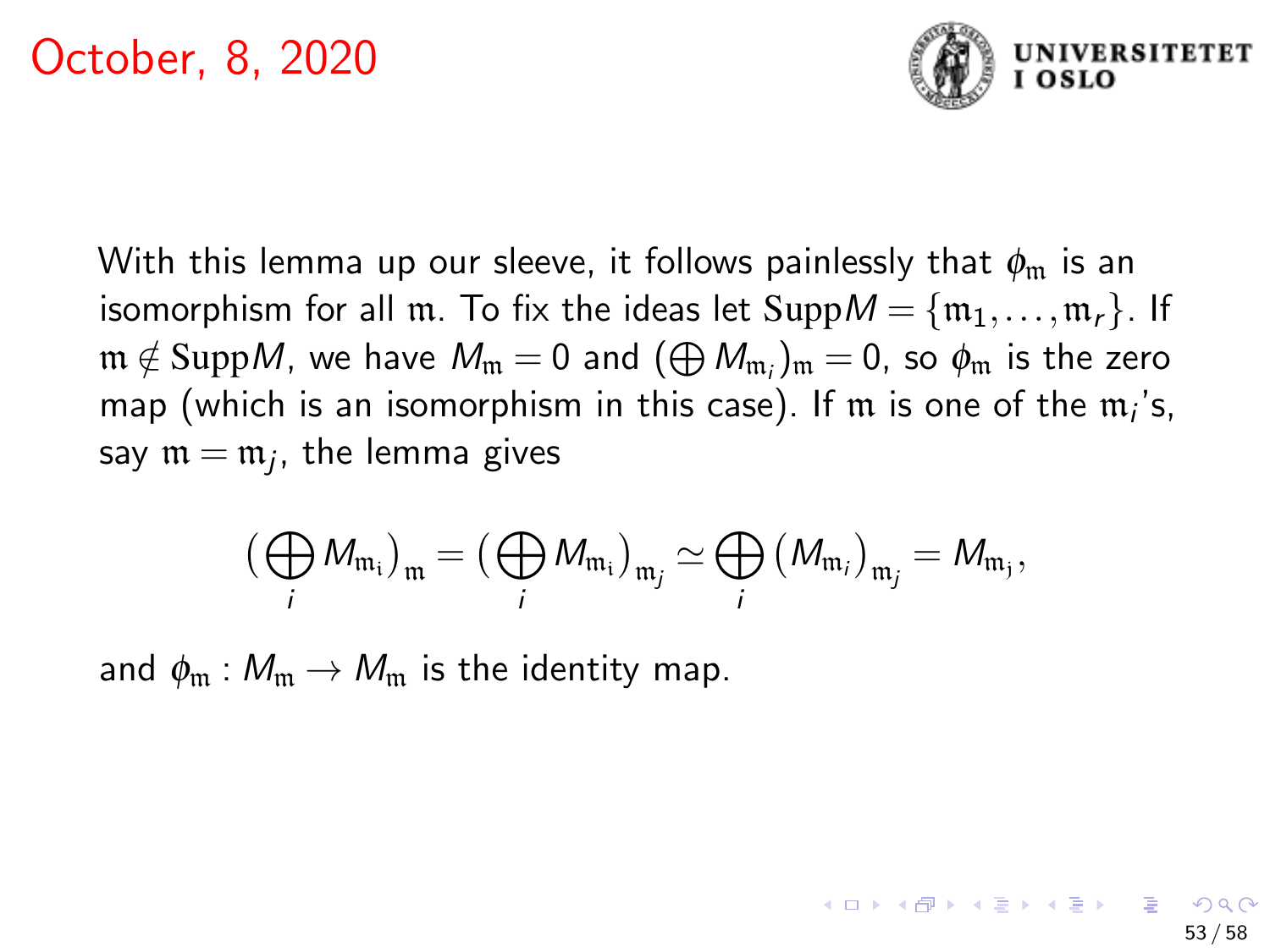

With this lemma up our sleeve, it follows painlessly that  $\phi_{\rm m}$  is an isomorphism for all m. To fix the ideas let  $\text{Supp}M = \{m_1, \ldots, m_r\}$ . If  $\mathfrak{m}\notin\mathrm{Supp}M$ , we have  $M_\mathfrak{m}=0$  and  $(\bigoplus M_{\mathfrak{m}_i})_\mathfrak{m}=0$ , so  $\phi_\mathfrak{m}$  is the zero map (which is an isomorphism in this case). If  ${\mathfrak m}$  is one of the  ${\mathfrak m}_i$ 's, say  $\mathfrak{m}=\mathfrak{m}_j$ , the lemma gives

$$
\big(\bigoplus_i M_{\mathfrak{m}_i}\big)_\mathfrak{m} = \big(\bigoplus_i M_{\mathfrak{m}_i}\big)_{\mathfrak{m}_j} \simeq \bigoplus_i \big(M_{\mathfrak{m}_i}\big)_{\mathfrak{m}_j} = M_{\mathfrak{m}_j},
$$

and  $\phi_m : M_m \to M_m$  is the identity map.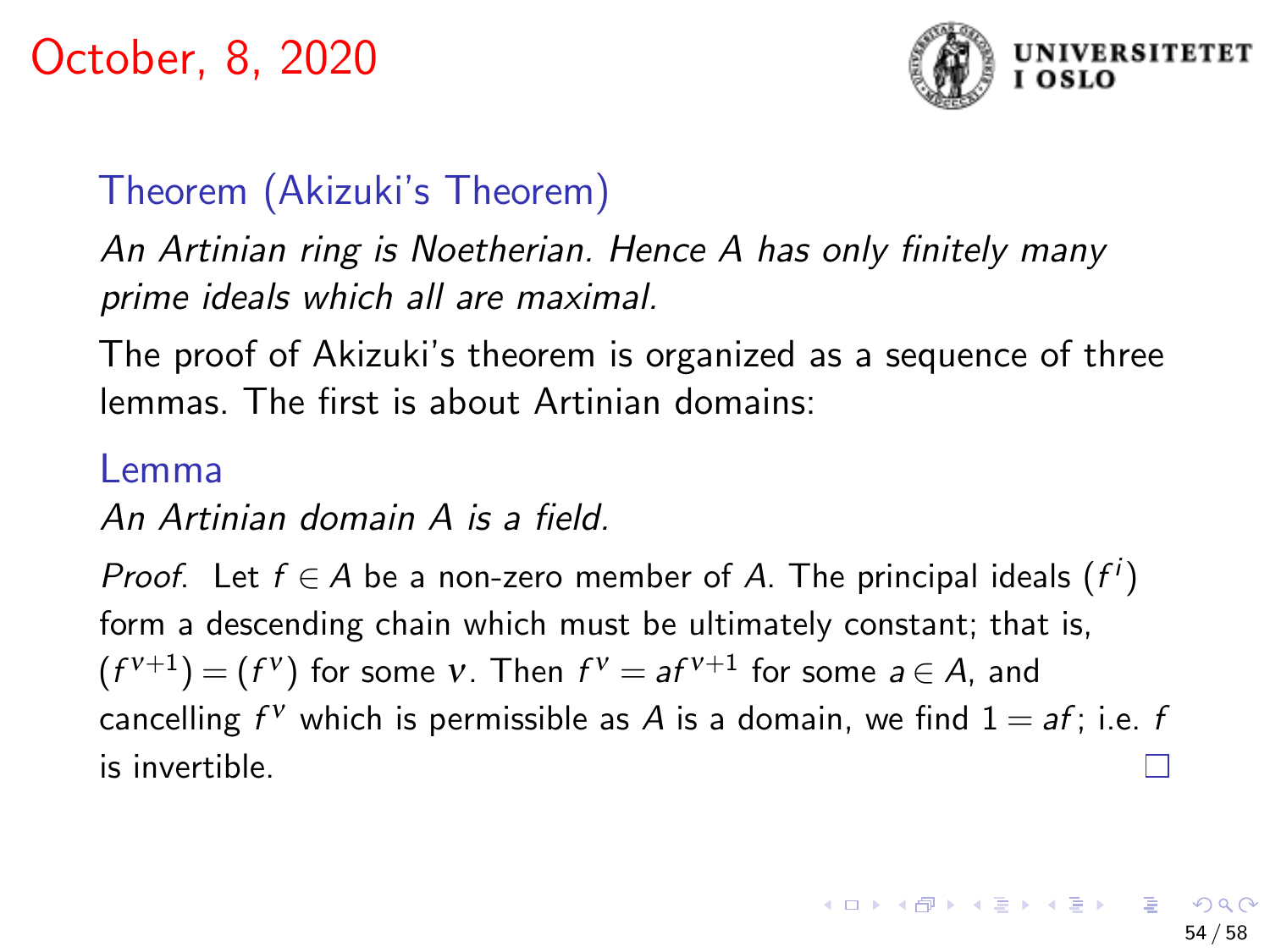

# Theorem (Akizuki's Theorem)

An Artinian ring is Noetherian. Hence A has only finitely many prime ideals which all are maximal.

The proof of Akizuki's theorem is organized as a sequence of three lemmas. The first is about Artinian domains:

#### Lemma

An Artinian domain A is a field.

*Proof.* Let  $f \in A$  be a non-zero member of A. The principal ideals  $(f^i)$ form a descending chain which must be ultimately constant; that is,  $(f^{v+1}) = (f^v)$  for some  $v$ . Then  $f^v = af^{v+1}$  for some  $a \in A$ , and cancelling  $f^V$  which is permissible as  $A$  is a domain, we find  $1 = af$ ; i.e.  $f$ is invertible.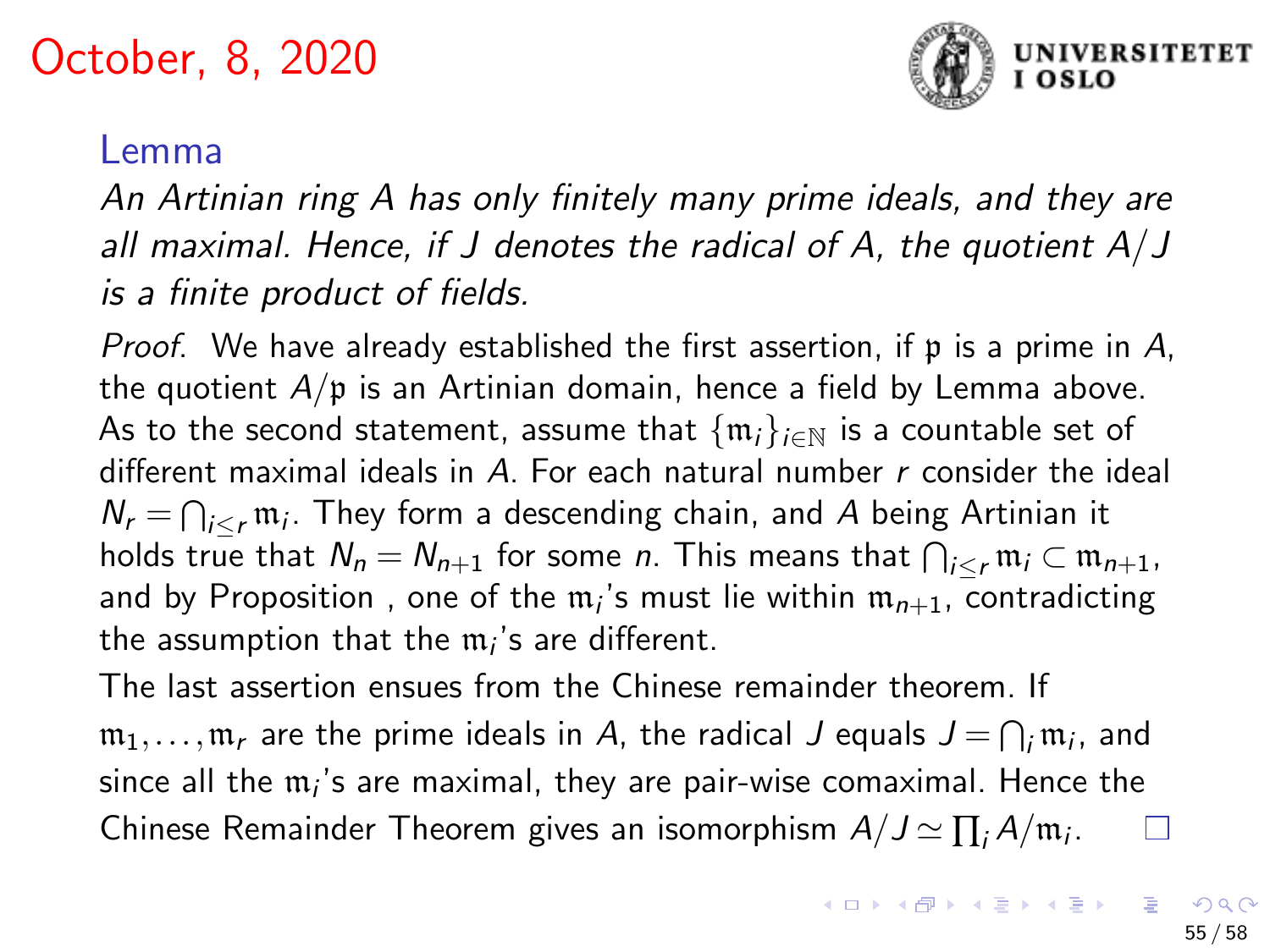

#### Lemma

An Artinian ring A has only finitely many prime ideals, and they are all maximal. Hence, if J denotes the radical of A, the quotient  $A/J$ is a finite product of fields.

*Proof.* We have already established the first assertion, if  $p$  is a prime in A, the quotient  $A/\mathfrak{p}$  is an Artinian domain, hence a field by Lemma above. As to the second statement, assume that  $\{\mathfrak{m}_i\}_{i\in\mathbb{N}}$  is a countable set of different maximal ideals in  $A$ . For each natural number  $r$  consider the ideal  $N_r = \bigcap_{i \leq r} \mathfrak{m}_i$ . They form a descending chain, and  $A$  being Artinian it holds true that  $\mathcal{N}_n=\mathcal{N}_{n+1}$  for some  $n.$  This means that  $\bigcap_{i\leq r}\mathfrak{m}_i\subset \mathfrak{m}_{n+1}.$ and by Proposition , one of the  ${\mathfrak m}_i$ 's must lie within  ${\mathfrak m}_{n+1}$ , contradicting the assumption that the  $m_i$ 's are different.

The last assertion ensues from the Chinese remainder theorem. If  $\mathfrak{m}_1,\ldots,\mathfrak{m}_r$  are the prime ideals in  $A$ , the radical  $J$  equals  $J\,{=}\,\bigcap_i \mathfrak{m}_i$ , and since all the  $\mathfrak{m}_i$ 's are maximal, they are pair-wise comaximal. Hence the Chinese Remainder Theorem gives an isomorphism  $A/J \simeq \prod_i A/\mathfrak{m}_i$ .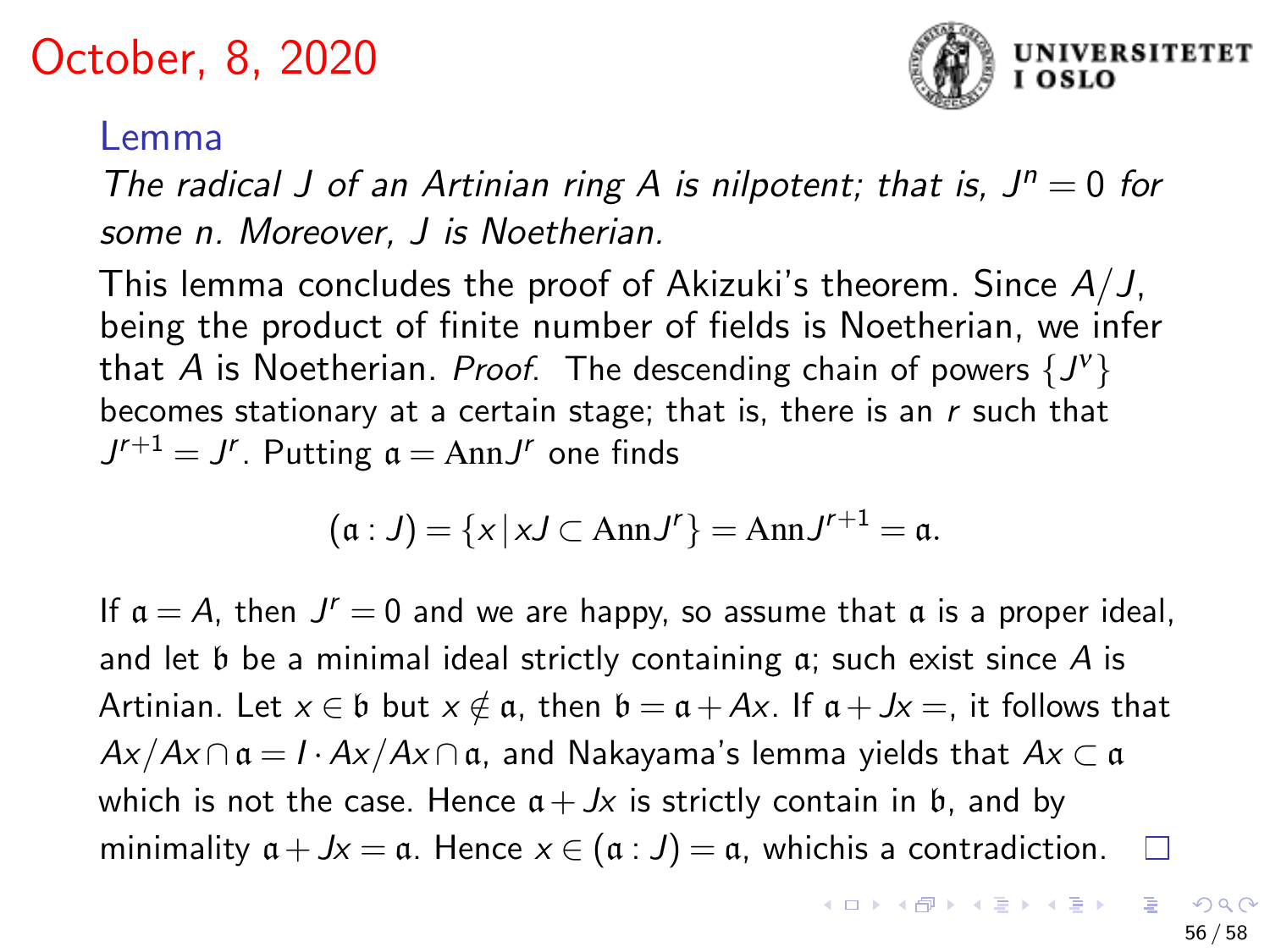

#### Lemma

The radical J of an Artinian ring A is nilpotent; that is,  $J^n = 0$  for some n. Moreover, J is Noetherian.

This lemma concludes the proof of Akizuki's theorem. Since  $A/J$ , being the product of finite number of fields is Noetherian, we infer that  $A$  is Noetherian. *Proof*. The descending chain of powers  $\{J^{\mathsf{v}}\}$ becomes stationary at a certain stage; that is, there is an  $r$  such that  $J^{r+1} = J^r$ . Putting  $\mathfrak{a} = \text{Ann}J^r$  one finds

$$
(\mathfrak{a}:J)=\{x\,|\,xJ\subset \text{Ann}J^r\}=\text{Ann}J^{r+1}=\mathfrak{a}.
$$

If  $a = A$ , then  $J^r = 0$  and we are happy, so assume that  $a$  is a proper ideal, and let  $\mathfrak b$  be a minimal ideal strictly containing  $\mathfrak a$ ; such exist since A is Artinian. Let  $x \in \mathfrak{b}$  but  $x \notin \mathfrak{a}$ , then  $\mathfrak{b} = \mathfrak{a} + Ax$ . If  $\mathfrak{a} + Jx =$ , it follows that  $Ax/Ax \cap a = I \cdot Ax/Ax \cap a$ , and Nakayama's lemma yields that  $Ax \subset a$ which is not the case. Hence  $a + Jx$  is strictly contain in b, and by minimality  $a + Jx = a$ . Hence  $x \in (a : J) = a$ , whichis a contradiction.  $\square$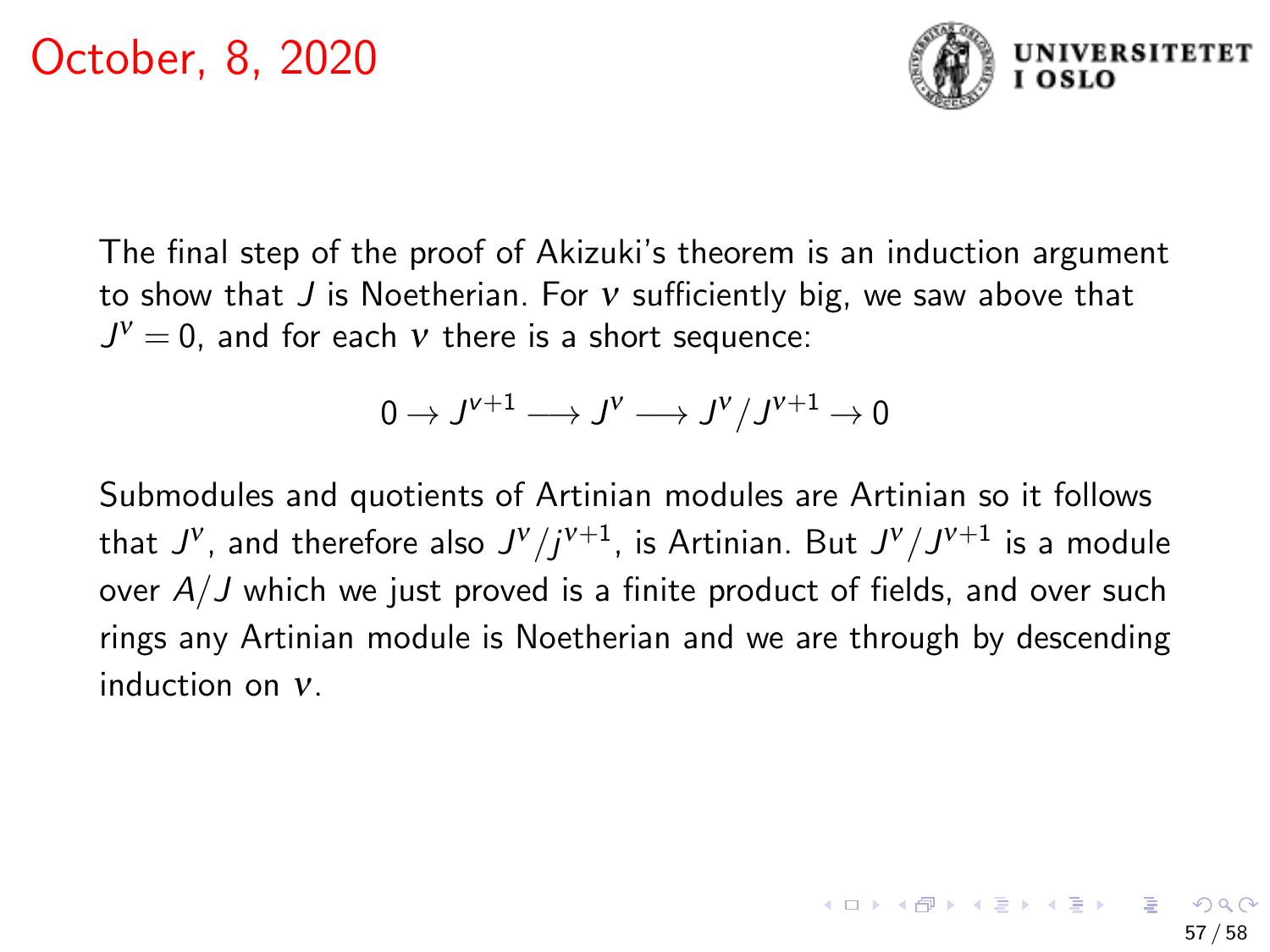

The final step of the proof of Akizuki's theorem is an induction argument to show that  $J$  is Noetherian. For  $v$  sufficiently big, we saw above that  $J^{\nu}=0$ , and for each  $\nu$  there is a short sequence:

$$
0\to J^{\nu+1}\longrightarrow J^\nu\longrightarrow J^\nu/J^{\nu+1}\to 0
$$

Submodules and quotients of Artinian modules are Artinian so it follows that  $J^\mathsf{v}$ , and therefore also  $J^\mathsf{v}/j^{\mathsf{v}+1}$ , is Artinian. But  $J^\mathsf{v}/J^{\mathsf{v}+1}$  is a module over  $A/J$  which we just proved is a finite product of fields, and over such rings any Artinian module is Noetherian and we are through by descending induction on ν.